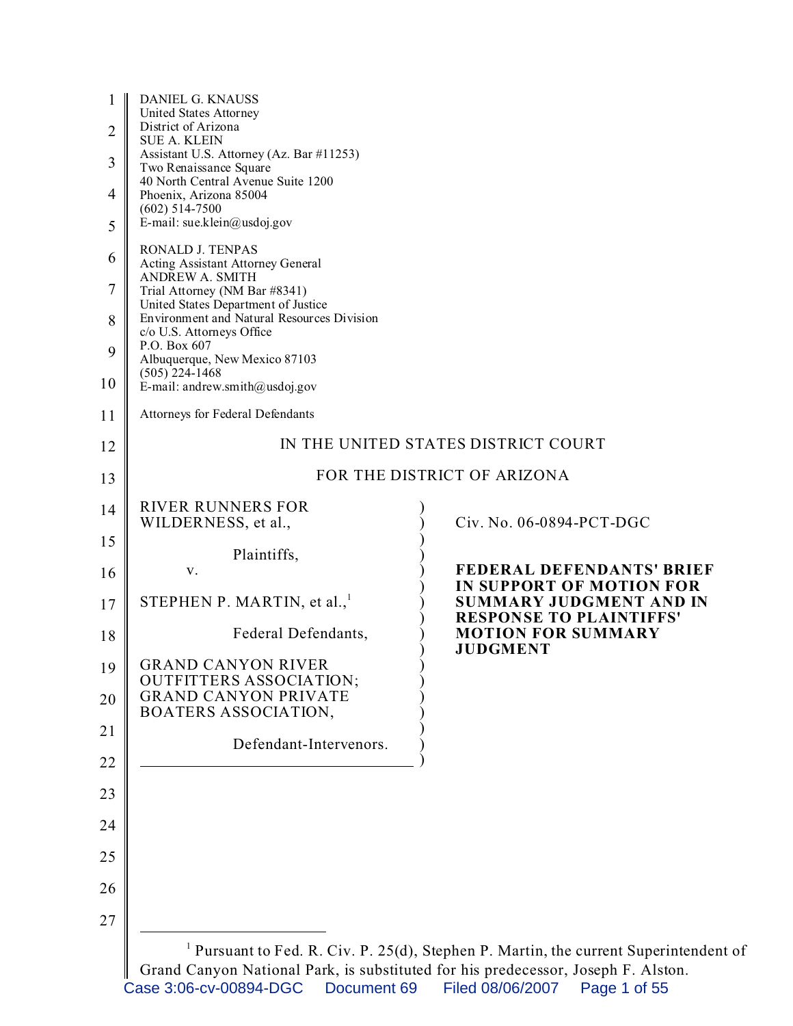| $\mathbf{1}$<br>$\overline{2}$ | <b>DANIEL G. KNAUSS</b><br>United States Attorney<br>District of Arizona<br><b>SUE A. KLEIN</b><br>Assistant U.S. Attorney (Az. Bar #11253)<br>Two Renaissance Square |                                                                                                  |  |
|--------------------------------|-----------------------------------------------------------------------------------------------------------------------------------------------------------------------|--------------------------------------------------------------------------------------------------|--|
| 3                              |                                                                                                                                                                       |                                                                                                  |  |
| 4                              | 40 North Central Avenue Suite 1200<br>Phoenix, Arizona 85004<br>$(602)$ 514-7500                                                                                      |                                                                                                  |  |
| 5                              | E-mail: sue.klein@usdoj.gov                                                                                                                                           |                                                                                                  |  |
| 6                              | RONALD J. TENPAS<br>Acting Assistant Attorney General                                                                                                                 |                                                                                                  |  |
| 7                              | <b>ANDREW A. SMITH</b><br>Trial Attorney (NM Bar #8341)<br>United States Department of Justice                                                                        |                                                                                                  |  |
| 8                              | Environment and Natural Resources Division<br>c/o U.S. Attorneys Office                                                                                               |                                                                                                  |  |
| 9                              | P.O. Box 607<br>Albuquerque, New Mexico 87103                                                                                                                         |                                                                                                  |  |
| 10                             | $(505)$ 224-1468<br>E-mail: andrew.smith@usdoj.gov                                                                                                                    |                                                                                                  |  |
| 11                             | Attorneys for Federal Defendants                                                                                                                                      |                                                                                                  |  |
| 12                             |                                                                                                                                                                       | IN THE UNITED STATES DISTRICT COURT                                                              |  |
| 13                             | FOR THE DISTRICT OF ARIZONA                                                                                                                                           |                                                                                                  |  |
| 14                             | <b>RIVER RUNNERS FOR</b><br>WILDERNESS, et al.,                                                                                                                       | Civ. No. 06-0894-PCT-DGC                                                                         |  |
| 15                             | Plaintiffs,                                                                                                                                                           |                                                                                                  |  |
| 16                             | V.                                                                                                                                                                    | <b>FEDERAL DEFENDANTS' BRIEF</b><br>IN SUPPORT OF MOTION FOR                                     |  |
| 17                             | STEPHEN P. MARTIN, et al., $1$                                                                                                                                        | <b>SUMMARY JUDGMENT AND IN</b><br><b>RESPONSE TO PLAINTIFFS'</b>                                 |  |
| 18                             | Federal Defendants,                                                                                                                                                   | <b>MOTION FOR SUMMARY</b><br><b>JUDGMENT</b>                                                     |  |
| 19                             | <b>GRAND CANYON RIVER</b><br><b>OUTFITTERS ASSOCIATION;</b>                                                                                                           |                                                                                                  |  |
| 20                             | <b>GRAND CANYON PRIVATE</b><br>BOATERS ASSOCIATION,                                                                                                                   |                                                                                                  |  |
| 21                             | Defendant-Intervenors.                                                                                                                                                |                                                                                                  |  |
| 22                             |                                                                                                                                                                       |                                                                                                  |  |
| 23                             |                                                                                                                                                                       |                                                                                                  |  |
| 24                             |                                                                                                                                                                       |                                                                                                  |  |
| 25                             |                                                                                                                                                                       |                                                                                                  |  |
| 26                             |                                                                                                                                                                       |                                                                                                  |  |
| 27                             |                                                                                                                                                                       |                                                                                                  |  |
|                                |                                                                                                                                                                       | <sup>1</sup> Pursuant to Fed. R. Civ. P. 25(d), Stephen P. Martin, the current Superintendent of |  |

Grand Canyon National Park, is substituted for his predecessor, Joseph F. Alston. Case 3:06-cv-00894-DGC Document 69 Filed 08/06/2007 Page 1 of 55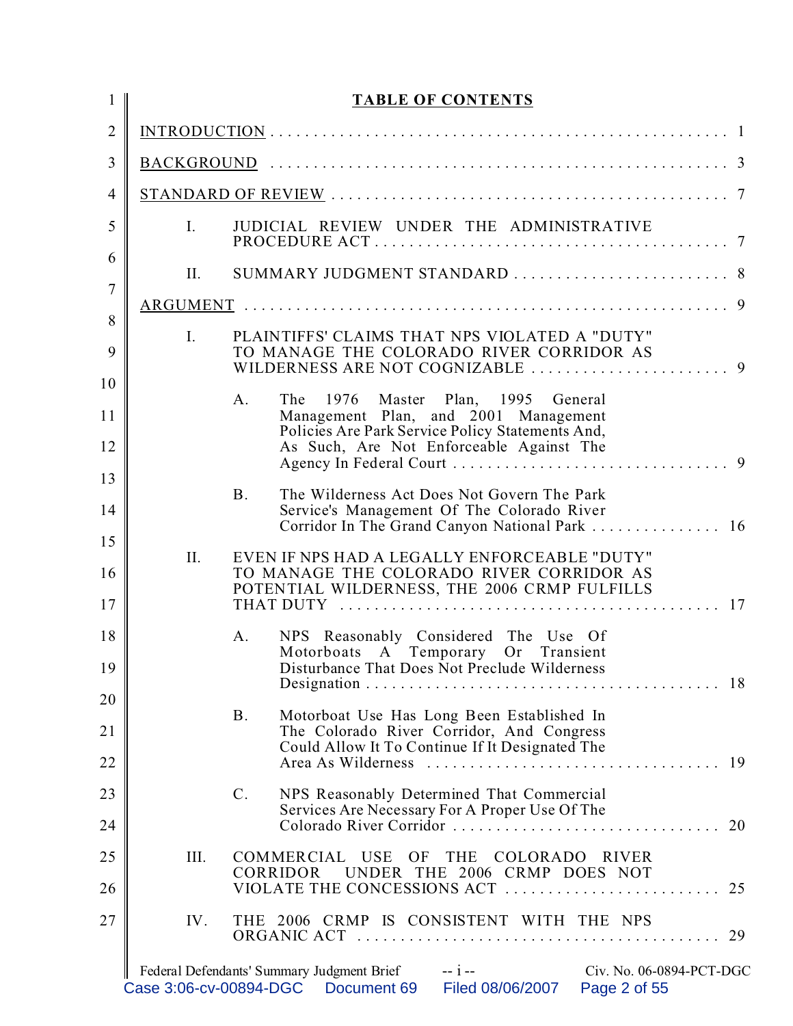| $\mathbf{1}$             |                | <b>TABLE OF CONTENTS</b>                                                                                                                                                      |
|--------------------------|----------------|-------------------------------------------------------------------------------------------------------------------------------------------------------------------------------|
| $\overline{2}$           |                |                                                                                                                                                                               |
| 3                        |                |                                                                                                                                                                               |
| $\overline{\mathcal{A}}$ |                |                                                                                                                                                                               |
| 5                        | $I_{\cdot}$    | JUDICIAL REVIEW UNDER THE ADMINISTRATIVE                                                                                                                                      |
| 6                        | П.             |                                                                                                                                                                               |
| $\overline{7}$<br>8      |                |                                                                                                                                                                               |
| 9                        | $I_{\cdot}$    | PLAINTIFFS' CLAIMS THAT NPS VIOLATED A "DUTY"<br>TO MANAGE THE COLORADO RIVER CORRIDOR AS                                                                                     |
| 10<br>11<br>12           | A.             | The<br>1976 Master Plan, 1995 General<br>Management Plan, and 2001 Management<br>Policies Are Park Service Policy Statements And,<br>As Such, Are Not Enforceable Against The |
| 13<br>14                 | <b>B.</b>      | The Wilderness Act Does Not Govern The Park<br>Service's Management Of The Colorado River<br>Corridor In The Grand Canyon National Park  16                                   |
| 15<br>16<br>17           | II.            | EVEN IF NPS HAD A LEGALLY ENFORCEABLE "DUTY"<br>TO MANAGE THE COLORADO RIVER CORRIDOR AS<br>POTENTIAL WILDERNESS, THE 2006 CRMP FULFILLS                                      |
| 18<br>19                 | Α.             | NPS Reasonably Considered The Use Of<br>Motorboats A Temporary Or Transient<br>Disturbance That Does Not Preclude Wilderness                                                  |
| 20<br>21<br>22           | <b>B.</b>      | Motorboat Use Has Long Been Established In<br>The Colorado River Corridor, And Congress<br>Could Allow It To Continue If It Designated The<br>19                              |
| 23<br>24                 | $\mathbf{C}$ . | NPS Reasonably Determined That Commercial<br>Services Are Necessary For A Proper Use Of The<br>Colorado River Corridor<br>20                                                  |
| 25<br>26                 | III.           | COMMERCIAL USE<br>OF<br><b>THE</b><br>COLORADO RIVER<br>UNDER THE 2006 CRMP DOES NOT<br><b>CORRIDOR</b>                                                                       |
| 27                       | IV.            | THE 2006 CRMP IS CONSISTENT WITH THE NPS<br>29                                                                                                                                |
|                          |                | $- i -$<br>Federal Defendants' Summary Judgment Brief<br>Civ. No. 06-0894-PCT-DGC<br>Case 3:06-cv-00894-DGC  Document 69<br>Filed 08/06/2007<br>Page 2 of 55                  |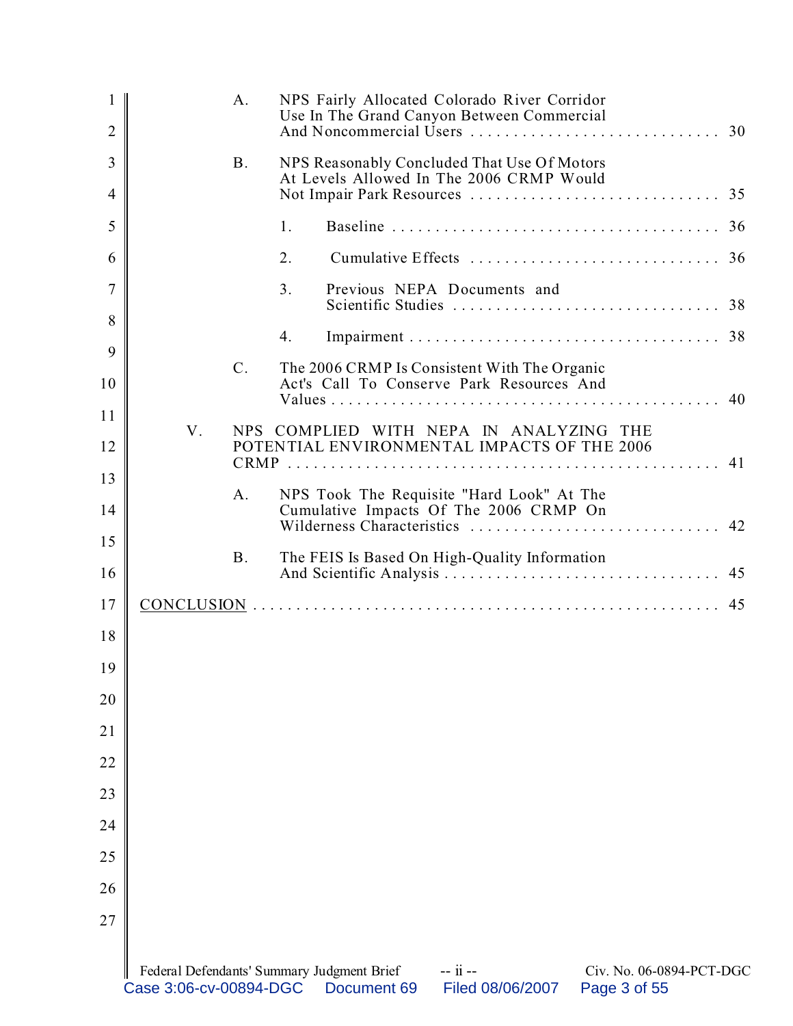| 1<br>$\overline{2}$ |                        | A.          | NPS Fairly Allocated Colorado River Corridor<br>Use In The Grand Canyon Between Commercial                                            |  |
|---------------------|------------------------|-------------|---------------------------------------------------------------------------------------------------------------------------------------|--|
| 3                   |                        | <b>B.</b>   | NPS Reasonably Concluded That Use Of Motors<br>At Levels Allowed In The 2006 CRMP Would                                               |  |
| 4                   |                        |             |                                                                                                                                       |  |
| 5                   |                        |             | 1.                                                                                                                                    |  |
| 6                   |                        |             | 2.                                                                                                                                    |  |
| $\overline{7}$      |                        |             | 3 <sub>1</sub><br>Previous NEPA Documents and                                                                                         |  |
| 8                   |                        |             | 4.                                                                                                                                    |  |
| 9<br>10             |                        | $C_{\cdot}$ | The 2006 CRMP Is Consistent With The Organic<br>Act's Call To Conserve Park Resources And                                             |  |
| 11                  |                        |             | 40                                                                                                                                    |  |
| 12                  | V.                     |             | NPS COMPLIED WITH NEPA IN ANALYZING THE<br>POTENTIAL ENVIRONMENTAL IMPACTS OF THE 2006                                                |  |
| 13                  |                        |             |                                                                                                                                       |  |
| 14                  |                        | A.          | NPS Took The Requisite "Hard Look" At The<br>Cumulative Impacts Of The 2006 CRMP On<br>Wilderness Characteristics  42                 |  |
| 15<br>16            |                        | <b>B.</b>   | The FEIS Is Based On High-Quality Information                                                                                         |  |
| 17                  |                        |             |                                                                                                                                       |  |
| 18                  |                        |             |                                                                                                                                       |  |
|                     |                        |             |                                                                                                                                       |  |
| 19<br>20            |                        |             |                                                                                                                                       |  |
| 21                  |                        |             |                                                                                                                                       |  |
| 22                  |                        |             |                                                                                                                                       |  |
| 23                  |                        |             |                                                                                                                                       |  |
|                     |                        |             |                                                                                                                                       |  |
| 24                  |                        |             |                                                                                                                                       |  |
| 25                  |                        |             |                                                                                                                                       |  |
| 26                  |                        |             |                                                                                                                                       |  |
| 27                  |                        |             |                                                                                                                                       |  |
|                     | Case 3:06-cv-00894-DGC |             | Federal Defendants' Summary Judgment Brief<br>-- ii --<br>Civ. No. 06-0894-PCT-DGC<br>Page 3 of 55<br>Document 69<br>Filed 08/06/2007 |  |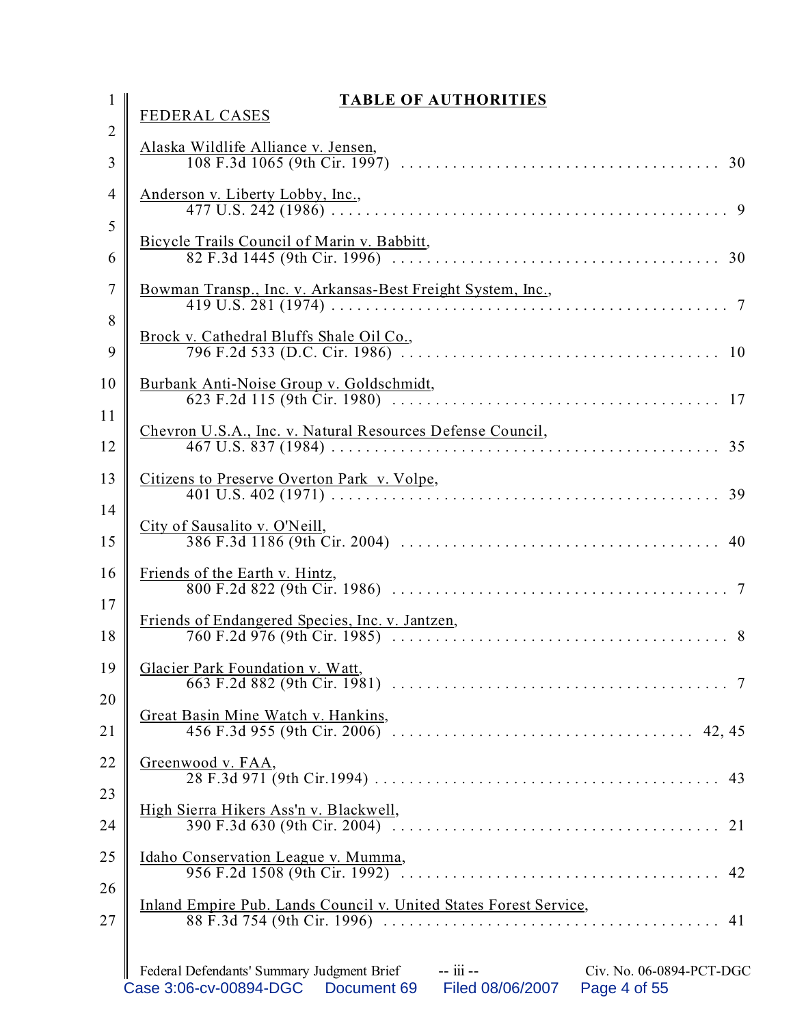| $\mathbf{1}$        | <b>TABLE OF AUTHORITIES</b><br><b>FEDERAL CASES</b>                                                                                                                                                 |
|---------------------|-----------------------------------------------------------------------------------------------------------------------------------------------------------------------------------------------------|
| $\overline{2}$<br>3 | <u>Alaska Wildlife Alliance v. Jensen,</u>                                                                                                                                                          |
| $\overline{4}$      | <u>Anderson v. Liberty Lobby, Inc.,</u>                                                                                                                                                             |
| 5<br>6              | Bicycle Trails Council of Marin v. Babbitt,                                                                                                                                                         |
| $\overline{7}$      | Bowman Transp., Inc. v. Arkansas-Best Freight System, Inc.,                                                                                                                                         |
| 8<br>9              | Brock v. Cathedral Bluffs Shale Oil Co.,<br>10                                                                                                                                                      |
| 10                  | Burbank Anti-Noise Group v. Goldschmidt,<br>17                                                                                                                                                      |
| 11<br>12            | Chevron U.S.A., Inc. v. Natural Resources Defense Council,<br>35                                                                                                                                    |
| 13                  | Citizens to Preserve Overton Park v. Volpe,<br>39                                                                                                                                                   |
| 14<br>15            | City of Sausalito v. O'Neill,<br>40                                                                                                                                                                 |
| 16                  | Friends of the Earth v. Hintz,                                                                                                                                                                      |
| 17<br>18            | Friends of Endangered Species, Inc. v. Jantzen,                                                                                                                                                     |
| 19<br>20            | Glacier Park Foundation v. Watt,                                                                                                                                                                    |
| 21                  | Great Basin Mine Watch v. Hankins,                                                                                                                                                                  |
| 22                  | Greenwood v. FAA,                                                                                                                                                                                   |
| 23<br>24            | High Sierra Hikers Ass'n v. Blackwell,                                                                                                                                                              |
| 25                  | Idaho Conservation League v. Mumma,                                                                                                                                                                 |
| 26<br>27            | Inland Empire Pub. Lands Council v. United States Forest Service,<br>88 F.3d 754 (9th Cir. 1996) $\ldots \ldots \ldots \ldots \ldots \ldots \ldots \ldots \ldots \ldots \ldots \ldots \ldots$<br>41 |
|                     | Federal Defendants' Summary Judgment Brief -- iii --<br>Civ. No. 06-0894-PCT-DGC<br>Case 3:06-cv-00894-DGC<br>Filed 08/06/2007<br>Document 69<br>Page 4 of 55                                       |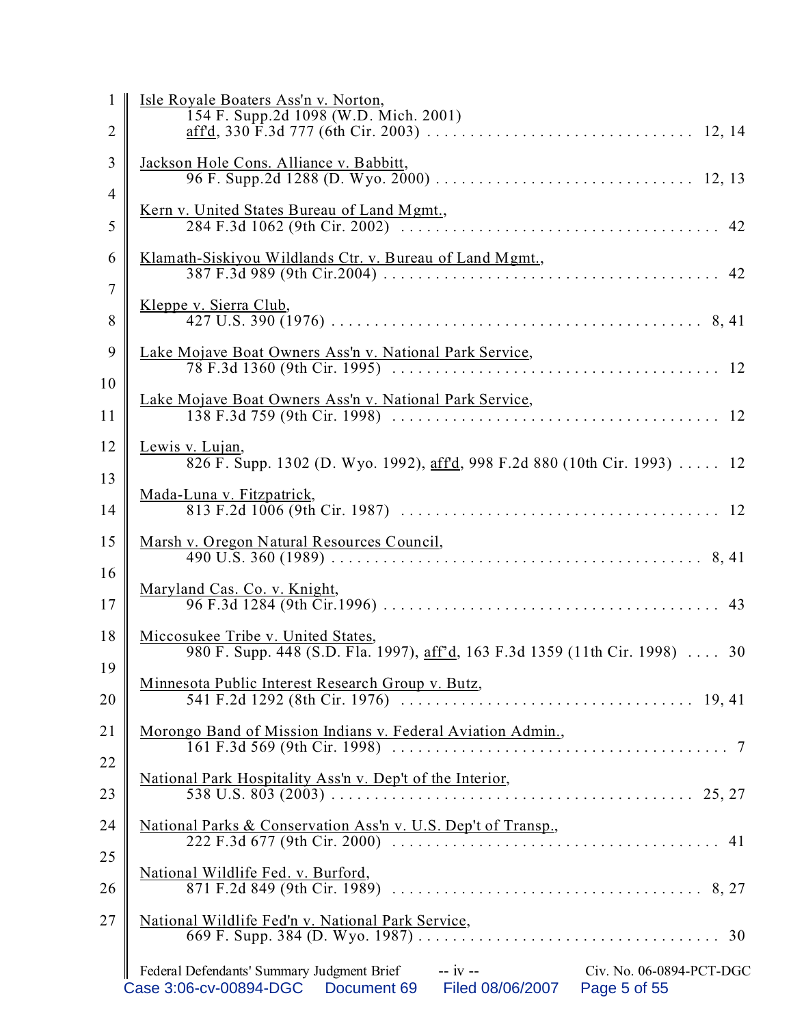| 1              | Isle Royale Boaters Ass'n v. Norton,                                                                                                                         |
|----------------|--------------------------------------------------------------------------------------------------------------------------------------------------------------|
| $\overline{2}$ | 154 F. Supp.2d 1098 (W.D. Mich. 2001)                                                                                                                        |
| 3              | Jackson Hole Cons. Alliance v. Babbitt,                                                                                                                      |
| 4              | <u>Kern v. United States Bureau of Land Mgmt.</u> ,                                                                                                          |
| 5              |                                                                                                                                                              |
| 6<br>7         | Klamath-Siskiyou Wildlands Ctr. v. Bureau of Land Mgmt.,                                                                                                     |
| 8              | Kleppe v. Sierra Club,                                                                                                                                       |
| 9              | Lake Mojave Boat Owners Ass'n v. National Park Service,                                                                                                      |
| 10<br>11       | Lake Mojave Boat Owners Ass'n v. National Park Service,                                                                                                      |
| 12             | Lewis v. Lujan,<br>826 F. Supp. 1302 (D. Wyo. 1992), aff'd, 998 F.2d 880 (10th Cir. 1993)  12                                                                |
| 13<br>14       | Mada-Luna v. Fitzpatrick,                                                                                                                                    |
| 15             | Marsh v. Oregon Natural Resources Council,                                                                                                                   |
| 16<br>17       | Maryland Cas. Co. v. Knight,                                                                                                                                 |
| 18             | Miccosukee Tribe v. United States,<br>980 F. Supp. 448 (S.D. Fla. 1997), aff'd, 163 F.3d 1359 (11th Cir. 1998)  30                                           |
| 19<br>20       | Minnesota Public Interest Research Group v. Butz,                                                                                                            |
| 21             | Morongo Band of Mission Indians v. Federal Aviation Admin.,                                                                                                  |
| 22<br>23       | National Park Hospitality Ass'n v. Dep't of the Interior,                                                                                                    |
| 24             | National Parks & Conservation Ass'n v. U.S. Dep't of Transp.,                                                                                                |
| 25<br>26       | National Wildlife Fed. v. Burford,                                                                                                                           |
| 27             | National Wildlife Fed'n v. National Park Service,                                                                                                            |
|                | Federal Defendants' Summary Judgment Brief -- iv --<br>Civ. No. 06-0894-PCT-DGC<br>Case 3:06-cv-00894-DGC<br>Document 69<br>Filed 08/06/2007<br>Page 5 of 55 |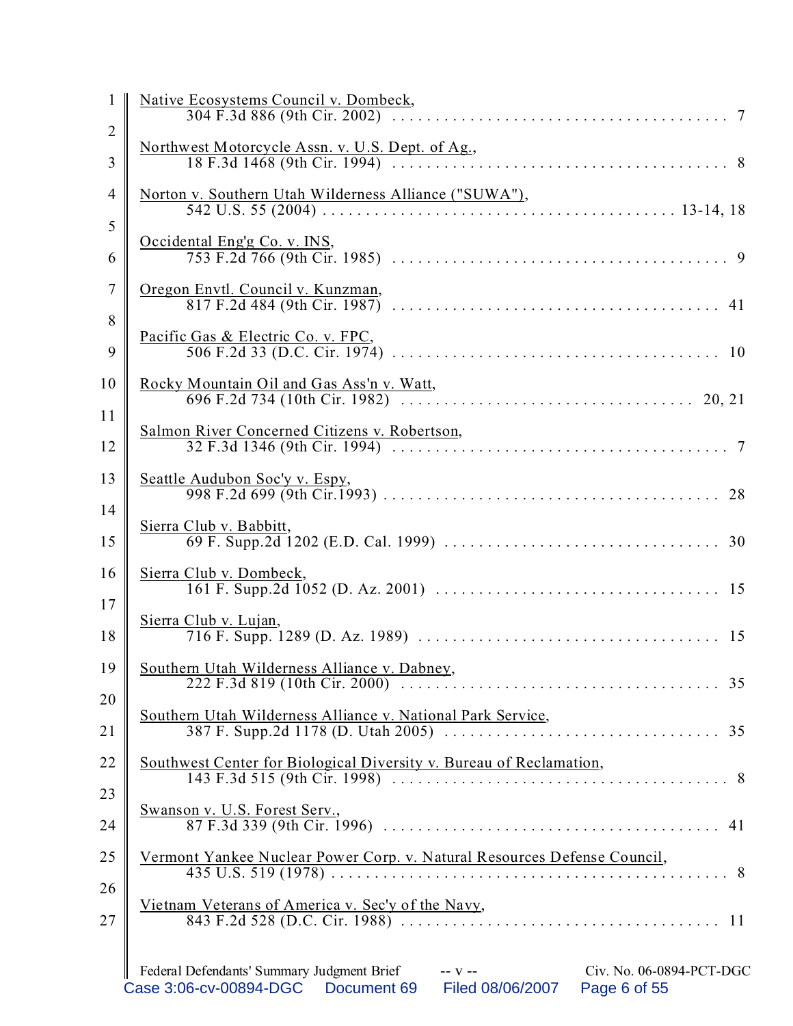| 1                        | Native Ecosystems Council v. Dombeck,                                                                                                                       |
|--------------------------|-------------------------------------------------------------------------------------------------------------------------------------------------------------|
| $\overline{2}$<br>3      | Northwest Motorcycle Assn. v. U.S. Dept. of Ag.,                                                                                                            |
| $\overline{\mathcal{A}}$ | Norton v. Southern Utah Wilderness Alliance ("SUWA"),                                                                                                       |
| 5<br>6                   | Occidental Eng'g Co. v. INS,                                                                                                                                |
| $\tau$                   | Oregon Envtl. Council v. Kunzman,                                                                                                                           |
| $8\,$<br>9               | Pacific Gas & Electric Co. v. FPC,                                                                                                                          |
| 10                       | Rocky Mountain Oil and Gas Ass'n v. Watt,                                                                                                                   |
| 11<br>12                 | Salmon River Concerned Citizens v. Robertson,                                                                                                               |
| 13                       | Seattle Audubon Soc'y v. Espy,                                                                                                                              |
| 14<br>15                 | Sierra Club v. Babbitt,                                                                                                                                     |
| 16                       | Sierra Club v. Dombeck,                                                                                                                                     |
| 17<br>18                 | Sierra Club v. Lujan,                                                                                                                                       |
| 19                       | Southern Utah Wilderness Alliance v. Dabney,                                                                                                                |
| 20<br>21                 | Southern Utah Wilderness Alliance v. National Park Service,                                                                                                 |
| 22                       | Southwest Center for Biological Diversity v. Bureau of Reclamation,                                                                                         |
| 23<br>24                 | Swanson v. U.S. Forest Serv.,                                                                                                                               |
| 25                       | Vermont Yankee Nuclear Power Corp. v. Natural Resources Defense Council,                                                                                    |
| 26<br>27                 | Vietnam Veterans of America v. Sec'y of the Navy,                                                                                                           |
|                          |                                                                                                                                                             |
|                          | Federal Defendants' Summary Judgment Brief -- v --<br>Civ. No. 06-0894-PCT-DGC<br>Case 3:06-cv-00894-DGC<br>Document 69<br>Filed 08/06/2007<br>Page 6 of 55 |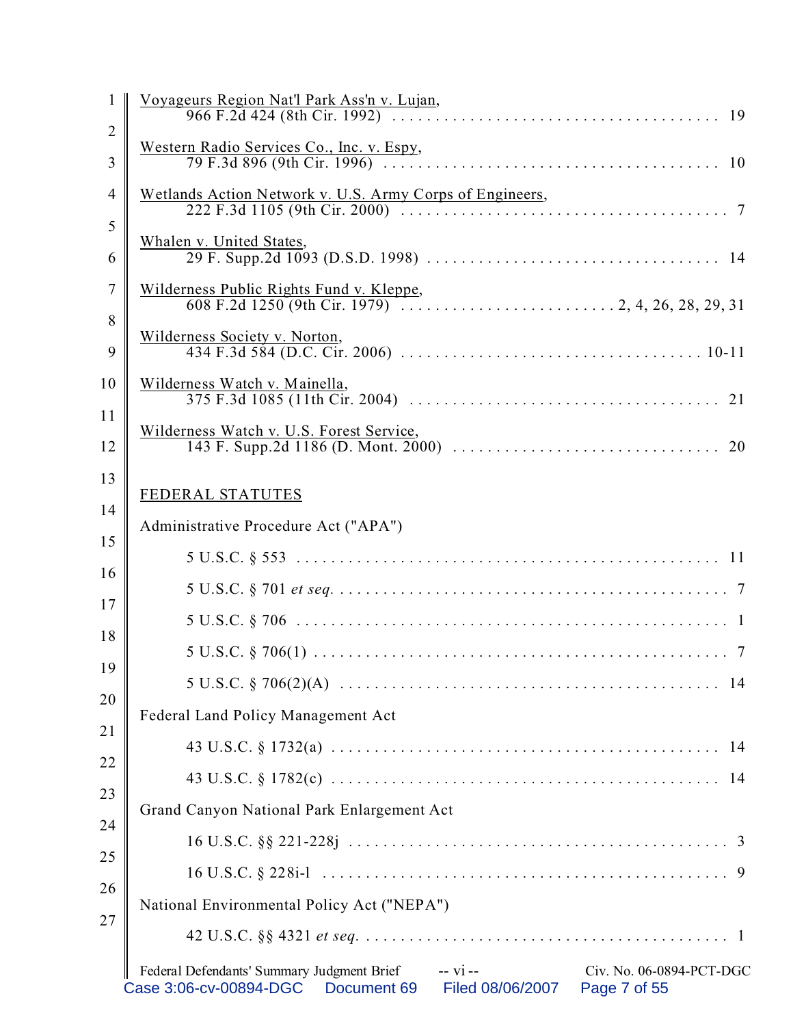|                | Federal Defendants' Summary Judgment Brief<br>$-$ vi $-$<br>Civ. No. 06-0894-PCT-DGC<br>Case 3:06-cv-00894-DGC<br>Filed 08/06/2007<br>Document 69<br>Page 7 of 55 |
|----------------|-------------------------------------------------------------------------------------------------------------------------------------------------------------------|
|                |                                                                                                                                                                   |
| 27             | National Environmental Policy Act ("NEPA")                                                                                                                        |
| 26             |                                                                                                                                                                   |
| 25             |                                                                                                                                                                   |
| 24             | Grand Canyon National Park Enlargement Act                                                                                                                        |
| 23             |                                                                                                                                                                   |
| 22             |                                                                                                                                                                   |
| 21             | Federal Land Policy Management Act                                                                                                                                |
| 19<br>20       |                                                                                                                                                                   |
| 18             |                                                                                                                                                                   |
| 17             |                                                                                                                                                                   |
| 16             |                                                                                                                                                                   |
| 15             |                                                                                                                                                                   |
| 14             | Administrative Procedure Act ("APA")                                                                                                                              |
| 13             | FEDERAL STATUTES                                                                                                                                                  |
| 12             |                                                                                                                                                                   |
| 11             | Wilderness Watch v. U.S. Forest Service,                                                                                                                          |
| 10             | Wilderness Watch v. Mainella,                                                                                                                                     |
| 9              | Wilderness Society v. Norton,                                                                                                                                     |
| 8              |                                                                                                                                                                   |
| 7              | Wilderness Public Rights Fund v. Kleppe,                                                                                                                          |
| 6              | Whalen v. United States,                                                                                                                                          |
| 5              |                                                                                                                                                                   |
| 4              | Wetlands Action Network v. U.S. Army Corps of Engineers,                                                                                                          |
| 3              | Western Radio Services Co., Inc. v. Espy,                                                                                                                         |
| $\overline{2}$ |                                                                                                                                                                   |
| 1              | Voyageurs Region Nat'l Park Ass'n v. Lujan,                                                                                                                       |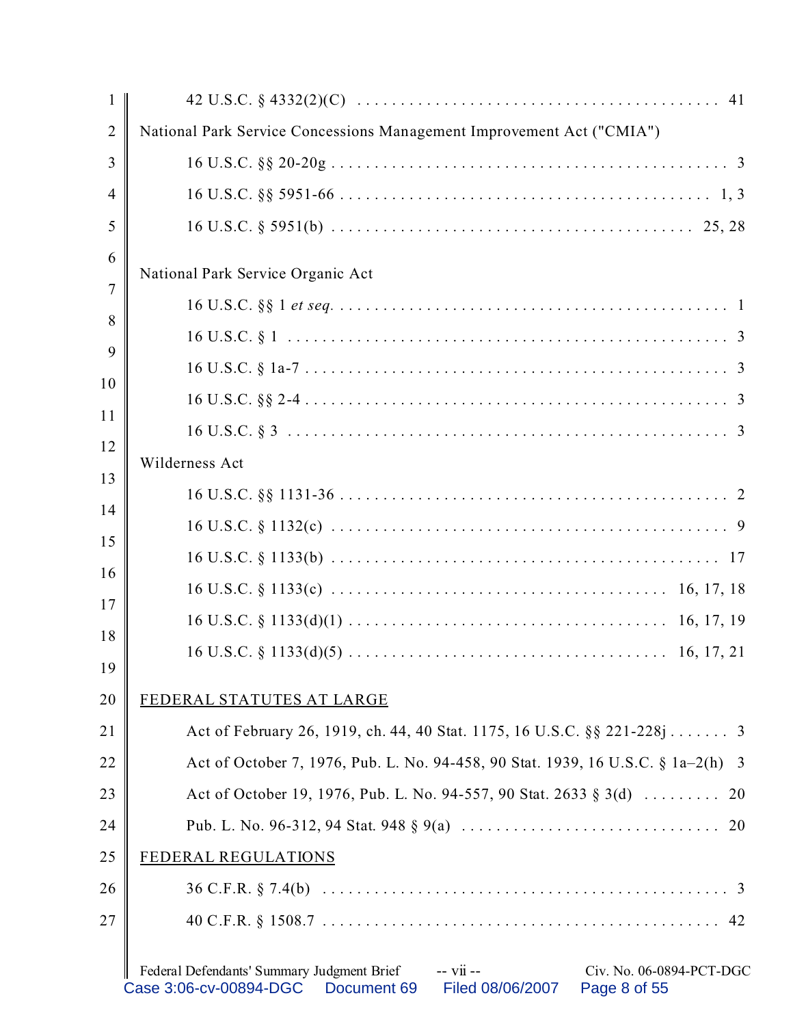| $\mathbf{1}$   |                                                                                                                                                                  |
|----------------|------------------------------------------------------------------------------------------------------------------------------------------------------------------|
| $\overline{2}$ | National Park Service Concessions Management Improvement Act ("CMIA")                                                                                            |
| 3              |                                                                                                                                                                  |
| 4              |                                                                                                                                                                  |
| 5              |                                                                                                                                                                  |
| 6              |                                                                                                                                                                  |
| 7              | National Park Service Organic Act                                                                                                                                |
| 8              |                                                                                                                                                                  |
| 9              |                                                                                                                                                                  |
| 10             |                                                                                                                                                                  |
|                |                                                                                                                                                                  |
| 11<br>12       |                                                                                                                                                                  |
|                | Wilderness Act                                                                                                                                                   |
| 13             |                                                                                                                                                                  |
| 14             |                                                                                                                                                                  |
| 15             |                                                                                                                                                                  |
| 16             |                                                                                                                                                                  |
| 17             |                                                                                                                                                                  |
| 18<br>19       |                                                                                                                                                                  |
| 20             | FEDERAL STATUTES AT LARGE                                                                                                                                        |
| 21             | Act of February 26, 1919, ch. 44, 40 Stat. 1175, 16 U.S.C. §§ 221-228j 3                                                                                         |
| 22             | Act of October 7, 1976, Pub. L. No. 94-458, 90 Stat. 1939, 16 U.S.C. § 1a-2(h) 3                                                                                 |
| 23             | Act of October 19, 1976, Pub. L. No. 94-557, 90 Stat. 2633 § 3(d)<br>20                                                                                          |
| 24             |                                                                                                                                                                  |
| 25             | FEDERAL REGULATIONS                                                                                                                                              |
| 26             |                                                                                                                                                                  |
| 27             |                                                                                                                                                                  |
|                | Federal Defendants' Summary Judgment Brief<br>-- vii --<br>Civ. No. 06-0894-PCT-DGC<br>Case 3:06-cv-00894-DGC<br>Document 69<br>Filed 08/06/2007<br>Page 8 of 55 |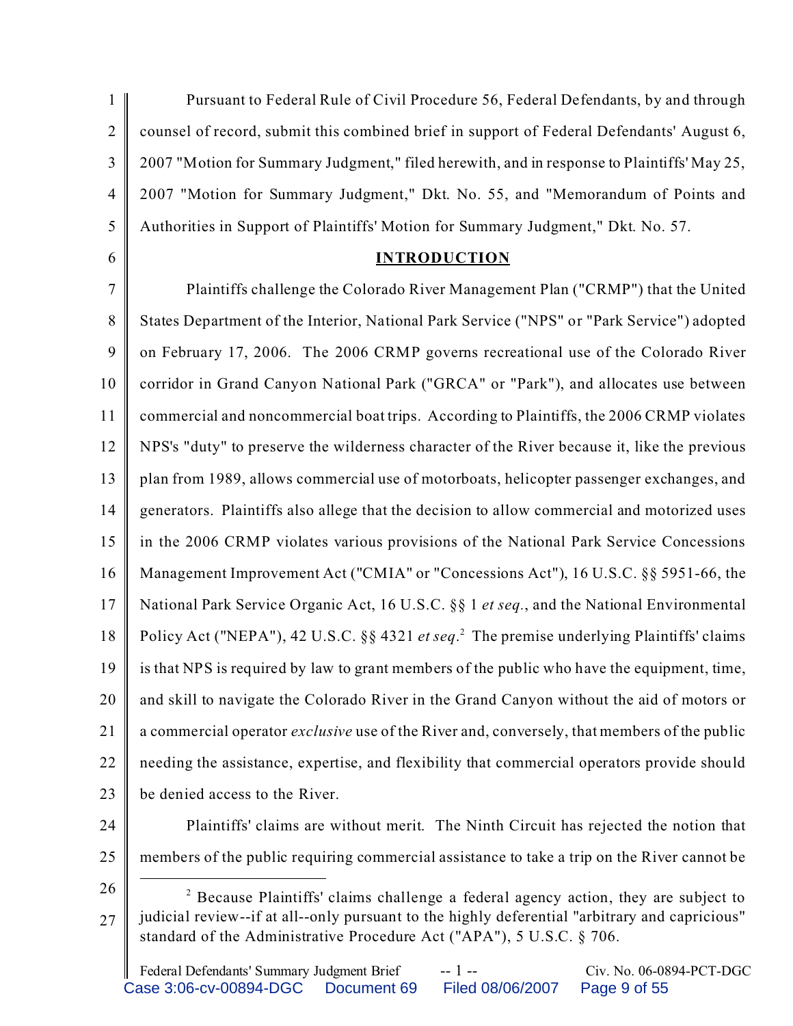1  $\overline{2}$ 3 4 5 Pursuant to Federal Rule of Civil Procedure 56, Federal Defendants, by and through counsel of record, submit this combined brief in support of Federal Defendants' August 6, 2007 "Motion for Summary Judgment," filed herewith, and in response to Plaintiffs' May 25, 2007 "Motion for Summary Judgment," Dkt. No. 55, and "Memorandum of Points and Authorities in Support of Plaintiffs' Motion for Summary Judgment," Dkt. No. 57.

6

#### **INTRODUCTION**

7 8 9 10 11 12 13 14 15 16 17 18 19 20 21 22 23 Plaintiffs challenge the Colorado River Management Plan ("CRMP") that the United States Department of the Interior, National Park Service ("NPS" or "Park Service") adopted on February 17, 2006. The 2006 CRMP governs recreational use of the Colorado River corridor in Grand Canyon National Park ("GRCA" or "Park"), and allocates use between commercial and noncommercial boat trips. According to Plaintiffs, the 2006 CRMP violates NPS's "duty" to preserve the wilderness character of the River because it, like the previous plan from 1989, allows commercial use of motorboats, helicopter passenger exchanges, and generators. Plaintiffs also allege that the decision to allow commercial and motorized uses in the 2006 CRMP violates various provisions of the National Park Service Concessions Management Improvement Act ("CMIA" or "Concessions Act"), 16 U.S.C. §§ 5951-66, the National Park Service Organic Act, 16 U.S.C. §§ 1 *et seq.*, and the National Environmental Policy Act ("NEPA"), 42 U.S.C. §§ 4321 *et seq*. 2 The premise underlying Plaintiffs' claims is that NPS is required by law to grant members of the public who have the equipment, time, and skill to navigate the Colorado River in the Grand Canyon without the aid of motors or a commercial operator *exclusive* use of the River and, conversely, that members of the public needing the assistance, expertise, and flexibility that commercial operators provide should be denied access to the River.

24

Plaintiffs' claims are without merit. The Ninth Circuit has rejected the notion that members of the public requiring commercial assistance to take a trip on the River cannot be

26

25

<sup>27</sup> <sup>2</sup> Because Plaintiffs' claims challenge a federal agency action, they are subject to judicial review--if at all--only pursuant to the highly deferential "arbitrary and capricious" standard of the Administrative Procedure Act ("APA"), 5 U.S.C. § 706.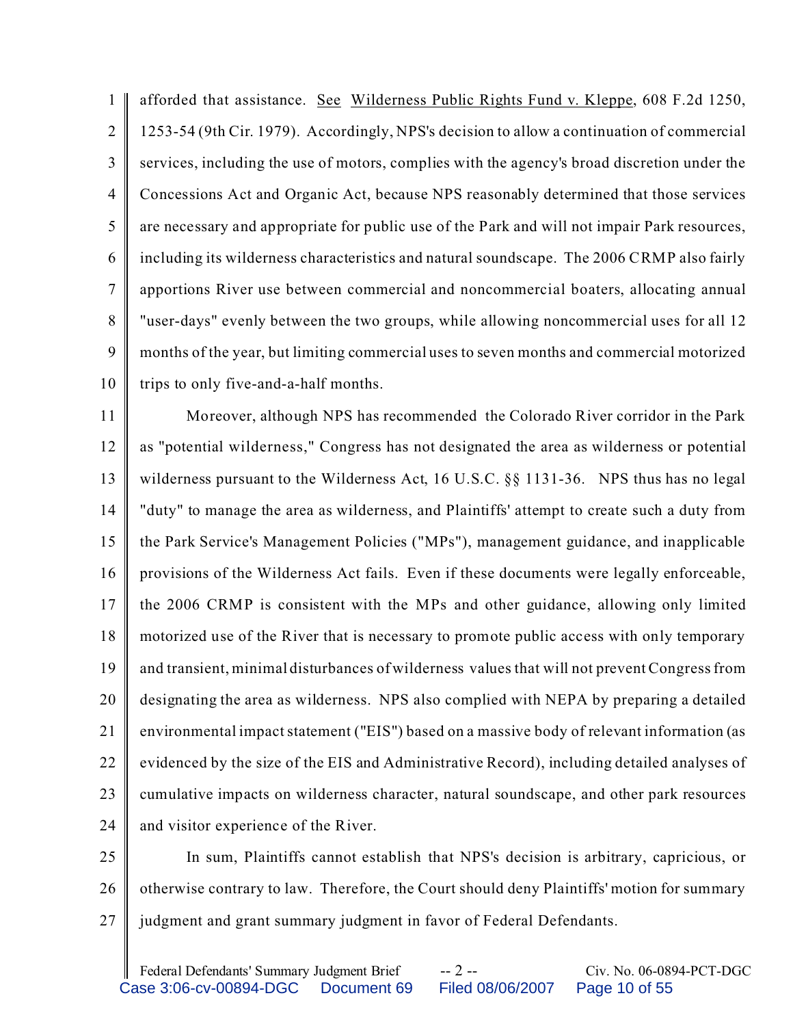1  $\mathfrak{D}$ 3 4 5 6 7 8 9 10 afforded that assistance. See Wilderness Public Rights Fund v. Kleppe, 608 F.2d 1250, 1253-54 (9th Cir. 1979). Accordingly, NPS's decision to allow a continuation of commercial services, including the use of motors, complies with the agency's broad discretion under the Concessions Act and Organic Act, because NPS reasonably determined that those services are necessary and appropriate for public use of the Park and will not impair Park resources, including its wilderness characteristics and natural soundscape. The 2006 CRMP also fairly apportions River use between commercial and noncommercial boaters, allocating annual "user-days" evenly between the two groups, while allowing noncommercial uses for all 12 months of the year, but limiting commercial uses to seven months and commercial motorized trips to only five-and-a-half months.

11 12 13 14 15 16 17 18 19 20 21 22 23 24 Moreover, although NPS has recommended the Colorado River corridor in the Park as "potential wilderness," Congress has not designated the area as wilderness or potential wilderness pursuant to the Wilderness Act,  $16$  U.S.C.  $\S$ § 1131-36. NPS thus has no legal "duty" to manage the area as wilderness, and Plaintiffs' attempt to create such a duty from the Park Service's Management Policies ("MPs"), management guidance, and inapplicable provisions of the Wilderness Act fails. Even if these documents were legally enforceable, the 2006 CRMP is consistent with the MPs and other guidance, allowing only limited motorized use of the River that is necessary to promote public access with only temporary and transient, minimal disturbances of wilderness values that will not prevent Congress from designating the area as wilderness. NPS also complied with NEPA by preparing a detailed environmental impact statement ("EIS") based on a massive body of relevant information (as evidenced by the size of the EIS and Administrative Record), including detailed analyses of cumulative impacts on wilderness character, natural soundscape, and other park resources and visitor experience of the River.

25 26 27 In sum, Plaintiffs cannot establish that NPS's decision is arbitrary, capricious, or otherwise contrary to law. Therefore, the Court should deny Plaintiffs' motion for summary judgment and grant summary judgment in favor of Federal Defendants.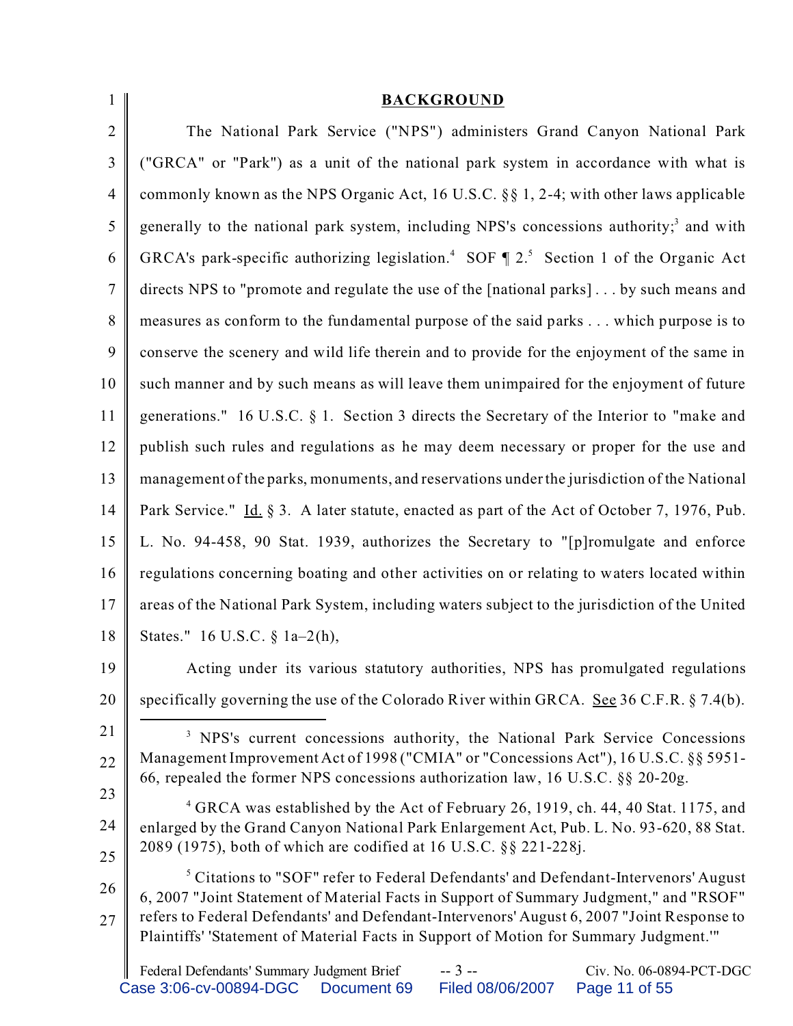| $\mathbf{1}$   | <b>BACKGROUND</b>                                                                                                                                                                        |
|----------------|------------------------------------------------------------------------------------------------------------------------------------------------------------------------------------------|
| $\overline{2}$ | The National Park Service ("NPS") administers Grand Canyon National Park                                                                                                                 |
| 3              | ("GRCA" or "Park") as a unit of the national park system in accordance with what is                                                                                                      |
| $\overline{4}$ | commonly known as the NPS Organic Act, 16 U.S.C. $\S$ 1, 2-4; with other laws applicable                                                                                                 |
| 5              | generally to the national park system, including NPS's concessions authority; <sup>3</sup> and with                                                                                      |
| 6              | GRCA's park-specific authorizing legislation. <sup>4</sup> SOF $\P$ 2. <sup>5</sup> Section 1 of the Organic Act                                                                         |
| $\overline{7}$ | directs NPS to "promote and regulate the use of the [national parks] by such means and                                                                                                   |
| 8              | measures as conform to the fundamental purpose of the said parks which purpose is to                                                                                                     |
| 9              | conserve the scenery and wild life therein and to provide for the enjoyment of the same in                                                                                               |
| 10             | such manner and by such means as will leave them unimpaired for the enjoyment of future                                                                                                  |
| 11             | generations." 16 U.S.C. § 1. Section 3 directs the Secretary of the Interior to "make and                                                                                                |
| 12             | publish such rules and regulations as he may deem necessary or proper for the use and                                                                                                    |
| 13             | management of the parks, monuments, and reservations under the jurisdiction of the National                                                                                              |
| 14             | Park Service." Id. § 3. A later statute, enacted as part of the Act of October 7, 1976, Pub.                                                                                             |
| 15             | L. No. 94-458, 90 Stat. 1939, authorizes the Secretary to "[p]romulgate and enforce                                                                                                      |
| 16             | regulations concerning boating and other activities on or relating to waters located within                                                                                              |
| 17             | areas of the National Park System, including waters subject to the jurisdiction of the United                                                                                            |
| 18             | States." 16 U.S.C. § 1a-2(h),                                                                                                                                                            |
| 19             | Acting under its various statutory authorities, NPS has promulgated regulations                                                                                                          |
| 20             | specifically governing the use of the Colorado River within GRCA. See 36 C.F.R. $\S$ 7.4(b).                                                                                             |
| 21             | <sup>3</sup> NPS's current concessions authority, the National Park Service Concessions                                                                                                  |
| 22             | Management Improvement Act of 1998 ("CMIA" or "Concessions Act"), 16 U.S.C. §§ 5951-<br>66, repealed the former NPS concessions authorization law, 16 U.S.C. §§ 20-20g.                  |
| 23             | <sup>4</sup> GRCA was established by the Act of February 26, 1919, ch. 44, 40 Stat. 1175, and                                                                                            |
| 24             | enlarged by the Grand Canyon National Park Enlargement Act, Pub. L. No. 93-620, 88 Stat.                                                                                                 |
| 25             | 2089 (1975), both of which are codified at 16 U.S.C. §§ 221-228j.                                                                                                                        |
| 26             | <sup>5</sup> Citations to "SOF" refer to Federal Defendants' and Defendant-Intervenors' August<br>6, 2007 "Joint Statement of Material Facts in Support of Summary Judgment," and "RSOF" |
| 27             | refers to Federal Defendants' and Defendant-Intervenors' August 6, 2007 "Joint Response to<br>Plaintiffs' 'Statement of Material Facts in Support of Motion for Summary Judgment.'"      |
|                | Federal Defendants' Summary Judgment Brief<br>$-3 -$<br>Civ. No. 06-0894-PCT-DGC                                                                                                         |

Case 3:06-cv-00894-DGC Document 69 Filed 08/06/2007 Page 11 of 55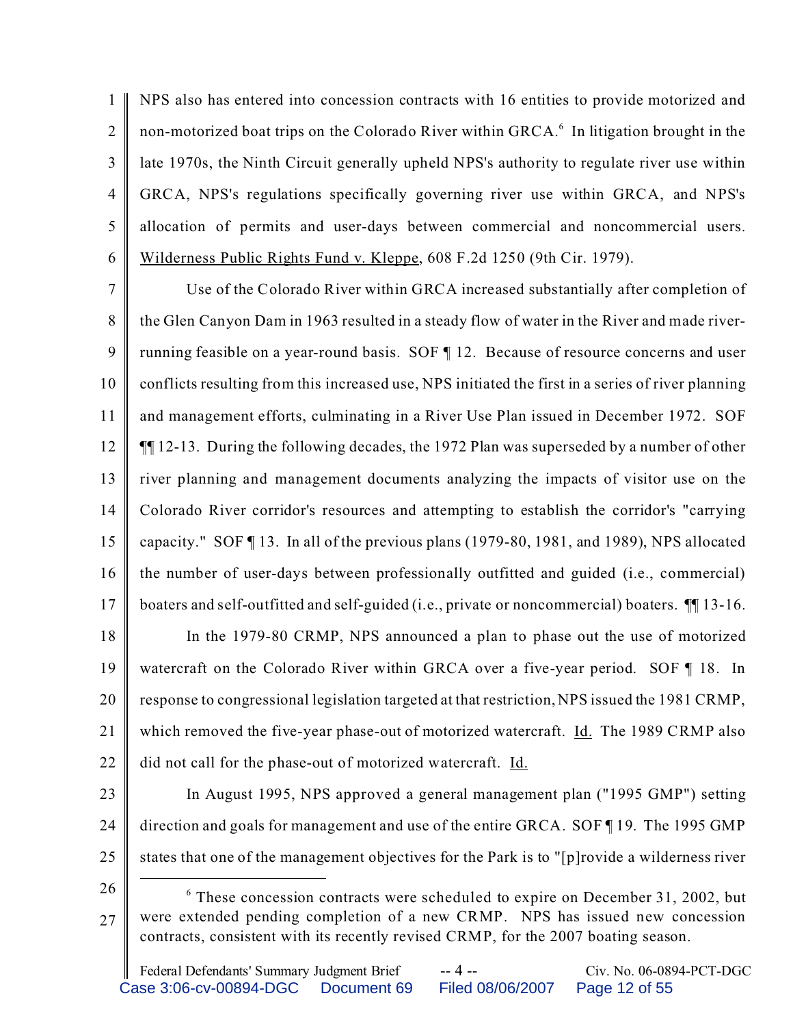1  $\mathfrak{D}$ 3 4 5 6 NPS also has entered into concession contracts with 16 entities to provide motorized and non-motorized boat trips on the Colorado River within GRCA.<sup>6</sup> In litigation brought in the late 1970s, the Ninth Circuit generally upheld NPS's authority to regulate river use within GRCA, NPS's regulations specifically governing river use within GRCA, and NPS's allocation of permits and user-days between commercial and noncommercial users. Wilderness Public Rights Fund v. Kleppe, 608 F.2d 1250 (9th Cir. 1979).

7 8 9 10 11 12 13 14 15 16 17 18 19 Use of the Colorado River within GRCA increased substantially after completion of the Glen Canyon Dam in 1963 resulted in a steady flow of water in the River and made riverrunning feasible on a year-round basis. SOF ¶ 12. Because of resource concerns and user conflicts resulting from this increased use, NPS initiated the first in a series of river planning and management efforts, culminating in a River Use Plan issued in December 1972. SOF ¶¶ 12-13. During the following decades, the 1972 Plan was superseded by a number of other river planning and management documents analyzing the impacts of visitor use on the Colorado River corridor's resources and attempting to establish the corridor's "carrying capacity." SOF ¶ 13. In all of the previous plans (1979-80, 1981, and 1989), NPS allocated the number of user-days between professionally outfitted and guided (i.e., commercial) boaters and self-outfitted and self-guided (i.e., private or noncommercial) boaters. ¶¶ 13-16. In the 1979-80 CRMP, NPS announced a plan to phase out the use of motorized watercraft on the Colorado River within GRCA over a five-year period. SOF 18. In

20 21 response to congressional legislation targeted at that restriction, NPS issued the 1981 CRMP, which removed the five-year phase-out of motorized watercraft. Id. The 1989 CRMP also

- 22 did not call for the phase-out of motorized watercraft. Id.
- 23 24 25 In August 1995, NPS approved a general management plan ("1995 GMP") setting direction and goals for management and use of the entire GRCA. SOF ¶ 19. The 1995 GMP states that one of the management objectives for the Park is to "[p]rovide a wilderness river
- 26

<sup>27</sup> <sup>6</sup> These concession contracts were scheduled to expire on December 31, 2002, but were extended pending completion of a new CRMP. NPS has issued new concession contracts, consistent with its recently revised CRMP, for the 2007 boating season.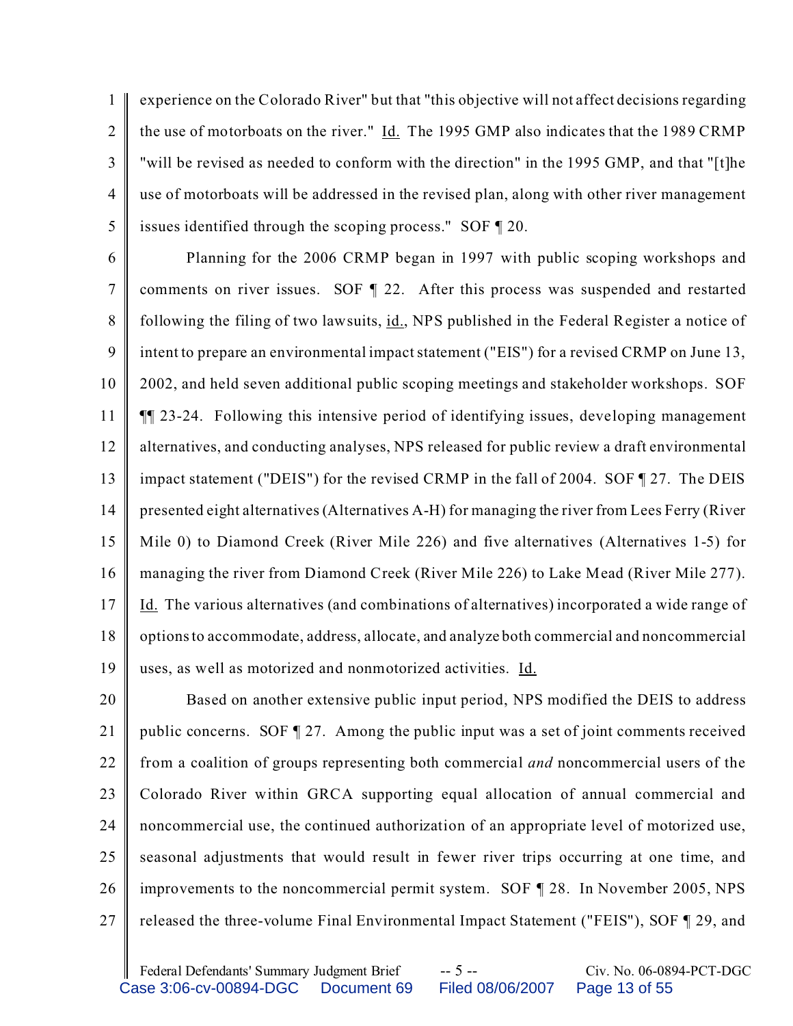1  $\mathfrak{D}$ 3 4 5 experience on the Colorado River" but that "this objective will not affect decisions regarding the use of motorboats on the river." Id. The 1995 GMP also indicates that the 1989 CRMP "will be revised as needed to conform with the direction" in the 1995 GMP, and that "[t]he use of motorboats will be addressed in the revised plan, along with other river management issues identified through the scoping process." SOF ¶ 20.

6 7 8 9 10 11 12 13 14 15 16 17 18 19 Planning for the 2006 CRMP began in 1997 with public scoping workshops and comments on river issues. SOF ¶ 22. After this process was suspended and restarted following the filing of two lawsuits, id., NPS published in the Federal Register a notice of intent to prepare an environmental impact statement ("EIS") for a revised CRMP on June 13, 2002, and held seven additional public scoping meetings and stakeholder workshops. SOF ¶¶ 23-24. Following this intensive period of identifying issues, developing management alternatives, and conducting analyses, NPS released for public review a draft environmental impact statement ("DEIS") for the revised CRMP in the fall of 2004. SOF ¶ 27. The DEIS presented eight alternatives (Alternatives A-H) for managing the river from Lees Ferry (River Mile 0) to Diamond Creek (River Mile 226) and five alternatives (Alternatives 1-5) for managing the river from Diamond Creek (River Mile 226) to Lake Mead (River Mile 277). Id. The various alternatives (and combinations of alternatives) incorporated a wide range of options to accommodate, address, allocate, and analyze both commercial and noncommercial uses, as well as motorized and nonmotorized activities. Id.

20 21 22 23 24 25 26 27 Based on another extensive public input period, NPS modified the DEIS to address public concerns. SOF ¶ 27. Among the public input was a set of joint comments received from a coalition of groups representing both commercial *and* noncommercial users of the Colorado River within GRCA supporting equal allocation of annual commercial and noncommercial use, the continued authorization of an appropriate level of motorized use, seasonal adjustments that would result in fewer river trips occurring at one time, and improvements to the noncommercial permit system. SOF ¶ 28. In November 2005, NPS released the three-volume Final Environmental Impact Statement ("FEIS"), SOF ¶ 29, and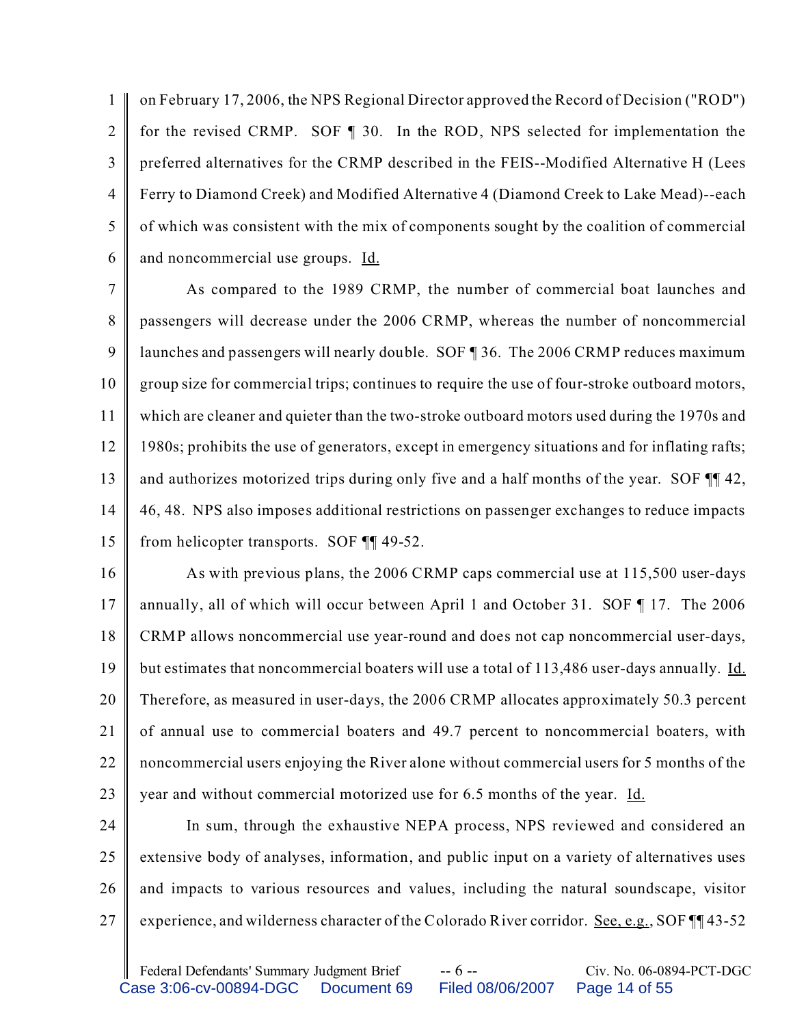1  $\mathfrak{D}$ 3 4 5 6 on February 17, 2006, the NPS Regional Director approved the Record of Decision ("ROD") for the revised CRMP. SOF ¶ 30. In the ROD, NPS selected for implementation the preferred alternatives for the CRMP described in the FEIS--Modified Alternative H (Lees Ferry to Diamond Creek) and Modified Alternative 4 (Diamond Creek to Lake Mead)--each of which was consistent with the mix of components sought by the coalition of commercial and noncommercial use groups. Id.

7 8 9 10 11 12 13 14 15 As compared to the 1989 CRMP, the number of commercial boat launches and passengers will decrease under the 2006 CRMP, whereas the number of noncommercial launches and passengers will nearly double. SOF ¶ 36. The 2006 CRMP reduces maximum group size for commercial trips; continues to require the use of four-stroke outboard motors, which are cleaner and quieter than the two-stroke outboard motors used during the 1970s and 1980s; prohibits the use of generators, except in emergency situations and for inflating rafts; and authorizes motorized trips during only five and a half months of the year. SOF ¶¶ 42, 46, 48. NPS also imposes additional restrictions on passenger exchanges to reduce impacts from helicopter transports. SOF ¶¶ 49-52.

16 17 18 19 20 21 22 23 As with previous plans, the 2006 CRMP caps commercial use at 115,500 user-days annually, all of which will occur between April 1 and October 31. SOF ¶ 17. The 2006 CRMP allows noncommercial use year-round and does not cap noncommercial user-days, but estimates that noncommercial boaters will use a total of 113,486 user-days annually. Id. Therefore, as measured in user-days, the 2006 CRMP allocates approximately 50.3 percent of annual use to commercial boaters and 49.7 percent to noncommercial boaters, with noncommercial users enjoying the River alone without commercial users for 5 months of the year and without commercial motorized use for 6.5 months of the year. Id.

24 25 26 27 In sum, through the exhaustive NEPA process, NPS reviewed and considered an extensive body of analyses, information, and public input on a variety of alternatives uses and impacts to various resources and values, including the natural soundscape, visitor experience, and wilderness character of the Colorado River corridor. See, e.g., SOF  $\P$  43-52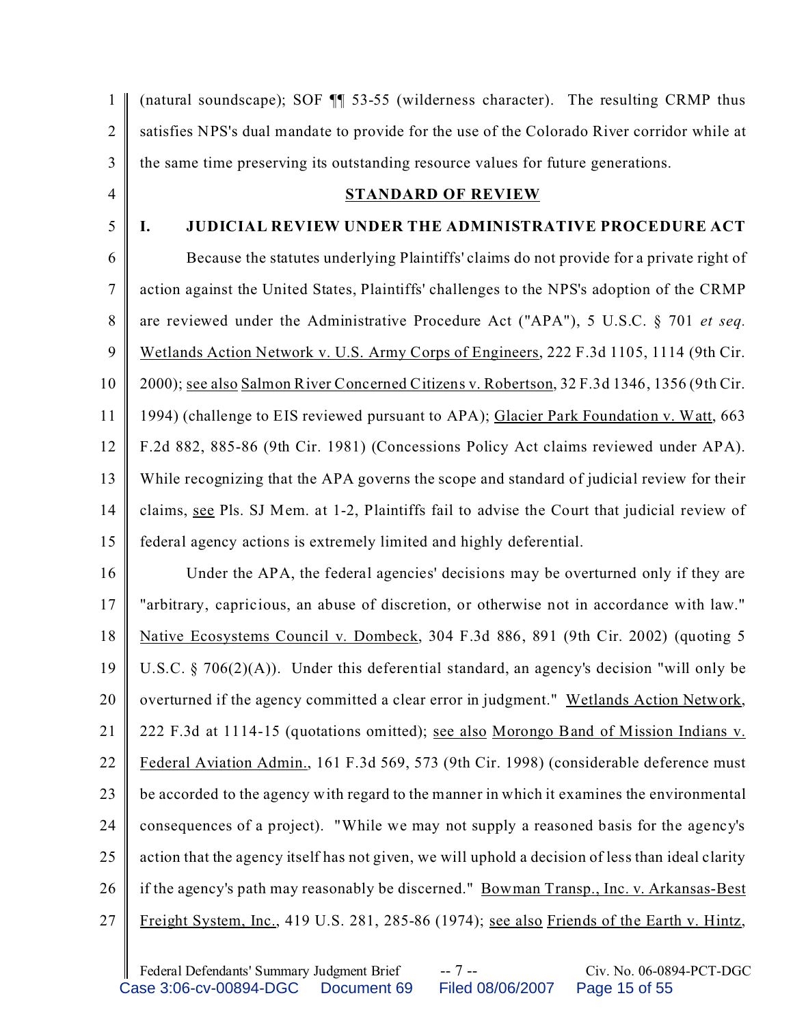| 1              | (natural soundscape); SOF 11 53-55 (wilderness character). The resulting CRMP thus                |
|----------------|---------------------------------------------------------------------------------------------------|
| $\overline{2}$ | satisfies NPS's dual mandate to provide for the use of the Colorado River corridor while at       |
| 3              | the same time preserving its outstanding resource values for future generations.                  |
| $\overline{4}$ | <b>STANDARD OF REVIEW</b>                                                                         |
| 5              | <b>JUDICIAL REVIEW UNDER THE ADMINISTRATIVE PROCEDURE ACT</b><br>Ι.                               |
| 6              | Because the statutes underlying Plaintiffs' claims do not provide for a private right of          |
| $\overline{7}$ | action against the United States, Plaintiffs' challenges to the NPS's adoption of the CRMP        |
| 8              | are reviewed under the Administrative Procedure Act ("APA"), 5 U.S.C. § 701 et seq.               |
| 9              | Wetlands Action Network v. U.S. Army Corps of Engineers, 222 F.3d 1105, 1114 (9th Cir.            |
| 10             | 2000); see also Salmon River Concerned Citizens v. Robertson, 32 F.3d 1346, 1356 (9th Cir.        |
| 11             | 1994) (challenge to EIS reviewed pursuant to APA); Glacier Park Foundation v. Watt, 663           |
| 12             | F.2d 882, 885-86 (9th Cir. 1981) (Concessions Policy Act claims reviewed under APA).              |
| 13             | While recognizing that the APA governs the scope and standard of judicial review for their        |
| 14             | claims, see Pls. SJ Mem. at 1-2, Plaintiffs fail to advise the Court that judicial review of      |
| 15             | federal agency actions is extremely limited and highly deferential.                               |
| 16             | Under the APA, the federal agencies' decisions may be overturned only if they are                 |
| 17             | "arbitrary, capricious, an abuse of discretion, or otherwise not in accordance with law."         |
| 18             | Native Ecosystems Council v. Dombeck, 304 F.3d 886, 891 (9th Cir. 2002) (quoting 5                |
| 19             | U.S.C. § 706(2)(A)). Under this deferential standard, an agency's decision "will only be          |
| 20             | overturned if the agency committed a clear error in judgment." Wetlands Action Network,           |
| 21             | 222 F.3d at 1114-15 (quotations omitted); see also Morongo Band of Mission Indians v.             |
| 22             | Federal Aviation Admin., 161 F.3d 569, 573 (9th Cir. 1998) (considerable deference must           |
| 23             | be accorded to the agency with regard to the manner in which it examines the environmental        |
| 24             | consequences of a project). "While we may not supply a reasoned basis for the agency's            |
| 25             | action that the agency itself has not given, we will uphold a decision of less than ideal clarity |
| 26             | if the agency's path may reasonably be discerned." Bowman Transp., Inc. v. Arkansas-Best          |
| 27             | Freight System, Inc., 419 U.S. 281, 285-86 (1974); see also Friends of the Earth v. Hintz,        |
|                |                                                                                                   |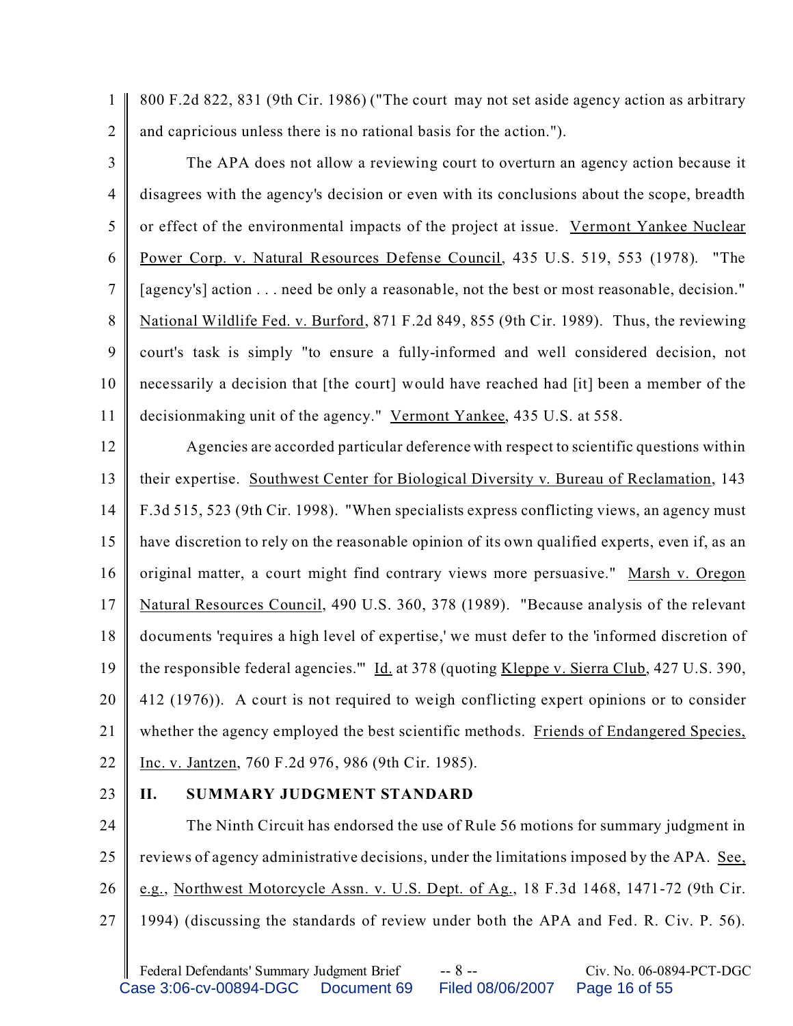1 2 800 F.2d 822, 831 (9th Cir. 1986) ("The court may not set aside agency action as arbitrary and capricious unless there is no rational basis for the action.").

3 4 5 6 7 8 9 10 11 The APA does not allow a reviewing court to overturn an agency action because it disagrees with the agency's decision or even with its conclusions about the scope, breadth or effect of the environmental impacts of the project at issue. Vermont Yankee Nuclear Power Corp. v. Natural Resources Defense Council, 435 U.S. 519, 553 (1978). "The [agency's] action . . . need be only a reasonable, not the best or most reasonable, decision." National Wildlife Fed. v. Burford, 871 F.2d 849, 855 (9th Cir. 1989). Thus, the reviewing court's task is simply "to ensure a fully-informed and well considered decision, not necessarily a decision that [the court] would have reached had [it] been a member of the decisionmaking unit of the agency." Vermont Yankee, 435 U.S. at 558.

12 13 14 15 16 17 18 19 20 21 22 Agencies are accorded particular deference with respect to scientific questions within their expertise. Southwest Center for Biological Diversity v. Bureau of Reclamation, 143 F.3d 515, 523 (9th Cir. 1998). "When specialists express conflicting views, an agency must have discretion to rely on the reasonable opinion of its own qualified experts, even if, as an original matter, a court might find contrary views more persuasive." Marsh v. Oregon Natural Resources Council, 490 U.S. 360, 378 (1989). "Because analysis of the relevant documents 'requires a high level of expertise,' we must defer to the 'informed discretion of the responsible federal agencies." Id. at 378 (quoting Kleppe v. Sierra Club, 427 U.S. 390, 412 (1976)). A court is not required to weigh conflicting expert opinions or to consider whether the agency employed the best scientific methods. Friends of Endangered Species, Inc. v. Jantzen, 760 F.2d 976, 986 (9th Cir. 1985).

23

## **II. SUMMARY JUDGMENT STANDARD**

24 25 26 27 The Ninth Circuit has endorsed the use of Rule 56 motions for summary judgment in reviews of agency administrative decisions, under the limitations imposed by the APA. See, e.g., Northwest Motorcycle Assn. v. U.S. Dept. of Ag., 18 F.3d 1468, 1471-72 (9th Cir. 1994) (discussing the standards of review under both the APA and Fed. R. Civ. P. 56).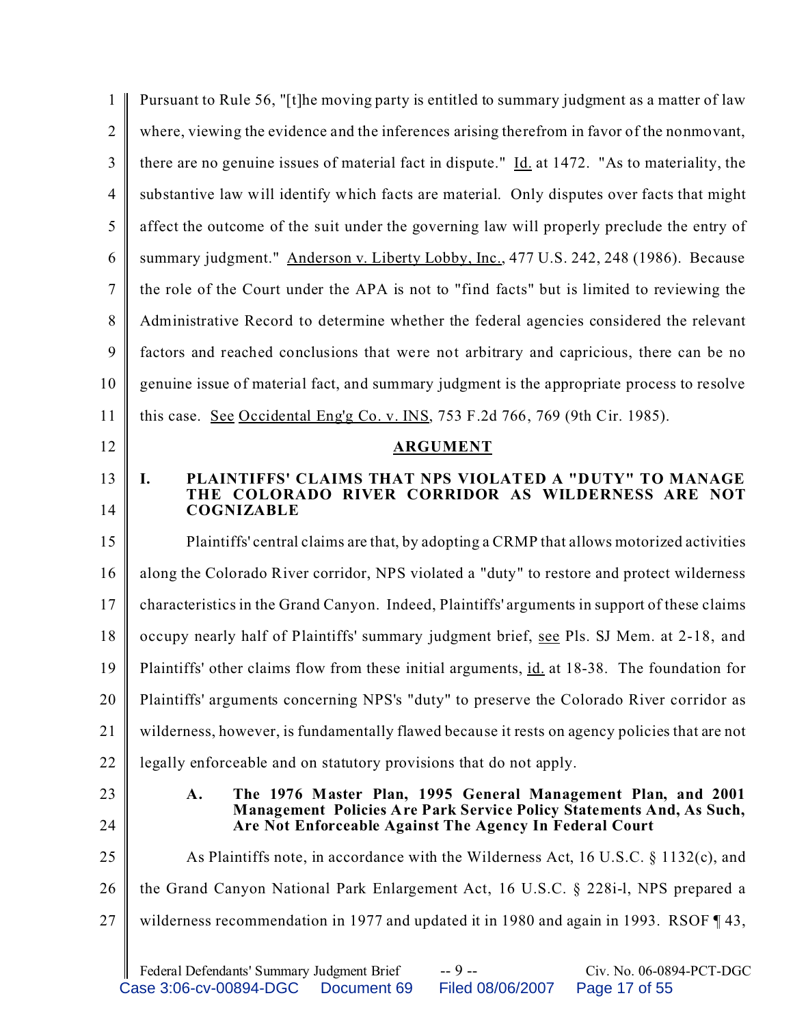| 1              | Pursuant to Rule 56, "[t] he moving party is entitled to summary judgment as a matter of law                                                                   |
|----------------|----------------------------------------------------------------------------------------------------------------------------------------------------------------|
| $\overline{2}$ | where, viewing the evidence and the inferences arising therefrom in favor of the nonmovant,                                                                    |
| 3              | there are no genuine issues of material fact in dispute." $\underline{Id}$ at 1472. "As to materiality, the                                                    |
| $\overline{4}$ | substantive law will identify which facts are material. Only disputes over facts that might                                                                    |
| 5              | affect the outcome of the suit under the governing law will properly preclude the entry of                                                                     |
| 6              | summary judgment." Anderson v. Liberty Lobby, Inc., 477 U.S. 242, 248 (1986). Because                                                                          |
| 7              | the role of the Court under the APA is not to "find facts" but is limited to reviewing the                                                                     |
| 8              | Administrative Record to determine whether the federal agencies considered the relevant                                                                        |
| 9              | factors and reached conclusions that were not arbitrary and capricious, there can be no                                                                        |
| 10             | genuine issue of material fact, and summary judgment is the appropriate process to resolve                                                                     |
| 11             | this case. See Occidental Englg Co. v. INS, 753 F.2d 766, 769 (9th Cir. 1985).                                                                                 |
| 12             | <b>ARGUMENT</b>                                                                                                                                                |
| 13             | PLAINTIFFS' CLAIMS THAT NPS VIOLATED A "DUTY" TO MANAGE<br>I.                                                                                                  |
| 14             | THE COLORADO RIVER CORRIDOR AS WILDERNESS ARE NOT<br><b>COGNIZABLE</b>                                                                                         |
| 15             | Plaintiffs' central claims are that, by adopting a CRMP that allows motorized activities                                                                       |
| 16             | along the Colorado River corridor, NPS violated a "duty" to restore and protect wilderness                                                                     |
| 17             | characteristics in the Grand Canyon. Indeed, Plaintiffs' arguments in support of these claims                                                                  |
| 18             | occupy nearly half of Plaintiffs' summary judgment brief, see Pls. SJ Mem. at 2-18, and                                                                        |
| 19             | Plaintiffs' other claims flow from these initial arguments, id. at 18-38. The foundation for                                                                   |
| 20             | Plaintiffs' arguments concerning NPS's "duty" to preserve the Colorado River corridor as                                                                       |
| 21             | wilderness, however, is fundamentally flawed because it rests on agency policies that are not                                                                  |
| 22             | legally enforceable and on statutory provisions that do not apply.                                                                                             |
| 23             | The 1976 Master Plan, 1995 General Management Plan, and 2001<br>A.                                                                                             |
| 24             | Management Policies Are Park Service Policy Statements And, As Such,<br>Are Not Enforceable Against The Agency In Federal Court                                |
| 25             | As Plaintiffs note, in accordance with the Wilderness Act, 16 U.S.C. $\S 1132(c)$ , and                                                                        |
| 26             | the Grand Canyon National Park Enlargement Act, 16 U.S.C. § 228i-l, NPS prepared a                                                                             |
| 27             | wilderness recommendation in 1977 and updated it in 1980 and again in 1993. RSOF $\P$ 43,                                                                      |
|                | $-9 -$<br>Federal Defendants' Summary Judgment Brief<br>Civ. No. 06-0894-PCT-DGC<br>Case 3:06-cv-00894-DGC<br>Document 69<br>Filed 08/06/2007<br>Page 17 of 55 |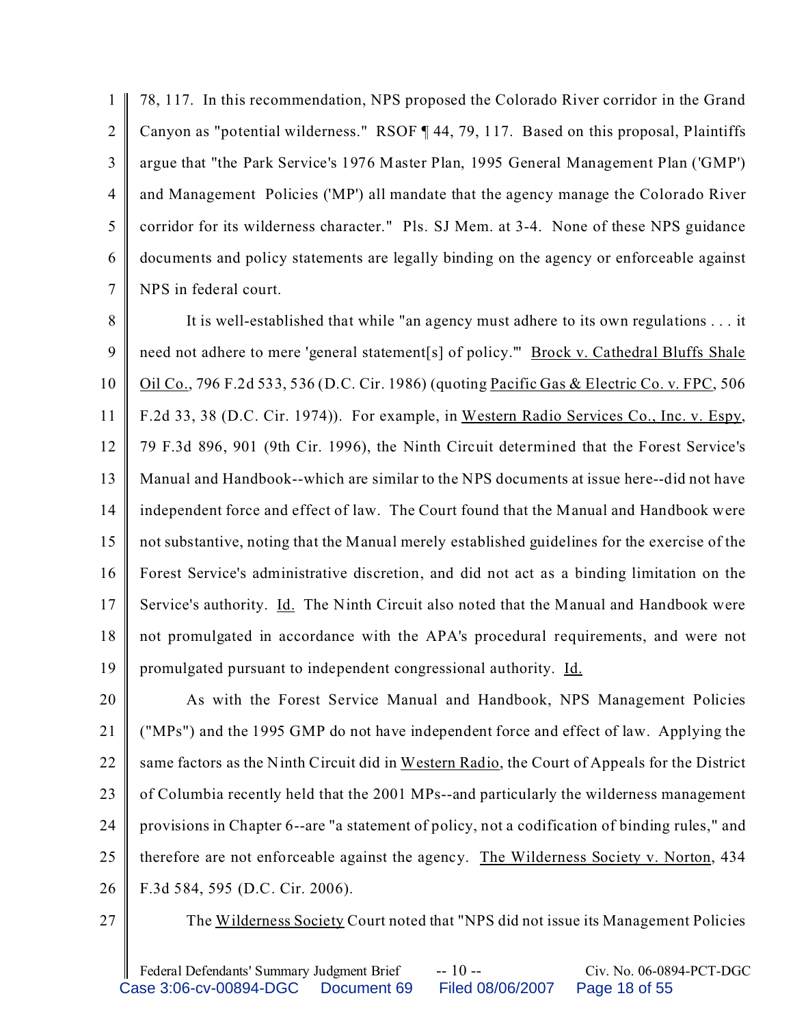1  $\mathfrak{D}$ 3 4 5 6 7 78, 117. In this recommendation, NPS proposed the Colorado River corridor in the Grand Canyon as "potential wilderness." RSOF ¶ 44, 79, 117. Based on this proposal, Plaintiffs argue that "the Park Service's 1976 Master Plan, 1995 General Management Plan ('GMP') and Management Policies ('MP') all mandate that the agency manage the Colorado River corridor for its wilderness character." Pls. SJ Mem. at 3-4. None of these NPS guidance documents and policy statements are legally binding on the agency or enforceable against NPS in federal court.

8 9 10 11 12 13 14 15 16 17 18 19 It is well-established that while "an agency must adhere to its own regulations . . . it need not adhere to mere 'general statement[s] of policy."" Brock v. Cathedral Bluffs Shale Oil Co., 796 F.2d 533, 536 (D.C. Cir. 1986) (quoting Pacific Gas & Electric Co. v. FPC, 506 F.2d 33, 38 (D.C. Cir. 1974)). For example, in Western Radio Services Co., Inc. v. Espy, 79 F.3d 896, 901 (9th Cir. 1996), the Ninth Circuit determined that the Forest Service's Manual and Handbook--which are similar to the NPS documents at issue here--did not have independent force and effect of law. The Court found that the Manual and Handbook were not substantive, noting that the Manual merely established guidelines for the exercise of the Forest Service's administrative discretion, and did not act as a binding limitation on the Service's authority. *Id.* The Ninth Circuit also noted that the Manual and Handbook were not promulgated in accordance with the APA's procedural requirements, and were not promulgated pursuant to independent congressional authority. Id.

20 21 22 23 24 25 26 As with the Forest Service Manual and Handbook, NPS Management Policies ("MPs") and the 1995 GMP do not have independent force and effect of law. Applying the same factors as the Ninth Circuit did in Western Radio, the Court of Appeals for the District of Columbia recently held that the 2001 MPs--and particularly the wilderness management provisions in Chapter 6--are "a statement of policy, not a codification of binding rules," and therefore are not enforceable against the agency. The Wilderness Society v. Norton, 434 F.3d 584, 595 (D.C. Cir. 2006).

27

The Wilderness Society Court noted that "NPS did not issue its Management Policies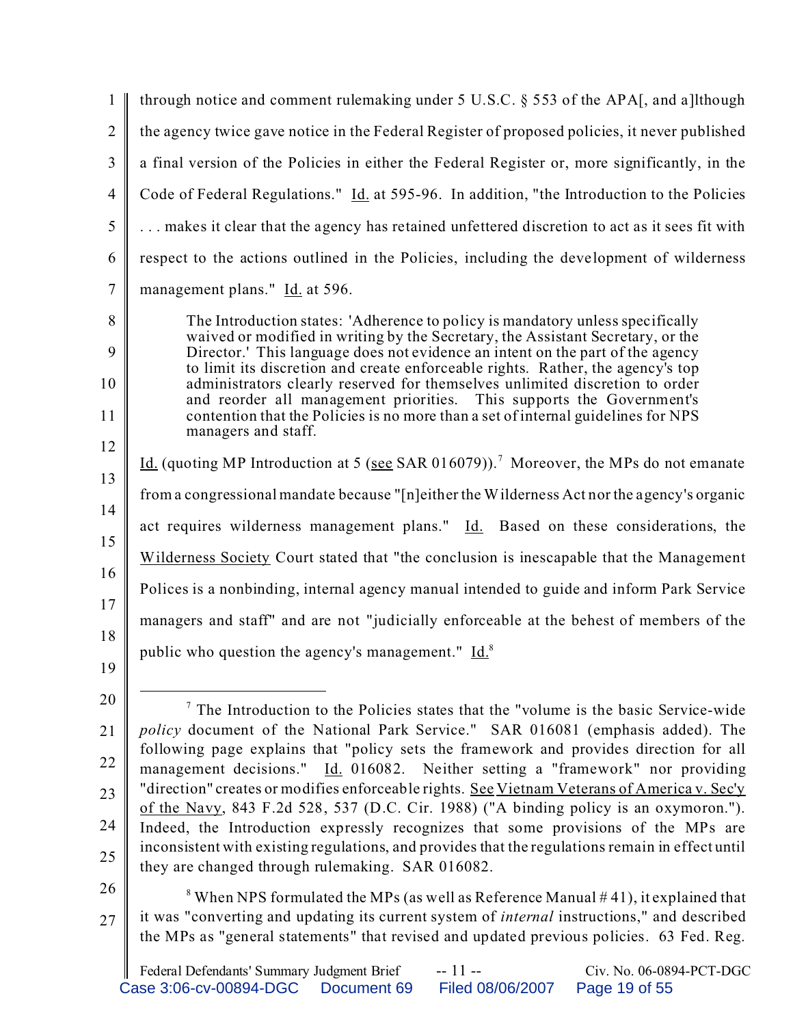| $\mathbf{1}$   | through notice and comment rulemaking under 5 U.S.C. § 553 of the APA[, and a]lthough                                                                                                                                                               |
|----------------|-----------------------------------------------------------------------------------------------------------------------------------------------------------------------------------------------------------------------------------------------------|
| $\overline{2}$ | the agency twice gave notice in the Federal Register of proposed policies, it never published                                                                                                                                                       |
| 3              | a final version of the Policies in either the Federal Register or, more significantly, in the                                                                                                                                                       |
| $\overline{4}$ | Code of Federal Regulations." Id. at 595-96. In addition, "the Introduction to the Policies                                                                                                                                                         |
| $\mathfrak{S}$ | makes it clear that the agency has retained unfettered discretion to act as it sees fit with                                                                                                                                                        |
| 6              | respect to the actions outlined in the Policies, including the development of wilderness                                                                                                                                                            |
| $\tau$         | management plans." Id. at 596.                                                                                                                                                                                                                      |
| 8<br>9         | The Introduction states: 'Adherence to policy is mandatory unless specifically<br>waived or modified in writing by the Secretary, the Assistant Secretary, or the<br>Director.' This language does not evidence an intent on the part of the agency |
| 10             | to limit its discretion and create enforceable rights. Rather, the agency's top<br>administrators clearly reserved for themselves unlimited discretion to order                                                                                     |
| 11             | and reorder all management priorities. This supports the Government's<br>contention that the Policies is no more than a set of internal guidelines for NPS                                                                                          |
| 12             | managers and staff.                                                                                                                                                                                                                                 |
| 13             | Id. (quoting MP Introduction at 5 (see SAR 016079)). <sup>7</sup> Moreover, the MPs do not emanate                                                                                                                                                  |
| 14             | from a congressional mandate because "[n]either the Wilderness Act nor the agency's organic                                                                                                                                                         |
| 15             | act requires wilderness management plans." Id. Based on these considerations, the                                                                                                                                                                   |
| 16             | Wilderness Society Court stated that "the conclusion is inescapable that the Management                                                                                                                                                             |
| 17             | Polices is a nonbinding, internal agency manual intended to guide and inform Park Service                                                                                                                                                           |
| 18             | managers and staff" and are not "judicially enforceable at the behest of members of the                                                                                                                                                             |
| 19             | public who question the agency's management." Id. <sup>8</sup>                                                                                                                                                                                      |
| 20             |                                                                                                                                                                                                                                                     |
| 21             | $\frac{7}{7}$ The Introduction to the Policies states that the "volume is the basic Service-wide<br><i>policy</i> document of the National Park Service." SAR 016081 (emphasis added). The                                                          |
| 22             | following page explains that "policy sets the framework and provides direction for all<br>management decisions." Id. 016082. Neither setting a "framework" nor providing                                                                            |
| 23             | "direction" creates or modifies enforceable rights. See Vietnam Veterans of America v. Sec'y                                                                                                                                                        |
| 24             | of the Navy, 843 F.2d 528, 537 (D.C. Cir. 1988) ("A binding policy is an oxymoron.").<br>Indeed, the Introduction expressly recognizes that some provisions of the MPs are                                                                          |
| 25             | inconsistent with existing regulations, and provides that the regulations remain in effect until                                                                                                                                                    |
| $\bigcap$      | they are changed through rulemaking. SAR 016082.                                                                                                                                                                                                    |

26

27  $8$  When NPS formulated the MPs (as well as Reference Manual  $#41$ ), it explained that it was "converting and updating its current system of *internal* instructions," and described the MPs as "general statements" that revised and updated previous policies. 63 Fed. Reg.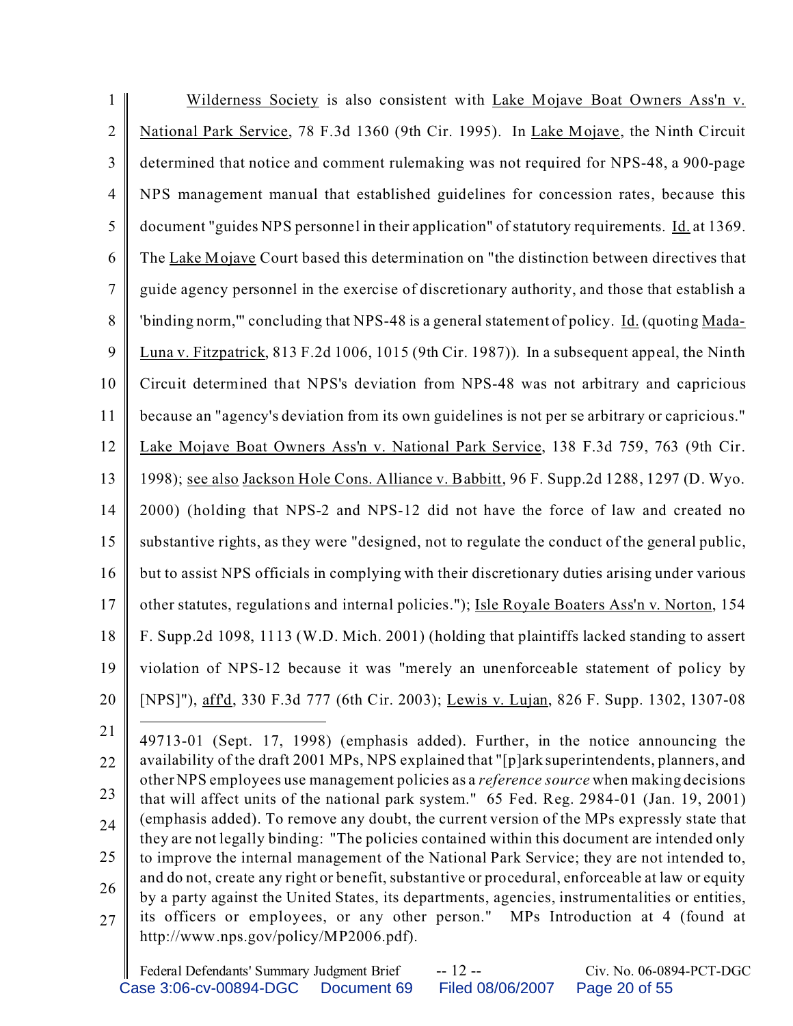| $\mathbf{1}$   | Wilderness Society is also consistent with Lake Mojave Boat Owners Ass'n v.                                                                                                                     |
|----------------|-------------------------------------------------------------------------------------------------------------------------------------------------------------------------------------------------|
| $\overline{2}$ | National Park Service, 78 F.3d 1360 (9th Cir. 1995). In Lake Mojave, the Ninth Circuit                                                                                                          |
| 3              | determined that notice and comment rulemaking was not required for NPS-48, a 900-page                                                                                                           |
| $\overline{4}$ | NPS management manual that established guidelines for concession rates, because this                                                                                                            |
| 5              | document "guides NPS personnel in their application" of statutory requirements. Id. at 1369.                                                                                                    |
| 6              | The Lake Mojave Court based this determination on "the distinction between directives that                                                                                                      |
| 7              | guide agency personnel in the exercise of discretionary authority, and those that establish a                                                                                                   |
| 8              | 'binding norm," concluding that NPS-48 is a general statement of policy. Id. (quoting Mada-                                                                                                     |
| 9              | Luna v. Fitzpatrick, 813 F.2d 1006, 1015 (9th Cir. 1987)). In a subsequent appeal, the Ninth                                                                                                    |
| 10             | Circuit determined that NPS's deviation from NPS-48 was not arbitrary and capricious                                                                                                            |
| 11             | because an "agency's deviation from its own guidelines is not per se arbitrary or capricious."                                                                                                  |
| 12             | Lake Mojave Boat Owners Ass'n v. National Park Service, 138 F.3d 759, 763 (9th Cir.                                                                                                             |
| 13             | 1998); see also Jackson Hole Cons. Alliance v. Babbitt, 96 F. Supp.2d 1288, 1297 (D. Wyo.                                                                                                       |
| 14             | 2000) (holding that NPS-2 and NPS-12 did not have the force of law and created no                                                                                                               |
| 15             | substantive rights, as they were "designed, not to regulate the conduct of the general public,                                                                                                  |
| 16             | but to assist NPS officials in complying with their discretionary duties arising under various                                                                                                  |
| 17             | other statutes, regulations and internal policies."); Isle Royale Boaters Ass'n v. Norton, 154                                                                                                  |
| 18             | F. Supp.2d 1098, 1113 (W.D. Mich. 2001) (holding that plaintiffs lacked standing to assert                                                                                                      |
| 19             | violation of NPS-12 because it was "merely an unenforceable statement of policy by                                                                                                              |
| 20             | [NPS]"), affd, 330 F.3d 777 (6th Cir. 2003); Lewis v. Lujan, 826 F. Supp. 1302, 1307-08                                                                                                         |
| 21             | 49713-01 (Sept. 17, 1998) (emphasis added). Further, in the notice announcing the                                                                                                               |
| 22             | availability of the draft 2001 MPs, NPS explained that "[p]ark superintendents, planners, and<br>other NPS employees use management policies as a <i>reference source</i> when making decisions |
| 23             | that will affect units of the national park system." 65 Fed. Reg. 2984-01 (Jan. 19, 2001)                                                                                                       |
| 24             | (emphasis added). To remove any doubt, the current version of the MPs expressly state that                                                                                                      |

25 26 27 they are not legally binding: "The policies contained within this document are intended only to improve the internal management of the National Park Service; they are not intended to, and do not, create any right or benefit, substantive or procedural, enforceable at law or equity by a party against the United States, its departments, agencies, instrumentalities or entities, its officers or employees, or any other person." MPs Introduction at 4 (found at

http://www.nps.gov/policy/MP2006.pdf).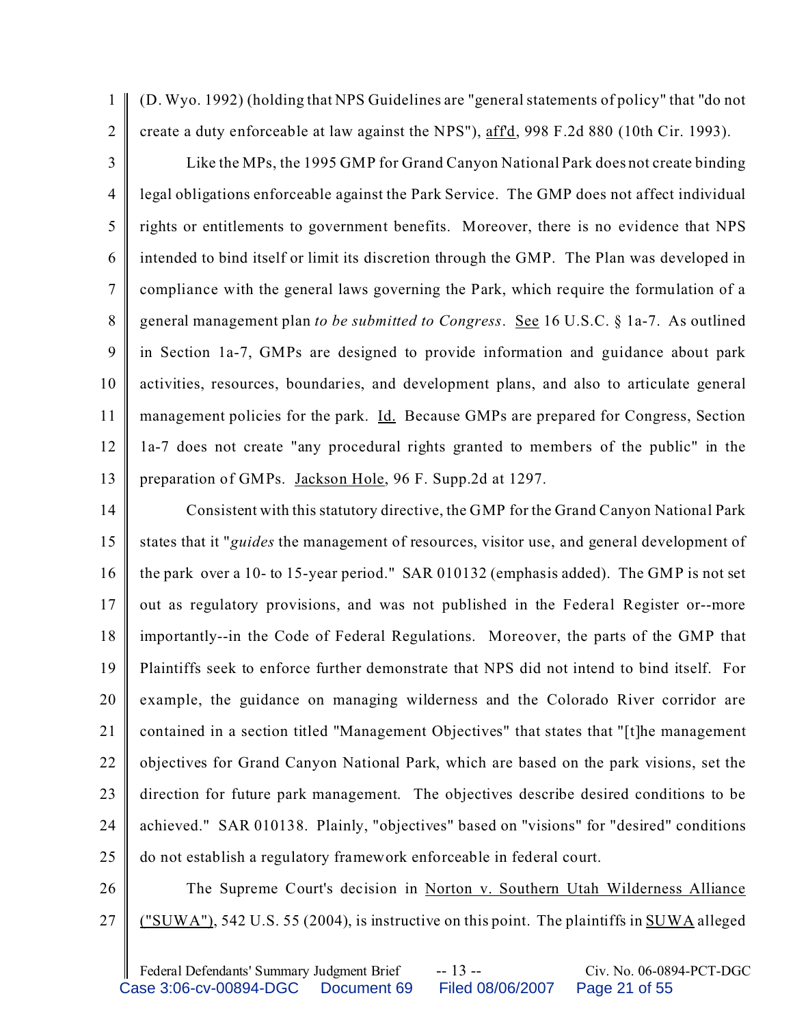1 2 (D. Wyo. 1992) (holding that NPS Guidelines are "general statements of policy" that "do not create a duty enforceable at law against the NPS"), aff'd, 998 F.2d 880 (10th Cir. 1993).

3 4 5 6 7 8 9 10 11 12 13 Like the MPs, the 1995 GMP for Grand Canyon National Park does not create binding legal obligations enforceable against the Park Service. The GMP does not affect individual rights or entitlements to government benefits. Moreover, there is no evidence that NPS intended to bind itself or limit its discretion through the GMP. The Plan was developed in compliance with the general laws governing the Park, which require the formulation of a general management plan *to be submitted to Congress*. See 16 U.S.C. § 1a-7. As outlined in Section 1a-7, GMPs are designed to provide information and guidance about park activities, resources, boundaries, and development plans, and also to articulate general management policies for the park. Id. Because GMPs are prepared for Congress, Section 1a-7 does not create "any procedural rights granted to members of the public" in the preparation of GMPs. Jackson Hole, 96 F. Supp.2d at 1297.

14 15 16 17 18 19 20 21 22 23 24 25 Consistent with this statutory directive, the GMP for the Grand Canyon National Park states that it "*guides* the management of resources, visitor use, and general development of the park over a 10- to 15-year period." SAR 010132 (emphasis added). The GMP is not set out as regulatory provisions, and was not published in the Federal Register or--more importantly--in the Code of Federal Regulations. Moreover, the parts of the GMP that Plaintiffs seek to enforce further demonstrate that NPS did not intend to bind itself. For example, the guidance on managing wilderness and the Colorado River corridor are contained in a section titled "Management Objectives" that states that "[t]he management objectives for Grand Canyon National Park, which are based on the park visions, set the direction for future park management. The objectives describe desired conditions to be achieved." SAR 010138. Plainly, "objectives" based on "visions" for "desired" conditions do not establish a regulatory framework enforceable in federal court.

26 27 The Supreme Court's decision in Norton v. Southern Utah Wilderness Alliance ("SUWA"), 542 U.S. 55 (2004), is instructive on this point. The plaintiffs in SUWA alleged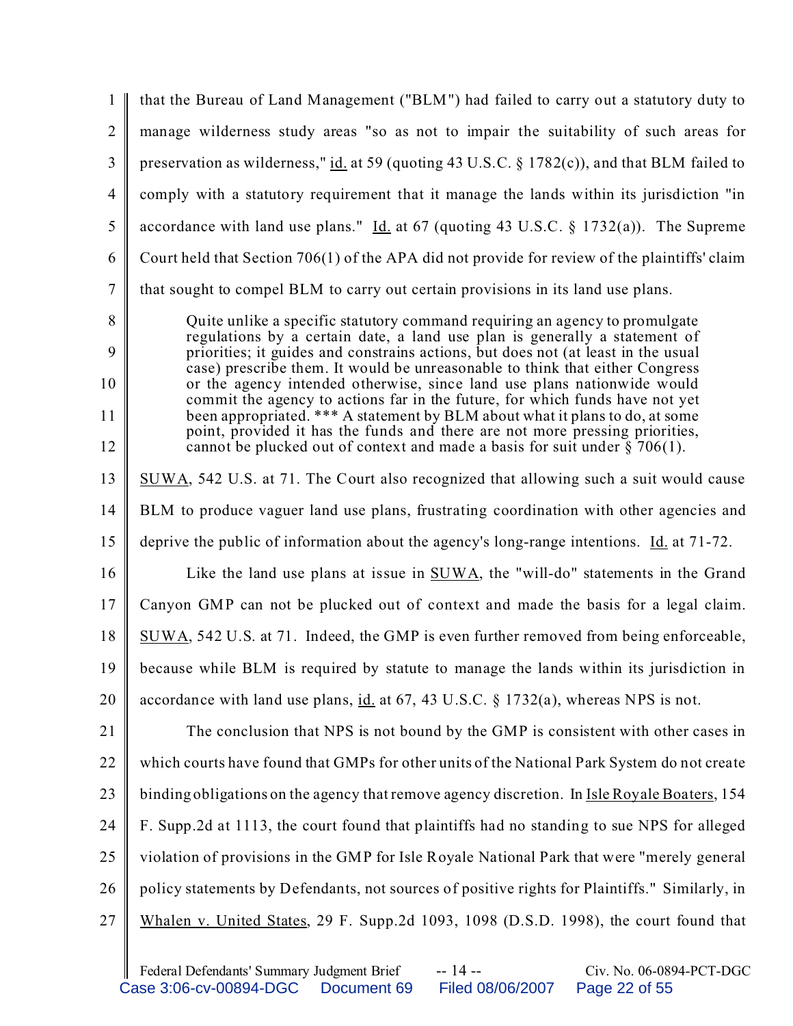|                | that the Bureau of Land Management ("BLM") had failed to carry out a statutory duty to                                                                          |  |  |
|----------------|-----------------------------------------------------------------------------------------------------------------------------------------------------------------|--|--|
| $\overline{2}$ | manage wilderness study areas "so as not to impair the suitability of such areas for                                                                            |  |  |
| 3              | preservation as wilderness," id. at 59 (quoting 43 U.S.C. $\S$ 1782(c)), and that BLM failed to                                                                 |  |  |
| $\overline{4}$ | comply with a statutory requirement that it manage the lands within its jurisdiction "in                                                                        |  |  |
| 5              | accordance with land use plans." Id. at 67 (quoting 43 U.S.C. § 1732(a)). The Supreme                                                                           |  |  |
| 6              | Court held that Section 706(1) of the APA did not provide for review of the plaintiffs' claim                                                                   |  |  |
| $\overline{7}$ | that sought to compel BLM to carry out certain provisions in its land use plans.                                                                                |  |  |
| 8              | Quite unlike a specific statutory command requiring an agency to promulgate                                                                                     |  |  |
| 9              | regulations by a certain date, a land use plan is generally a statement of<br>priorities; it guides and constrains actions, but does not (at least in the usual |  |  |
| 10             | case) prescribe them. It would be unreasonable to think that either Congress<br>or the agency intended otherwise, since land use plans nationwide would         |  |  |
| 11             | commit the agency to actions far in the future, for which funds have not yet<br>been appropriated. *** A statement by BLM about what it plans to do, at some    |  |  |
| 12             | point, provided it has the funds and there are not more pressing priorities,<br>cannot be plucked out of context and made a basis for suit under $\S$ 706(1).   |  |  |
| 13             | SUWA, 542 U.S. at 71. The Court also recognized that allowing such a suit would cause                                                                           |  |  |
| 14             | BLM to produce vaguer land use plans, frustrating coordination with other agencies and                                                                          |  |  |
| 15             | deprive the public of information about the agency's long-range intentions. Id. at 71-72.                                                                       |  |  |
| 16             | Like the land use plans at issue in $SUWA$ , the "will-do" statements in the Grand                                                                              |  |  |
| 17             | Canyon GMP can not be plucked out of context and made the basis for a legal claim.                                                                              |  |  |
| 18             | SUWA, 542 U.S. at 71. Indeed, the GMP is even further removed from being enforceable,                                                                           |  |  |
| 19             | because while BLM is required by statute to manage the lands within its jurisdiction in                                                                         |  |  |
| 20             | accordance with land use plans, id. at 67, 43 U.S.C. § 1732(a), whereas NPS is not.                                                                             |  |  |
| 21             | The conclusion that NPS is not bound by the GMP is consistent with other cases in                                                                               |  |  |
| 22             | which courts have found that GMPs for other units of the National Park System do not create                                                                     |  |  |
| 23             | binding obligations on the agency that remove agency discretion. In Isle Royale Boaters, 154                                                                    |  |  |
| 24             | F. Supp.2d at 1113, the court found that plaintiffs had no standing to sue NPS for alleged                                                                      |  |  |
| 25             | violation of provisions in the GMP for Isle Royale National Park that were "merely general                                                                      |  |  |
| 26             | policy statements by Defendants, not sources of positive rights for Plaintiffs." Similarly, in                                                                  |  |  |
| 27             | Whalen v. United States, 29 F. Supp.2d 1093, 1098 (D.S.D. 1998), the court found that                                                                           |  |  |
|                |                                                                                                                                                                 |  |  |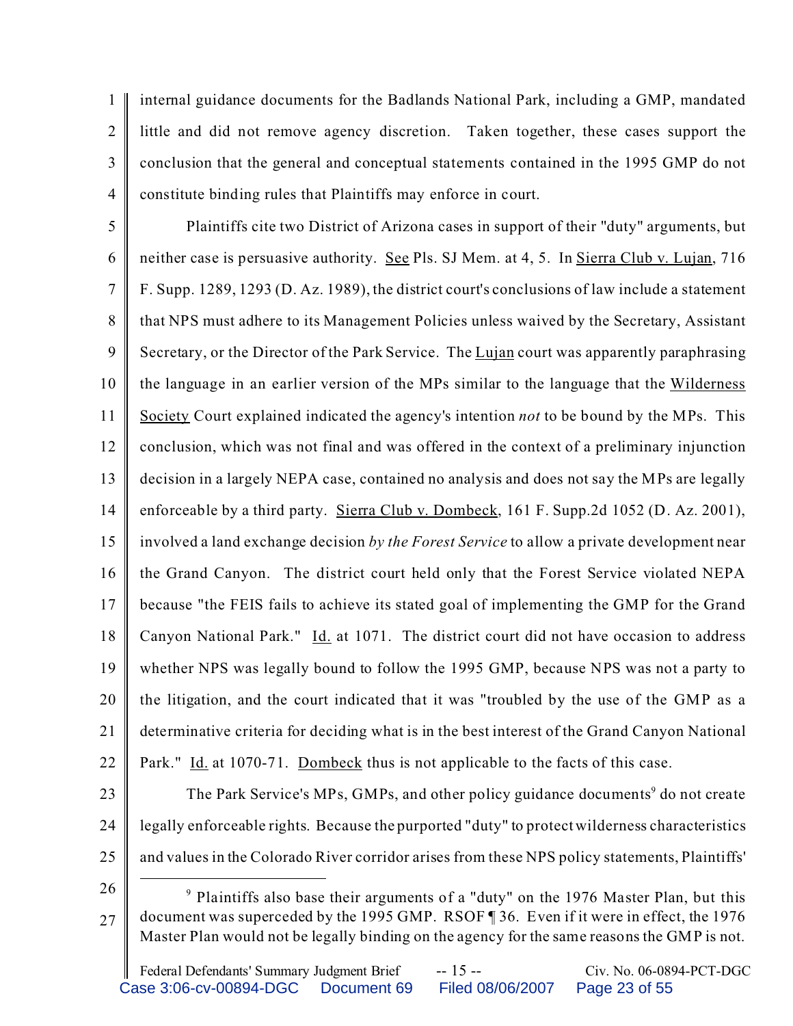1  $\mathfrak{D}$ 3 4 internal guidance documents for the Badlands National Park, including a GMP, mandated little and did not remove agency discretion. Taken together, these cases support the conclusion that the general and conceptual statements contained in the 1995 GMP do not constitute binding rules that Plaintiffs may enforce in court.

5 6 7 8 9 10 11 12 13 14 15 16 17 18 19 20 21 22 Plaintiffs cite two District of Arizona cases in support of their "duty" arguments, but neither case is persuasive authority. See Pls. SJ Mem. at 4, 5. In Sierra Club v. Lujan, 716 F. Supp. 1289, 1293 (D. Az. 1989), the district court's conclusions of law include a statement that NPS must adhere to its Management Policies unless waived by the Secretary, Assistant Secretary, or the Director of the Park Service. The Lujan court was apparently paraphrasing the language in an earlier version of the MPs similar to the language that the Wilderness Society Court explained indicated the agency's intention *not* to be bound by the MPs. This conclusion, which was not final and was offered in the context of a preliminary injunction decision in a largely NEPA case, contained no analysis and does not say the MPs are legally enforceable by a third party. Sierra Club v. Dombeck, 161 F. Supp.2d 1052 (D. Az. 2001), involved a land exchange decision *by the Forest Service* to allow a private development near the Grand Canyon. The district court held only that the Forest Service violated NEPA because "the FEIS fails to achieve its stated goal of implementing the GMP for the Grand Canyon National Park."  $\underline{Id}$  at 1071. The district court did not have occasion to address whether NPS was legally bound to follow the 1995 GMP, because NPS was not a party to the litigation, and the court indicated that it was "troubled by the use of the GMP as a determinative criteria for deciding what is in the best interest of the Grand Canyon National Park." Id. at 1070-71. Dombeck thus is not applicable to the facts of this case.

- 23 24 25 The Park Service's MPs, GMPs, and other policy guidance documents<sup>9</sup> do not create legally enforceable rights. Because the purported "duty" to protect wilderness characteristics and values in the Colorado River corridor arises from these NPS policy statements, Plaintiffs'
- 26

<sup>27</sup> <sup>9</sup> Plaintiffs also base their arguments of a "duty" on the 1976 Master Plan, but this document was superceded by the 1995 GMP. RSOF ¶ 36. Even if it were in effect, the 1976 Master Plan would not be legally binding on the agency for the same reasons the GMP is not.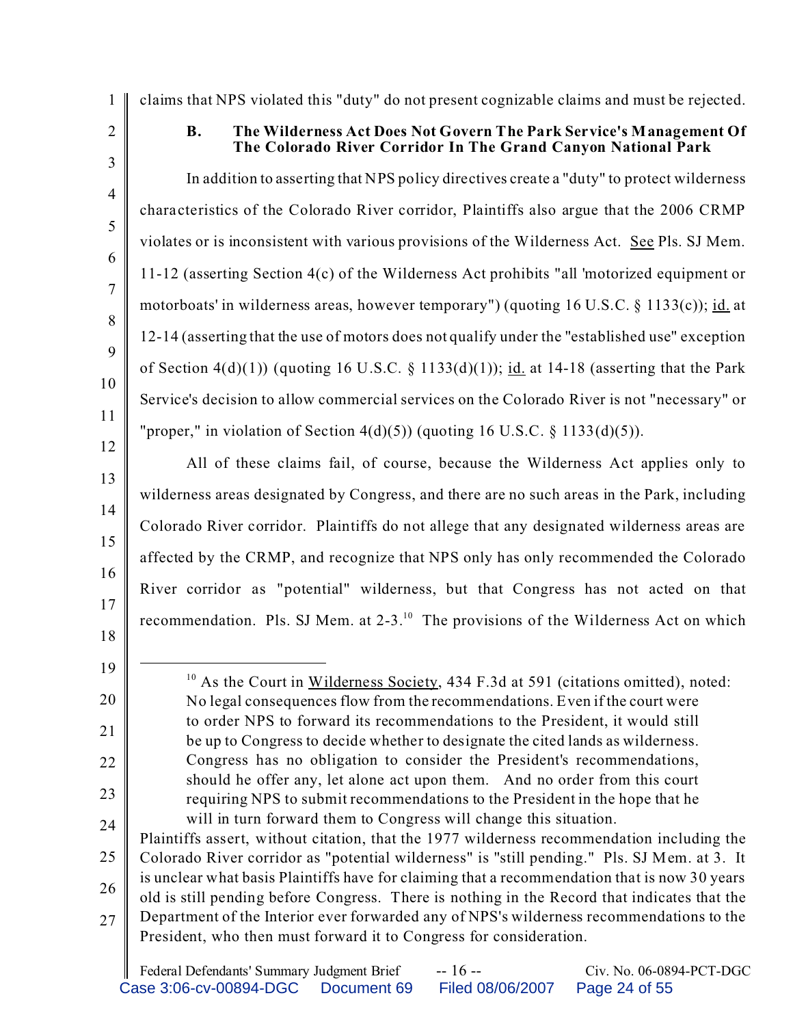2

1

3

4

5

6

7

8

9

10

11

12

13

14

15

16

17

# claims that NPS violated this "duty" do not present cognizable claims and must be rejected. **B. The Wilderness Act Does Not Govern The Park Service's Management Of**

**The Colorado River Corridor In The Grand Canyon National Park**

In addition to asserting that NPS policy directives create a "duty" to protect wilderness characteristics of the Colorado River corridor, Plaintiffs also argue that the 2006 CRMP violates or is inconsistent with various provisions of the Wilderness Act. See Pls. SJ Mem. 11-12 (asserting Section 4(c) of the Wilderness Act prohibits "all 'motorized equipment or motorboats' in wilderness areas, however temporary") (quoting 16 U.S.C. § 1133(c)); id. at 12-14 (asserting that the use of motors does not qualify under the "established use" exception of Section  $4(d)(1)$  (quoting 16 U.S.C. § 1133(d)(1)); id. at 14-18 (asserting that the Park Service's decision to allow commercial services on the Colorado River is not "necessary" or "proper," in violation of Section  $4(d)(5)$ ) (quoting 16 U.S.C. § 1133(d)(5)).

All of these claims fail, of course, because the Wilderness Act applies only to wilderness areas designated by Congress, and there are no such areas in the Park, including Colorado River corridor. Plaintiffs do not allege that any designated wilderness areas are affected by the CRMP, and recognize that NPS only has only recommended the Colorado River corridor as "potential" wilderness, but that Congress has not acted on that recommendation. Pls. SJ Mem. at 2-3.<sup>10</sup> The provisions of the Wilderness Act on which

- 18
- 19 20

21

22

23

 $10$  As the Court in Wilderness Society, 434 F.3d at 591 (citations omitted), noted: No legal consequences flow from the recommendations. Even if the court were to order NPS to forward its recommendations to the President, it would still be up to Congress to decide whether to designate the cited lands as wilderness. Congress has no obligation to consider the President's recommendations, should he offer any, let alone act upon them. And no order from this court requiring NPS to submit recommendations to the President in the hope that he will in turn forward them to Congress will change this situation.

24 25 26 27 Plaintiffs assert, without citation, that the 1977 wilderness recommendation including the Colorado River corridor as "potential wilderness" is "still pending." Pls. SJ Mem. at 3. It is unclear what basis Plaintiffs have for claiming that a recommendation that is now 30 years old is still pending before Congress. There is nothing in the Record that indicates that the Department of the Interior ever forwarded any of NPS's wilderness recommendations to the President, who then must forward it to Congress for consideration.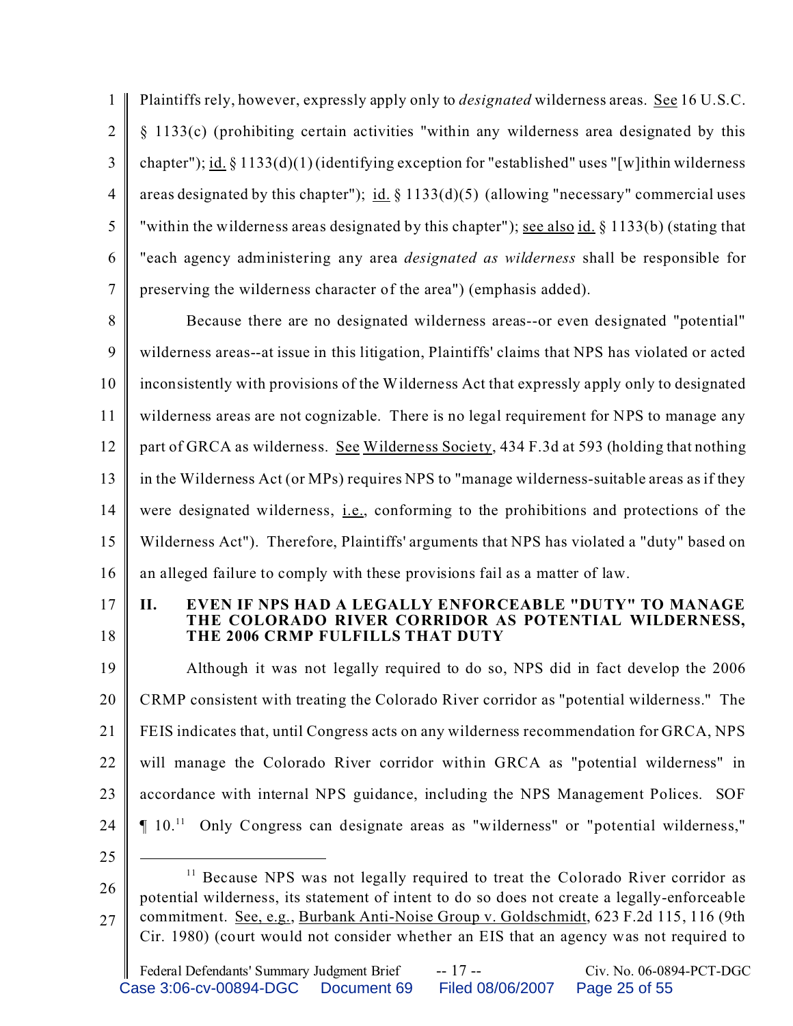1  $\mathfrak{D}$ 3 4 5 6 7 Plaintiffs rely, however, expressly apply only to *designated* wilderness areas. See 16 U.S.C. § 1133(c) (prohibiting certain activities "within any wilderness area designated by this chapter"); id. § 1133(d)(1) (identifying exception for "established" uses "[w]ithin wilderness areas designated by this chapter"); id.  $\S$  1133(d)(5) (allowing "necessary" commercial uses "within the wilderness areas designated by this chapter"); <u>see also id.</u> § 1133(b) (stating that "each agency administering any area *designated as wilderness* shall be responsible for preserving the wilderness character of the area") (emphasis added).

8 9 10 11 12 13 14 15 16 Because there are no designated wilderness areas--or even designated "potential" wilderness areas--at issue in this litigation, Plaintiffs' claims that NPS has violated or acted inconsistently with provisions of the Wilderness Act that expressly apply only to designated wilderness areas are not cognizable. There is no legal requirement for NPS to manage any part of GRCA as wilderness. See Wilderness Society, 434 F.3d at 593 (holding that nothing in the Wilderness Act (or MPs) requires NPS to "manage wilderness-suitable areas as if they were designated wilderness, i.e., conforming to the prohibitions and protections of the Wilderness Act"). Therefore, Plaintiffs' arguments that NPS has violated a "duty" based on an alleged failure to comply with these provisions fail as a matter of law.

17 18

#### **II. EVEN IF NPS HAD A LEGALLY ENFORCEABLE "DUTY" TO MANAGE THE COLORADO RIVER CORRIDOR AS POTENTIAL WILDERNESS, THE 2006 CRMP FULFILLS THAT DUTY**

19 20 21 22 23 24 25 Although it was not legally required to do so, NPS did in fact develop the 2006 CRMP consistent with treating the Colorado River corridor as "potential wilderness." The FEIS indicates that, until Congress acts on any wilderness recommendation for GRCA, NPS will manage the Colorado River corridor within GRCA as "potential wilderness" in accordance with internal NPS guidance, including the NPS Management Polices. SOF ¶ 10.<sup>11</sup> Only Congress can designate areas as "wilderness" or "potential wilderness,"

<sup>26</sup> 27 <sup>11</sup> Because NPS was not legally required to treat the Colorado River corridor as potential wilderness, its statement of intent to do so does not create a legally-enforceable commitment. See, e.g., Burbank Anti-Noise Group v. Goldschmidt, 623 F.2d 115, 116 (9th Cir. 1980) (court would not consider whether an EIS that an agency was not required to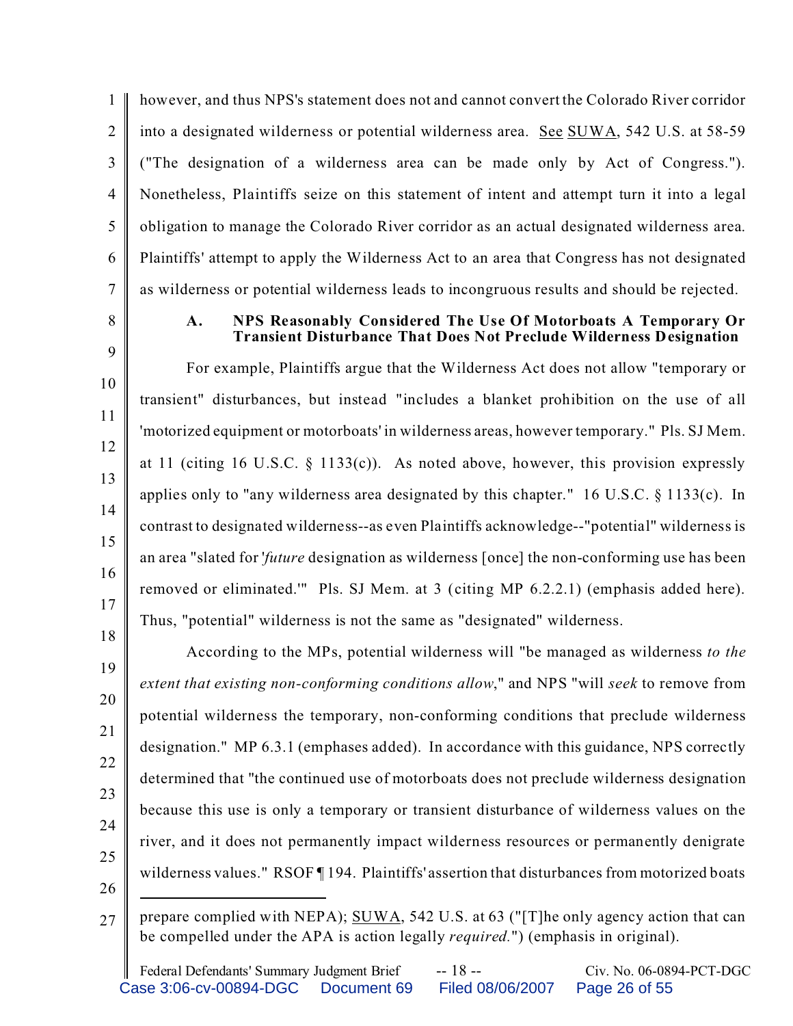1  $\mathfrak{D}$ 3 4 5 6 7 however, and thus NPS's statement does not and cannot convert the Colorado River corridor into a designated wilderness or potential wilderness area. See SUWA, 542 U.S. at 58-59 ("The designation of a wilderness area can be made only by Act of Congress."). Nonetheless, Plaintiffs seize on this statement of intent and attempt turn it into a legal obligation to manage the Colorado River corridor as an actual designated wilderness area. Plaintiffs' attempt to apply the Wilderness Act to an area that Congress has not designated as wilderness or potential wilderness leads to incongruous results and should be rejected.

8

9

18

## **A. NPS Reasonably Considered The Use Of Motorboats A Temporary Or Transient Disturbance That Does Not Preclude Wilderness Designation**

10 11 12 13 14 15 16 17 For example, Plaintiffs argue that the Wilderness Act does not allow "temporary or transient" disturbances, but instead "includes a blanket prohibition on the use of all 'motorized equipment or motorboats' in wilderness areas, however temporary." Pls. SJ Mem. at 11 (citing 16 U.S.C. § 1133(c)). As noted above, however, this provision expressly applies only to "any wilderness area designated by this chapter." 16 U.S.C. § 1133(c). In contrast to designated wilderness--as even Plaintiffs acknowledge--"potential" wilderness is an area "slated for '*future* designation as wilderness [once] the non-conforming use has been removed or eliminated.'" Pls. SJ Mem. at 3 (citing MP 6.2.2.1) (emphasis added here). Thus, "potential" wilderness is not the same as "designated" wilderness.

19 20 21 22 23 24 25 26 According to the MPs, potential wilderness will "be managed as wilderness *to the extent that existing non-conforming conditions allow*," and NPS "will *seek* to remove from potential wilderness the temporary, non-conforming conditions that preclude wilderness designation." MP 6.3.1 (emphases added). In accordance with this guidance, NPS correctly determined that "the continued use of motorboats does not preclude wilderness designation because this use is only a temporary or transient disturbance of wilderness values on the river, and it does not permanently impact wilderness resources or permanently denigrate wilderness values." RSOF [194. Plaintiffs' assertion that disturbances from motorized boats

 $27 \parallel$  prepare complied with NEPA); SUWA, 542 U.S. at 63 ("[T]he only agency action that can be compelled under the APA is action legally *required.*") (emphasis in original).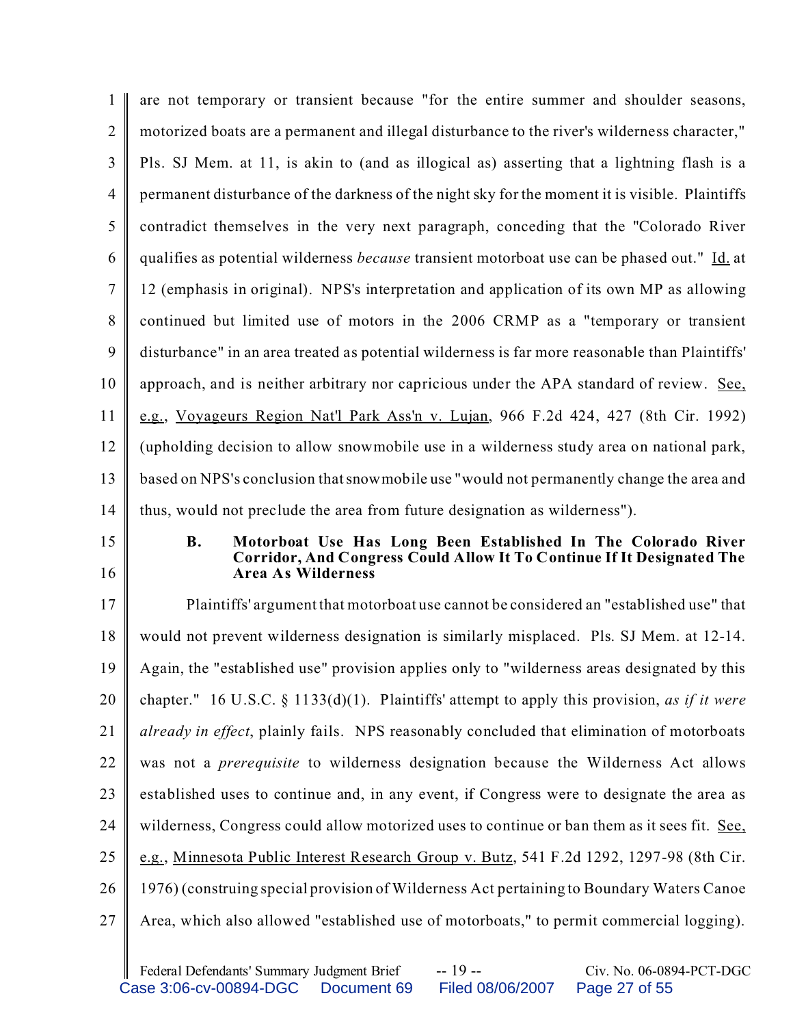| 1              | are not temporary or transient because "for the entire summer and shoulder seasons,                                                                                               |
|----------------|-----------------------------------------------------------------------------------------------------------------------------------------------------------------------------------|
| $\overline{2}$ | motorized boats are a permanent and illegal disturbance to the river's wilderness character,"                                                                                     |
| 3              | Pls. SJ Mem. at 11, is akin to (and as illogical as) asserting that a lightning flash is a                                                                                        |
| $\overline{4}$ | permanent disturbance of the darkness of the night sky for the moment it is visible. Plaintiffs                                                                                   |
| 5              | contradict themselves in the very next paragraph, conceding that the "Colorado River                                                                                              |
| 6              | qualifies as potential wilderness <i>because</i> transient motorboat use can be phased out." Id. at                                                                               |
| 7              | 12 (emphasis in original). NPS's interpretation and application of its own MP as allowing                                                                                         |
| 8              | continued but limited use of motors in the 2006 CRMP as a "temporary or transient                                                                                                 |
| 9              | disturbance" in an area treated as potential wilderness is far more reasonable than Plaintiffs'                                                                                   |
| 10             | approach, and is neither arbitrary nor capricious under the APA standard of review. See,                                                                                          |
| 11             | e.g., Voyageurs Region Nat'l Park Ass'n v. Lujan, 966 F.2d 424, 427 (8th Cir. 1992)                                                                                               |
| 12             | (upholding decision to allow snowmobile use in a wilderness study area on national park,                                                                                          |
| 13             | based on NPS's conclusion that snow mobile use "would not permanently change the area and                                                                                         |
|                | thus, would not preclude the area from future designation as wilderness").                                                                                                        |
| 14             |                                                                                                                                                                                   |
| 15<br>16       | Motorboat Use Has Long Been Established In The Colorado River<br><b>B.</b><br>Corridor, And Congress Could Allow It To Continue If It Designated The<br><b>Area As Wilderness</b> |
| 17             | Plaintiffs' argument that motorboat use cannot be considered an "established use" that                                                                                            |
| 18             | would not prevent wilderness designation is similarly misplaced. Pls. SJ Mem. at 12-14.                                                                                           |
| 19             | Again, the "established use" provision applies only to "wilderness areas designated by this                                                                                       |
| 20             | chapter." 16 U.S.C. § 1133(d)(1). Plaintiffs' attempt to apply this provision, as if it were                                                                                      |
| 21             | <i>already in effect</i> , plainly fails. NPS reasonably concluded that elimination of motorboats                                                                                 |
| 22             | was not a <i>prerequisite</i> to wilderness designation because the Wilderness Act allows                                                                                         |
| 23             | established uses to continue and, in any event, if Congress were to designate the area as                                                                                         |
| 24             | wilderness, Congress could allow motorized uses to continue or ban them as it sees fit. See,                                                                                      |
| 25             | e.g., Minnesota Public Interest Research Group v. Butz, 541 F.2d 1292, 1297-98 (8th Cir.                                                                                          |
| 26             | 1976) (construing special provision of Wilderness Act pertaining to Boundary Waters Canoe                                                                                         |
| 27             | Area, which also allowed "established use of motorboats," to permit commercial logging).                                                                                          |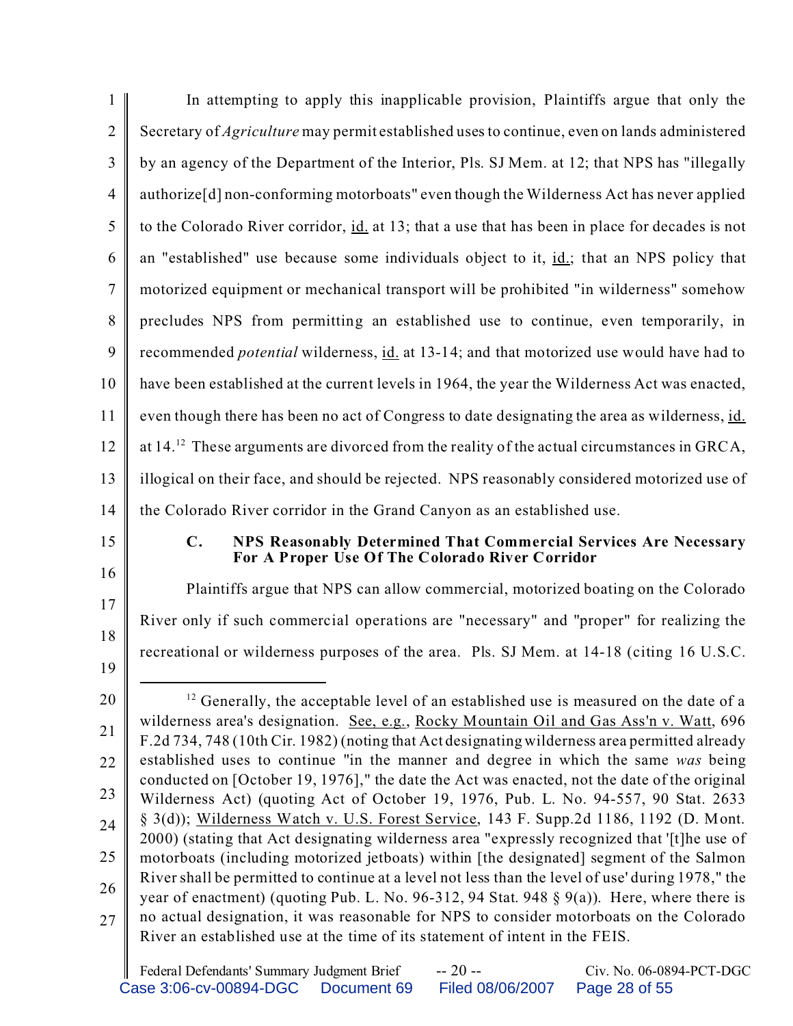| 1                                            | In attempting to apply this inapplicable provision, Plaintiffs argue that only the                                                                                                                                                                                                                                                                                                                                                                                                                                                                                                                                                                                                                                                                                                                                                                                                                                                                                                                                                                                                                                                                                                                                                             |
|----------------------------------------------|------------------------------------------------------------------------------------------------------------------------------------------------------------------------------------------------------------------------------------------------------------------------------------------------------------------------------------------------------------------------------------------------------------------------------------------------------------------------------------------------------------------------------------------------------------------------------------------------------------------------------------------------------------------------------------------------------------------------------------------------------------------------------------------------------------------------------------------------------------------------------------------------------------------------------------------------------------------------------------------------------------------------------------------------------------------------------------------------------------------------------------------------------------------------------------------------------------------------------------------------|
| $\overline{2}$                               | Secretary of <i>Agriculture</i> may permit established uses to continue, even on lands administered                                                                                                                                                                                                                                                                                                                                                                                                                                                                                                                                                                                                                                                                                                                                                                                                                                                                                                                                                                                                                                                                                                                                            |
| 3                                            | by an agency of the Department of the Interior, Pls. SJ Mem. at 12; that NPS has "illegally                                                                                                                                                                                                                                                                                                                                                                                                                                                                                                                                                                                                                                                                                                                                                                                                                                                                                                                                                                                                                                                                                                                                                    |
| $\overline{4}$                               | authorize <sup>[d]</sup> non-conforming motorboats" even though the Wilderness Act has never applied                                                                                                                                                                                                                                                                                                                                                                                                                                                                                                                                                                                                                                                                                                                                                                                                                                                                                                                                                                                                                                                                                                                                           |
| 5                                            | to the Colorado River corridor, id. at 13; that a use that has been in place for decades is not                                                                                                                                                                                                                                                                                                                                                                                                                                                                                                                                                                                                                                                                                                                                                                                                                                                                                                                                                                                                                                                                                                                                                |
| 6                                            | an "established" use because some individuals object to it, id.; that an NPS policy that                                                                                                                                                                                                                                                                                                                                                                                                                                                                                                                                                                                                                                                                                                                                                                                                                                                                                                                                                                                                                                                                                                                                                       |
| $\overline{7}$                               | motorized equipment or mechanical transport will be prohibited "in wilderness" somehow                                                                                                                                                                                                                                                                                                                                                                                                                                                                                                                                                                                                                                                                                                                                                                                                                                                                                                                                                                                                                                                                                                                                                         |
| 8                                            | precludes NPS from permitting an established use to continue, even temporarily, in                                                                                                                                                                                                                                                                                                                                                                                                                                                                                                                                                                                                                                                                                                                                                                                                                                                                                                                                                                                                                                                                                                                                                             |
| 9                                            | recommended <i>potential</i> wilderness, id. at 13-14; and that motorized use would have had to                                                                                                                                                                                                                                                                                                                                                                                                                                                                                                                                                                                                                                                                                                                                                                                                                                                                                                                                                                                                                                                                                                                                                |
| 10                                           | have been established at the current levels in 1964, the year the Wilderness Act was enacted,                                                                                                                                                                                                                                                                                                                                                                                                                                                                                                                                                                                                                                                                                                                                                                                                                                                                                                                                                                                                                                                                                                                                                  |
| 11                                           | even though there has been no act of Congress to date designating the area as wilderness, id.                                                                                                                                                                                                                                                                                                                                                                                                                                                                                                                                                                                                                                                                                                                                                                                                                                                                                                                                                                                                                                                                                                                                                  |
| 12                                           | at $14.^{12}$ These arguments are divorced from the reality of the actual circumstances in GRCA,                                                                                                                                                                                                                                                                                                                                                                                                                                                                                                                                                                                                                                                                                                                                                                                                                                                                                                                                                                                                                                                                                                                                               |
| 13                                           | illogical on their face, and should be rejected. NPS reasonably considered motorized use of                                                                                                                                                                                                                                                                                                                                                                                                                                                                                                                                                                                                                                                                                                                                                                                                                                                                                                                                                                                                                                                                                                                                                    |
| 14                                           | the Colorado River corridor in the Grand Canyon as an established use.                                                                                                                                                                                                                                                                                                                                                                                                                                                                                                                                                                                                                                                                                                                                                                                                                                                                                                                                                                                                                                                                                                                                                                         |
|                                              |                                                                                                                                                                                                                                                                                                                                                                                                                                                                                                                                                                                                                                                                                                                                                                                                                                                                                                                                                                                                                                                                                                                                                                                                                                                |
| 15                                           | $\mathbf{C}$ .<br>NPS Reasonably Determined That Commercial Services Are Necessary<br>For A Proper Use Of The Colorado River Corridor                                                                                                                                                                                                                                                                                                                                                                                                                                                                                                                                                                                                                                                                                                                                                                                                                                                                                                                                                                                                                                                                                                          |
| 16                                           | Plaintiffs argue that NPS can allow commercial, motorized boating on the Colorado                                                                                                                                                                                                                                                                                                                                                                                                                                                                                                                                                                                                                                                                                                                                                                                                                                                                                                                                                                                                                                                                                                                                                              |
| 17                                           | River only if such commercial operations are "necessary" and "proper" for realizing the                                                                                                                                                                                                                                                                                                                                                                                                                                                                                                                                                                                                                                                                                                                                                                                                                                                                                                                                                                                                                                                                                                                                                        |
| 18<br>19                                     | recreational or wilderness purposes of the area. Pls. SJ Mem. at 14-18 (citing 16 U.S.C.                                                                                                                                                                                                                                                                                                                                                                                                                                                                                                                                                                                                                                                                                                                                                                                                                                                                                                                                                                                                                                                                                                                                                       |
| 20<br>21<br>22<br>23<br>24<br>25<br>26<br>27 | <sup>12</sup> Generally, the acceptable level of an established use is measured on the date of a<br>wilderness area's designation. See, e.g., Rocky Mountain Oil and Gas Ass'n v. Watt, 696<br>F.2d 734, 748 (10th Cir. 1982) (noting that Act designating wilderness area permitted already<br>established uses to continue "in the manner and degree in which the same was being<br>conducted on [October 19, 1976]," the date the Act was enacted, not the date of the original<br>Wilderness Act) (quoting Act of October 19, 1976, Pub. L. No. 94-557, 90 Stat. 2633<br>§ 3(d)); Wilderness Watch v. U.S. Forest Service, 143 F. Supp.2d 1186, 1192 (D. Mont.<br>2000) (stating that Act designating wilderness area "expressly recognized that '[t]he use of<br>motorboats (including motorized jetboats) within [the designated] segment of the Salmon<br>River shall be permitted to continue at a level not less than the level of use' during 1978," the<br>year of enactment) (quoting Pub. L. No. 96-312, 94 Stat. 948 $\S$ 9(a)). Here, where there is<br>no actual designation, it was reasonable for NPS to consider motorboats on the Colorado<br>River an established use at the time of its statement of intent in the FEIS. |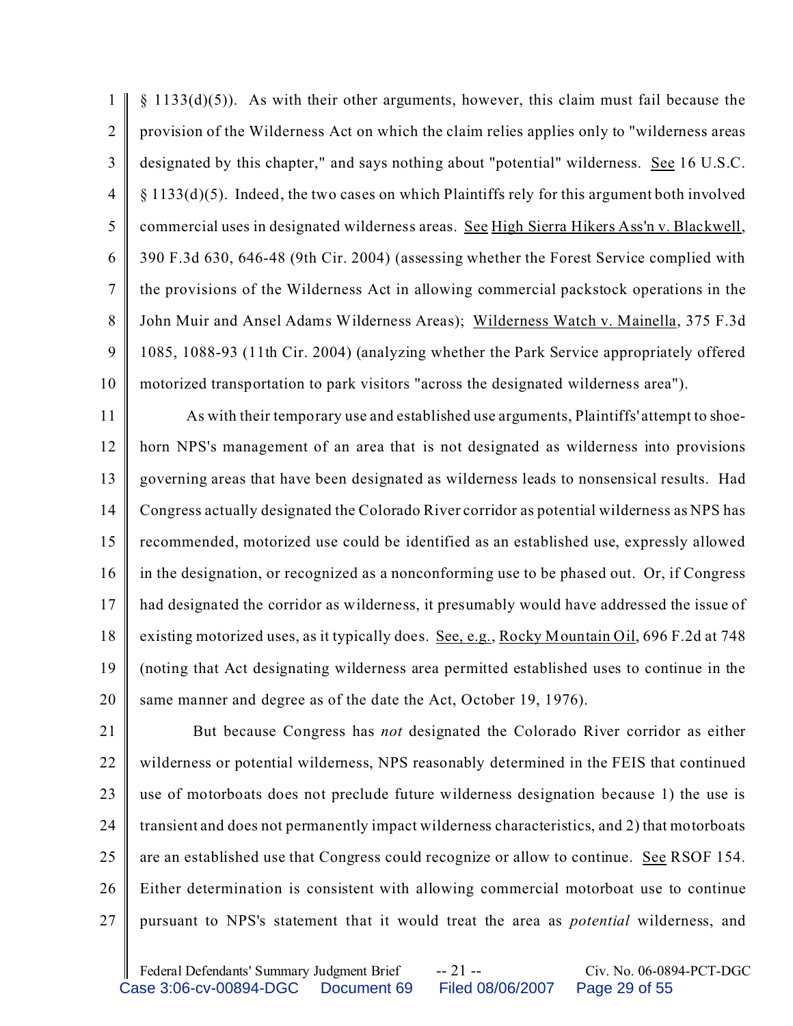1  $\mathfrak{D}$ 3 4 5 6 7 8 9 10  $§$  1133(d)(5)). As with their other arguments, however, this claim must fail because the provision of the Wilderness Act on which the claim relies applies only to "wilderness areas designated by this chapter," and says nothing about "potential" wilderness. See 16 U.S.C. § 1133(d)(5). Indeed, the two cases on which Plaintiffs rely for this argument both involved commercial uses in designated wilderness areas. See High Sierra Hikers Ass'n v. Blackwell, 390 F.3d 630, 646-48 (9th Cir. 2004) (assessing whether the Forest Service complied with the provisions of the Wilderness Act in allowing commercial packstock operations in the John Muir and Ansel Adams Wilderness Areas); Wilderness Watch v. Mainella, 375 F.3d 1085, 1088-93 (11th Cir. 2004) (analyzing whether the Park Service appropriately offered motorized transportation to park visitors "across the designated wilderness area").

11 12 13 14 15 16 17 18 19 20 As with their temporary use and established use arguments, Plaintiffs' attempt to shoehorn NPS's management of an area that is not designated as wilderness into provisions governing areas that have been designated as wilderness leads to nonsensical results. Had Congress actually designated the Colorado River corridor as potential wilderness as NPS has recommended, motorized use could be identified as an established use, expressly allowed in the designation, or recognized as a nonconforming use to be phased out. Or, if Congress had designated the corridor as wilderness, it presumably would have addressed the issue of existing motorized uses, as it typically does. See, e.g., Rocky Mountain Oil, 696 F.2d at 748 (noting that Act designating wilderness area permitted established uses to continue in the same manner and degree as of the date the Act, October 19, 1976).

21 22 23 24 25 26 27 But because Congress has *not* designated the Colorado River corridor as either wilderness or potential wilderness, NPS reasonably determined in the FEIS that continued use of motorboats does not preclude future wilderness designation because 1) the use is transient and does not permanently impact wilderness characteristics, and 2) that motorboats are an established use that Congress could recognize or allow to continue. See RSOF 154. Either determination is consistent with allowing commercial motorboat use to continue pursuant to NPS's statement that it would treat the area as *potential* wilderness, and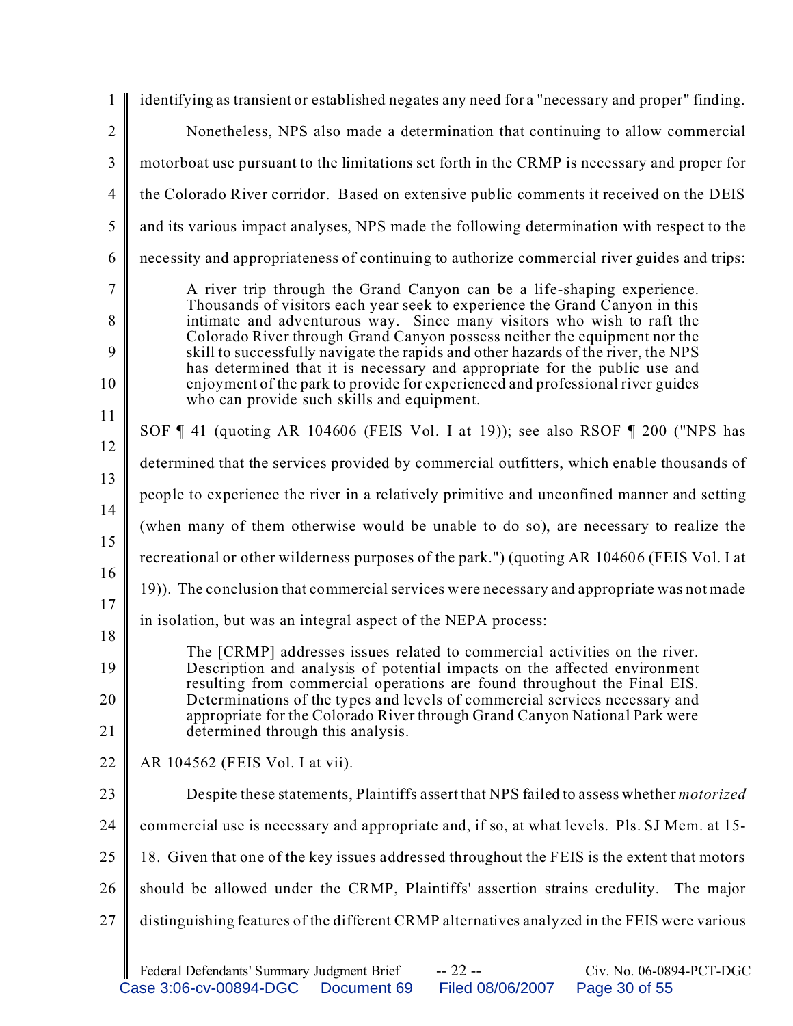| 1                 | identifying as transient or established negates any need for a "necessary and proper" finding.                                                                                                                                                                                                                                                                                                                                                                                                                                                                                                                   |  |  |  |  |
|-------------------|------------------------------------------------------------------------------------------------------------------------------------------------------------------------------------------------------------------------------------------------------------------------------------------------------------------------------------------------------------------------------------------------------------------------------------------------------------------------------------------------------------------------------------------------------------------------------------------------------------------|--|--|--|--|
| $\overline{2}$    | Nonetheless, NPS also made a determination that continuing to allow commercial                                                                                                                                                                                                                                                                                                                                                                                                                                                                                                                                   |  |  |  |  |
| $\overline{3}$    | motorboat use pursuant to the limitations set forth in the CRMP is necessary and proper for                                                                                                                                                                                                                                                                                                                                                                                                                                                                                                                      |  |  |  |  |
| $\overline{4}$    | the Colorado River corridor. Based on extensive public comments it received on the DEIS                                                                                                                                                                                                                                                                                                                                                                                                                                                                                                                          |  |  |  |  |
| 5                 | and its various impact analyses, NPS made the following determination with respect to the                                                                                                                                                                                                                                                                                                                                                                                                                                                                                                                        |  |  |  |  |
| 6                 | necessity and appropriateness of continuing to authorize commercial river guides and trips:                                                                                                                                                                                                                                                                                                                                                                                                                                                                                                                      |  |  |  |  |
| 7<br>8<br>9<br>10 | A river trip through the Grand Canyon can be a life-shaping experience.<br>Thousands of visitors each year seek to experience the Grand Canyon in this<br>intimate and adventurous way. Since many visitors who wish to raft the<br>Colorado River through Grand Canyon possess neither the equipment nor the<br>skill to successfully navigate the rapids and other hazards of the river, the NPS<br>has determined that it is necessary and appropriate for the public use and<br>enjoyment of the park to provide for experienced and professional river guides<br>who can provide such skills and equipment. |  |  |  |  |
| 11                | SOF ¶ 41 (quoting AR 104606 (FEIS Vol. I at 19)); see also RSOF ¶ 200 ("NPS has                                                                                                                                                                                                                                                                                                                                                                                                                                                                                                                                  |  |  |  |  |
| 12                | determined that the services provided by commercial outfitters, which enable thousands of                                                                                                                                                                                                                                                                                                                                                                                                                                                                                                                        |  |  |  |  |
| 13                | people to experience the river in a relatively primitive and unconfined manner and setting                                                                                                                                                                                                                                                                                                                                                                                                                                                                                                                       |  |  |  |  |
| 14                | (when many of them otherwise would be unable to do so), are necessary to realize the                                                                                                                                                                                                                                                                                                                                                                                                                                                                                                                             |  |  |  |  |
| 15                | recreational or other wilderness purposes of the park.") (quoting AR 104606 (FEIS Vol. I at                                                                                                                                                                                                                                                                                                                                                                                                                                                                                                                      |  |  |  |  |
| 16                | 19). The conclusion that commercial services were necessary and appropriate was not made                                                                                                                                                                                                                                                                                                                                                                                                                                                                                                                         |  |  |  |  |
| 17<br>18          | in isolation, but was an integral aspect of the NEPA process:                                                                                                                                                                                                                                                                                                                                                                                                                                                                                                                                                    |  |  |  |  |
| 19<br>20<br>21    | The [CRMP] addresses issues related to commercial activities on the river.<br>Description and analysis of potential impacts on the affected environment<br>resulting from commercial operations are found throughout the Final EIS.<br>Determinations of the types and levels of commercial services necessary and<br>appropriate for the Colorado River through Grand Canyon National Park were<br>determined through this analysis.                                                                                                                                                                            |  |  |  |  |
| 22                | AR 104562 (FEIS Vol. I at vii).                                                                                                                                                                                                                                                                                                                                                                                                                                                                                                                                                                                  |  |  |  |  |
| 23                | Despite these statements, Plaintiffs assert that NPS failed to assess whether <i>motorized</i>                                                                                                                                                                                                                                                                                                                                                                                                                                                                                                                   |  |  |  |  |
| 24                | commercial use is necessary and appropriate and, if so, at what levels. Pls. SJ Mem. at 15-                                                                                                                                                                                                                                                                                                                                                                                                                                                                                                                      |  |  |  |  |
| 25                | 18. Given that one of the key issues addressed throughout the FEIS is the extent that motors                                                                                                                                                                                                                                                                                                                                                                                                                                                                                                                     |  |  |  |  |
| 26                | should be allowed under the CRMP, Plaintiffs' assertion strains credulity. The major                                                                                                                                                                                                                                                                                                                                                                                                                                                                                                                             |  |  |  |  |
| 27                | distinguishing features of the different CRMP alternatives analyzed in the FEIS were various                                                                                                                                                                                                                                                                                                                                                                                                                                                                                                                     |  |  |  |  |
|                   | $-22 -$<br>Civ. No. 06-0894-PCT-DGC<br>Federal Defendants' Summary Judgment Brief                                                                                                                                                                                                                                                                                                                                                                                                                                                                                                                                |  |  |  |  |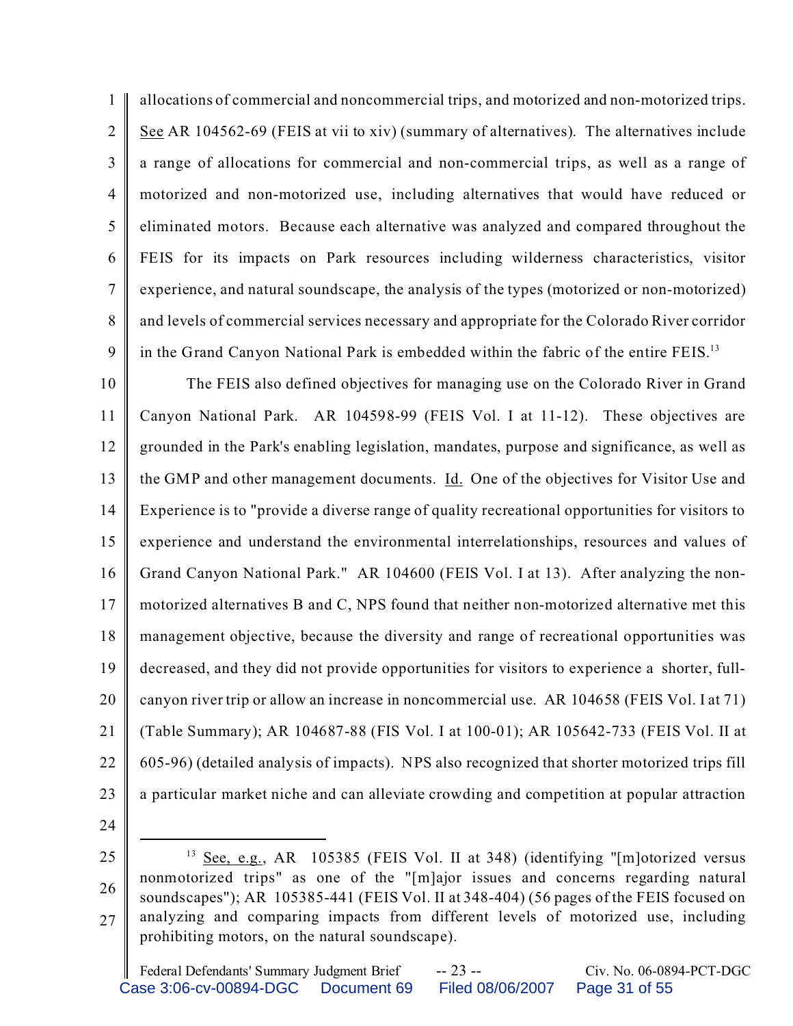1  $\mathfrak{D}$ 3 4 5 6 7 8 9 allocations of commercial and noncommercial trips, and motorized and non-motorized trips. See AR 104562-69 (FEIS at vii to xiv) (summary of alternatives). The alternatives include a range of allocations for commercial and non-commercial trips, as well as a range of motorized and non-motorized use, including alternatives that would have reduced or eliminated motors. Because each alternative was analyzed and compared throughout the FEIS for its impacts on Park resources including wilderness characteristics, visitor experience, and natural soundscape, the analysis of the types (motorized or non-motorized) and levels of commercial services necessary and appropriate for the Colorado River corridor in the Grand Canyon National Park is embedded within the fabric of the entire FEIS.<sup>13</sup>

10 11 12 13 14 15 16 17 18 19 20 21 22 23 The FEIS also defined objectives for managing use on the Colorado River in Grand Canyon National Park. AR 104598-99 (FEIS Vol. I at 11-12). These objectives are grounded in the Park's enabling legislation, mandates, purpose and significance, as well as the GMP and other management documents. Id. One of the objectives for Visitor Use and Experience is to "provide a diverse range of quality recreational opportunities for visitors to experience and understand the environmental interrelationships, resources and values of Grand Canyon National Park." AR 104600 (FEIS Vol. I at 13). After analyzing the nonmotorized alternatives B and C, NPS found that neither non-motorized alternative met this management objective, because the diversity and range of recreational opportunities was decreased, and they did not provide opportunities for visitors to experience a shorter, fullcanyon river trip or allow an increase in noncommercial use. AR 104658 (FEIS Vol. I at 71) (Table Summary); AR 104687-88 (FIS Vol. I at 100-01); AR 105642-733 (FEIS Vol. II at 605-96) (detailed analysis of impacts). NPS also recognized that shorter motorized trips fill a particular market niche and can alleviate crowding and competition at popular attraction

24

<sup>25</sup> 26 27 <sup>13</sup> See, e.g., AR 105385 (FEIS Vol. II at 348) (identifying "[m]otorized versus nonmotorized trips" as one of the "[m]ajor issues and concerns regarding natural soundscapes"); AR 105385-441 (FEIS Vol. II at 348-404) (56 pages of the FEIS focused on analyzing and comparing impacts from different levels of motorized use, including prohibiting motors, on the natural soundscape).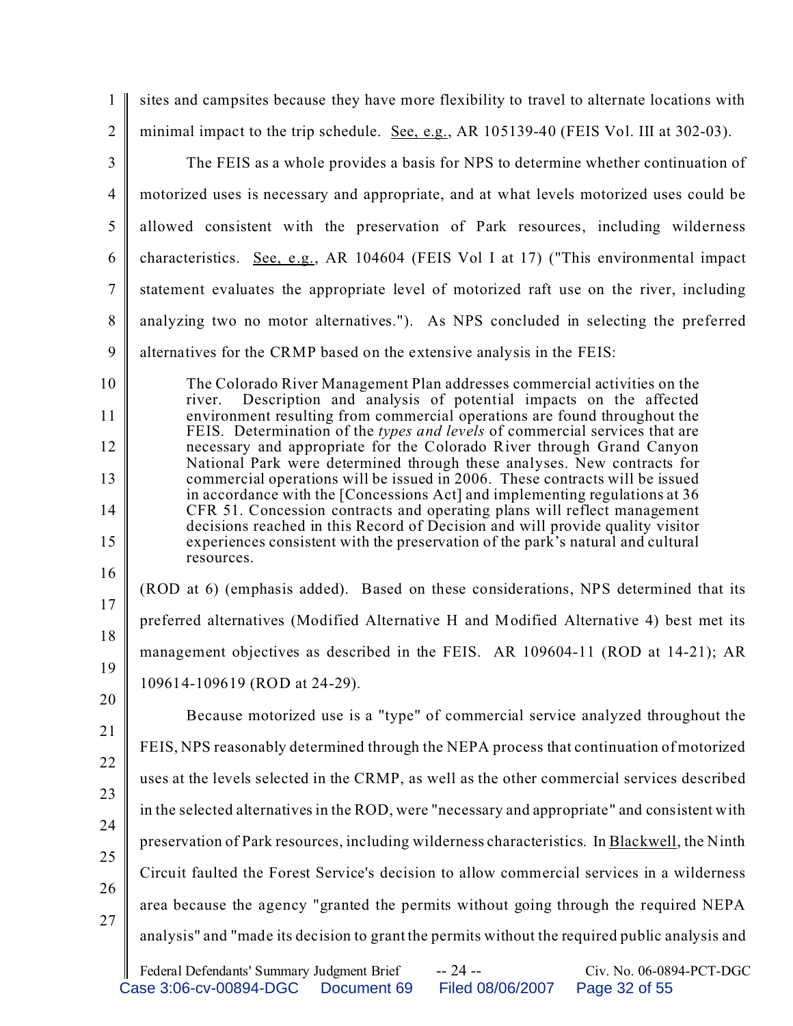| $\mathbf{1}$   | sites and campsites because they have more flexibility to travel to alternate locations with                                                                                   |  |  |
|----------------|--------------------------------------------------------------------------------------------------------------------------------------------------------------------------------|--|--|
| $\overline{2}$ | minimal impact to the trip schedule. See, e.g., AR 105139-40 (FEIS Vol. III at 302-03).                                                                                        |  |  |
| 3              | The FEIS as a whole provides a basis for NPS to determine whether continuation of                                                                                              |  |  |
| $\overline{4}$ | motorized uses is necessary and appropriate, and at what levels motorized uses could be                                                                                        |  |  |
| 5              | allowed consistent with the preservation of Park resources, including wilderness                                                                                               |  |  |
| 6              | characteristics. See, e.g., AR 104604 (FEIS Vol I at 17) ("This environmental impact                                                                                           |  |  |
| $\tau$         | statement evaluates the appropriate level of motorized raft use on the river, including                                                                                        |  |  |
| 8              | analyzing two no motor alternatives."). As NPS concluded in selecting the preferred                                                                                            |  |  |
| 9              | alternatives for the CRMP based on the extensive analysis in the FEIS:                                                                                                         |  |  |
| 10             | The Colorado River Management Plan addresses commercial activities on the<br>Description and analysis of potential impacts on the affected<br>river.                           |  |  |
| 11             | environment resulting from commercial operations are found throughout the<br>FEIS. Determination of the types and levels of commercial services that are                       |  |  |
| 12             | necessary and appropriate for the Colorado River through Grand Canyon                                                                                                          |  |  |
| 13             | National Park were determined through these analyses. New contracts for<br>commercial operations will be issued in 2006. These contracts will be issued                        |  |  |
| 14             | in accordance with the [Concessions Act] and implementing regulations at 36<br>CFR 51. Concession contracts and operating plans will reflect management                        |  |  |
| 15             | decisions reached in this Record of Decision and will provide quality visitor<br>experiences consistent with the preservation of the park's natural and cultural<br>resources. |  |  |
| 16<br>17       | (ROD at 6) (emphasis added). Based on these considerations, NPS determined that its                                                                                            |  |  |
| 18             | preferred alternatives (Modified Alternative H and Modified Alternative 4) best met its                                                                                        |  |  |
| 19             | management objectives as described in the FEIS. AR 109604-11 (ROD at 14-21); AR                                                                                                |  |  |
| 20             | 109614-109619 (ROD at 24-29).                                                                                                                                                  |  |  |
| 21             | Because motorized use is a "type" of commercial service analyzed throughout the                                                                                                |  |  |
| 22             | FEIS, NPS reasonably determined through the NEPA process that continuation of motorized                                                                                        |  |  |
| 23             | uses at the levels selected in the CRMP, as well as the other commercial services described                                                                                    |  |  |
| 24             | in the selected alternatives in the ROD, were "necessary and appropriate" and consistent with                                                                                  |  |  |
|                | preservation of Park resources, including wilderness characteristics. In Blackwell, the Ninth                                                                                  |  |  |
| 25             | Circuit faulted the Forest Service's decision to allow commercial services in a wilderness                                                                                     |  |  |
| 26             | area because the agency "granted the permits without going through the required NEPA                                                                                           |  |  |
| 27             | analysis" and "made its decision to grant the permits without the required public analysis and                                                                                 |  |  |
|                |                                                                                                                                                                                |  |  |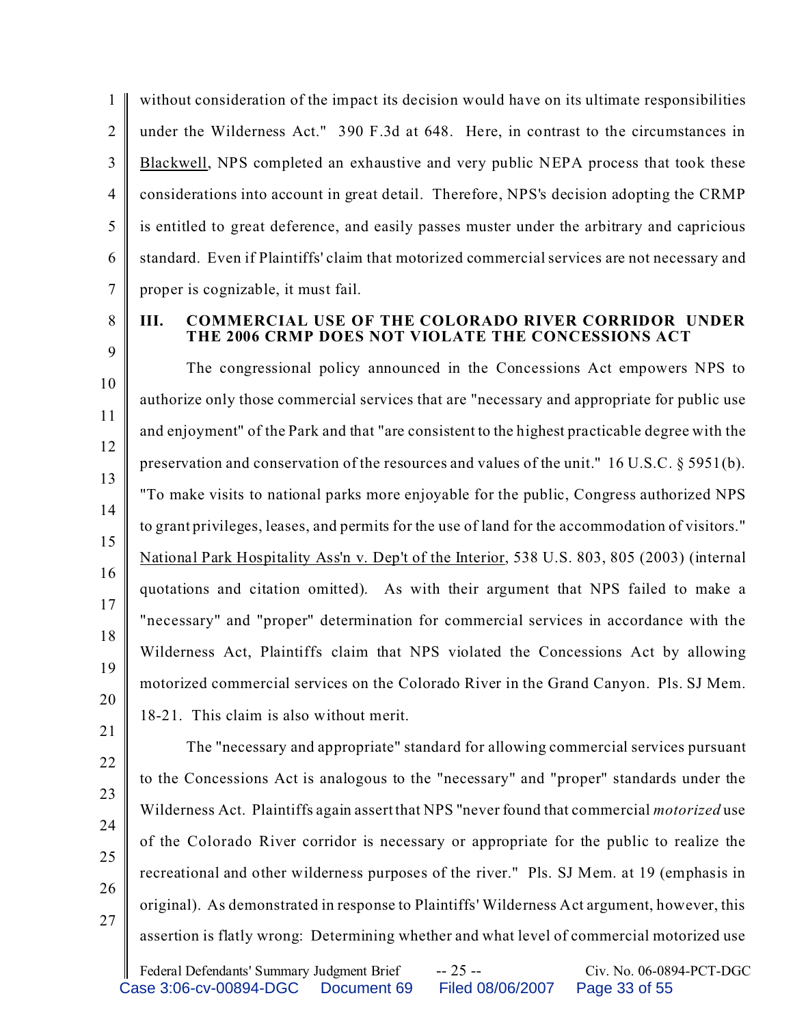1  $\mathfrak{D}$ 3 4 5 6 7 without consideration of the impact its decision would have on its ultimate responsibilities under the Wilderness Act." 390 F.3d at 648. Here, in contrast to the circumstances in Blackwell, NPS completed an exhaustive and very public NEPA process that took these considerations into account in great detail. Therefore, NPS's decision adopting the CRMP is entitled to great deference, and easily passes muster under the arbitrary and capricious standard. Even if Plaintiffs' claim that motorized commercial services are not necessary and proper is cognizable, it must fail.

8

9

## **III. COMMERCIAL USE OF THE COLORADO RIVER CORRIDOR UNDER THE 2006 CRMP DOES NOT VIOLATE THE CONCESSIONS ACT**

10 11 12 13 14 15 16 17 18 19 20 The congressional policy announced in the Concessions Act empowers NPS to authorize only those commercial services that are "necessary and appropriate for public use and enjoyment" of the Park and that "are consistent to the highest practicable degree with the preservation and conservation of the resources and values of the unit." 16 U.S.C. § 5951(b). "To make visits to national parks more enjoyable for the public, Congress authorized NPS to grant privileges, leases, and permits for the use of land for the accommodation of visitors." National Park Hospitality Ass'n v. Dep't of the Interior, 538 U.S. 803, 805 (2003) (internal quotations and citation omitted). As with their argument that NPS failed to make a "necessary" and "proper" determination for commercial services in accordance with the Wilderness Act, Plaintiffs claim that NPS violated the Concessions Act by allowing motorized commercial services on the Colorado River in the Grand Canyon. Pls. SJ Mem. 18-21. This claim is also without merit.

22 23

21

- 24
- 25
- 26

27

The "necessary and appropriate" standard for allowing commercial services pursuant to the Concessions Act is analogous to the "necessary" and "proper" standards under the Wilderness Act. Plaintiffs again assert that NPS "never found that commercial *motorized* use of the Colorado River corridor is necessary or appropriate for the public to realize the recreational and other wilderness purposes of the river." Pls. SJ Mem. at 19 (emphasis in original). As demonstrated in response to Plaintiffs' Wilderness Act argument, however, this assertion is flatly wrong: Determining whether and what level of commercial motorized use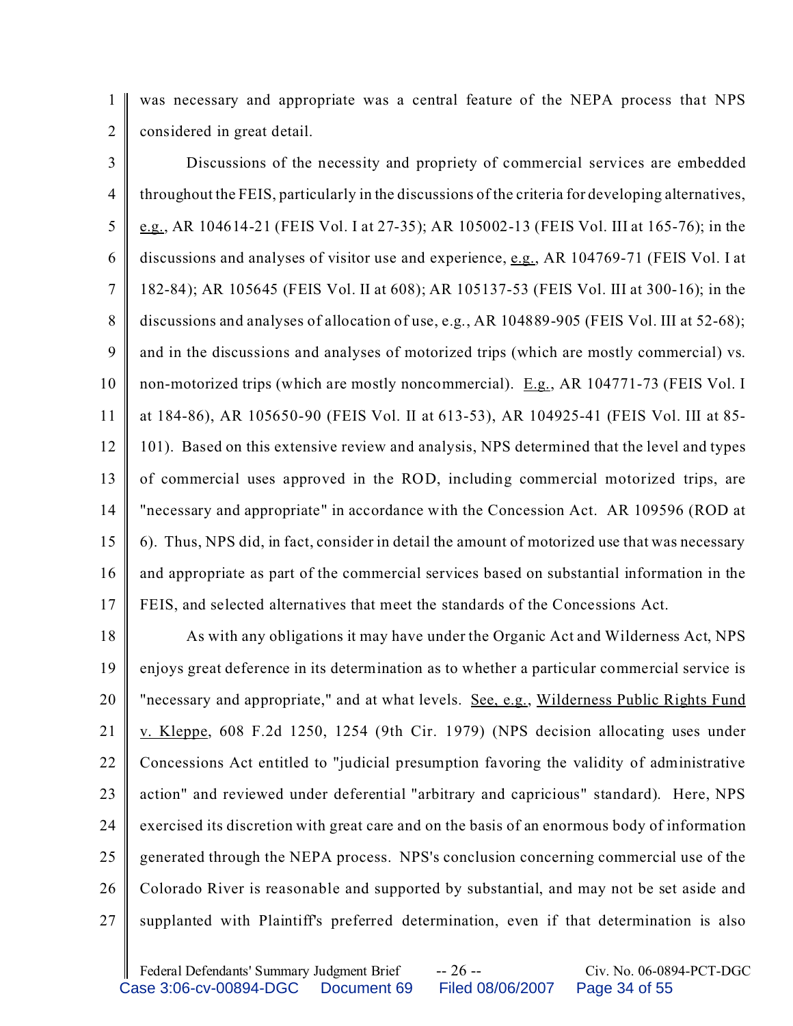1 2 was necessary and appropriate was a central feature of the NEPA process that NPS considered in great detail.

3 4 5 6 7 8 9 10 11 12 13 14 15 16 17 Discussions of the necessity and propriety of commercial services are embedded throughout the FEIS, particularly in the discussions of the criteria for developing alternatives, e.g., AR 104614-21 (FEIS Vol. I at 27-35); AR 105002-13 (FEIS Vol. III at 165-76); in the discussions and analyses of visitor use and experience, e.g., AR 104769-71 (FEIS Vol. I at 182-84); AR 105645 (FEIS Vol. II at 608); AR 105137-53 (FEIS Vol. III at 300-16); in the discussions and analyses of allocation of use, e.g., AR 104889-905 (FEIS Vol. III at 52-68); and in the discussions and analyses of motorized trips (which are mostly commercial) vs. non-motorized trips (which are mostly noncommercial). E.g., AR 104771-73 (FEIS Vol. I at 184-86), AR 105650-90 (FEIS Vol. II at 613-53), AR 104925-41 (FEIS Vol. III at 85- 101). Based on this extensive review and analysis, NPS determined that the level and types of commercial uses approved in the ROD, including commercial motorized trips, are "necessary and appropriate" in accordance with the Concession Act. AR 109596 (ROD at 6). Thus, NPS did, in fact, consider in detail the amount of motorized use that was necessary and appropriate as part of the commercial services based on substantial information in the FEIS, and selected alternatives that meet the standards of the Concessions Act.

18 19 20 21 22 23 24 25 26 27 As with any obligations it may have under the Organic Act and Wilderness Act, NPS enjoys great deference in its determination as to whether a particular commercial service is "necessary and appropriate," and at what levels. See, e.g., Wilderness Public Rights Fund v. Kleppe, 608 F.2d 1250, 1254 (9th Cir. 1979) (NPS decision allocating uses under Concessions Act entitled to "judicial presumption favoring the validity of administrative action" and reviewed under deferential "arbitrary and capricious" standard). Here, NPS exercised its discretion with great care and on the basis of an enormous body of information generated through the NEPA process. NPS's conclusion concerning commercial use of the Colorado River is reasonable and supported by substantial, and may not be set aside and supplanted with Plaintiff's preferred determination, even if that determination is also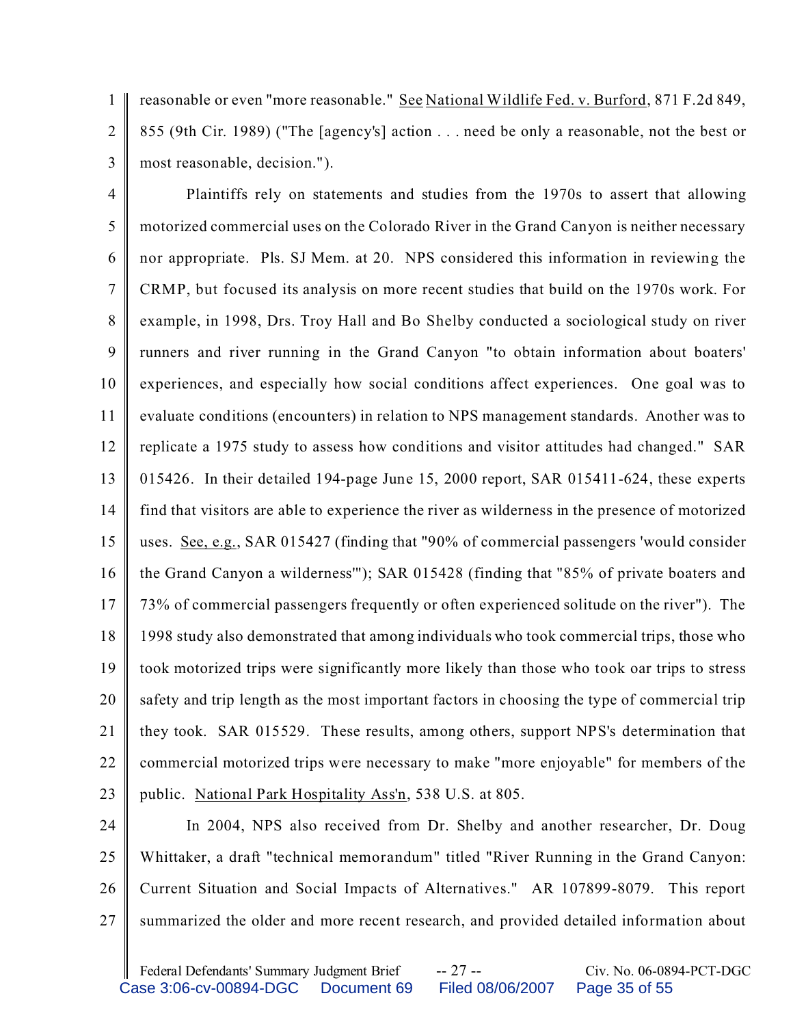1  $\mathfrak{D}$ reasonable or even "more reasonable." See National Wildlife Fed. v. Burford, 871 F.2d 849, 855 (9th Cir. 1989) ("The [agency's] action . . . need be only a reasonable, not the best or most reasonable, decision.").

3

4 5 6 7 8 9 10 11 12 13 14 15 16 17 18 19 20 21 22 23 Plaintiffs rely on statements and studies from the 1970s to assert that allowing motorized commercial uses on the Colorado River in the Grand Canyon is neither necessary nor appropriate. Pls. SJ Mem. at 20. NPS considered this information in reviewing the CRMP, but focused its analysis on more recent studies that build on the 1970s work. For example, in 1998, Drs. Troy Hall and Bo Shelby conducted a sociological study on river runners and river running in the Grand Canyon "to obtain information about boaters' experiences, and especially how social conditions affect experiences. One goal was to evaluate conditions (encounters) in relation to NPS management standards. Another was to replicate a 1975 study to assess how conditions and visitor attitudes had changed." SAR 015426. In their detailed 194-page June 15, 2000 report, SAR 015411-624, these experts find that visitors are able to experience the river as wilderness in the presence of motorized uses. See, e.g., SAR 015427 (finding that "90% of commercial passengers 'would consider the Grand Canyon a wilderness'"); SAR 015428 (finding that "85% of private boaters and 73% of commercial passengers frequently or often experienced solitude on the river"). The 1998 study also demonstrated that among individuals who took commercial trips, those who took motorized trips were significantly more likely than those who took oar trips to stress safety and trip length as the most important factors in choosing the type of commercial trip they took. SAR 015529. These results, among others, support NPS's determination that commercial motorized trips were necessary to make "more enjoyable" for members of the public. National Park Hospitality Ass'n, 538 U.S. at 805.

24 25 26 27 In 2004, NPS also received from Dr. Shelby and another researcher, Dr. Doug Whittaker, a draft "technical memorandum" titled "River Running in the Grand Canyon: Current Situation and Social Impacts of Alternatives." AR 107899-8079. This report summarized the older and more recent research, and provided detailed information about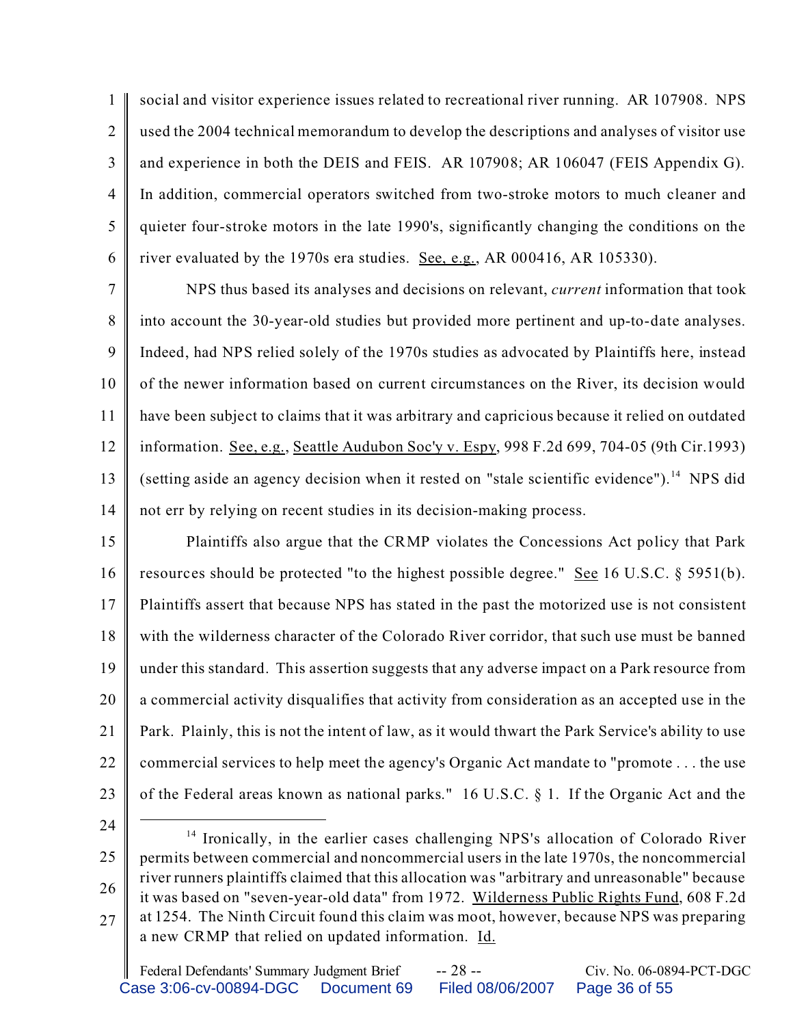1  $\mathfrak{D}$ 3 4 5 6 social and visitor experience issues related to recreational river running. AR 107908. NPS used the 2004 technical memorandum to develop the descriptions and analyses of visitor use and experience in both the DEIS and FEIS. AR 107908; AR 106047 (FEIS Appendix G). In addition, commercial operators switched from two-stroke motors to much cleaner and quieter four-stroke motors in the late 1990's, significantly changing the conditions on the river evaluated by the 1970s era studies. See, e.g., AR 000416, AR 105330).

7 8 9 10 11 12 13 14 NPS thus based its analyses and decisions on relevant, *current* information that took into account the 30-year-old studies but provided more pertinent and up-to-date analyses. Indeed, had NPS relied solely of the 1970s studies as advocated by Plaintiffs here, instead of the newer information based on current circumstances on the River, its decision would have been subject to claims that it was arbitrary and capricious because it relied on outdated information. See, e.g., Seattle Audubon Soc'y v. Espy, 998 F.2d 699, 704-05 (9th Cir.1993) (setting aside an agency decision when it rested on "stale scientific evidence").<sup>14</sup> NPS did not err by relying on recent studies in its decision-making process.

15 16 17 18 19 20 21 22 23 Plaintiffs also argue that the CRMP violates the Concessions Act policy that Park resources should be protected "to the highest possible degree." See 16 U.S.C. § 5951(b). Plaintiffs assert that because NPS has stated in the past the motorized use is not consistent with the wilderness character of the Colorado River corridor, that such use must be banned under this standard. This assertion suggests that any adverse impact on a Park resource from a commercial activity disqualifies that activity from consideration as an accepted use in the Park. Plainly, this is not the intent of law, as it would thwart the Park Service's ability to use commercial services to help meet the agency's Organic Act mandate to "promote . . . the use of the Federal areas known as national parks." 16 U.S.C. § 1. If the Organic Act and the

24

<sup>25</sup> 26 27 <sup>14</sup> Ironically, in the earlier cases challenging NPS's allocation of Colorado River permits between commercial and noncommercial users in the late 1970s, the noncommercial river runners plaintiffs claimed that this allocation was "arbitrary and unreasonable" because it was based on "seven-year-old data" from 1972. Wilderness Public Rights Fund, 608 F.2d at 1254. The Ninth Circuit found this claim was moot, however, because NPS was preparing a new CRMP that relied on updated information. Id.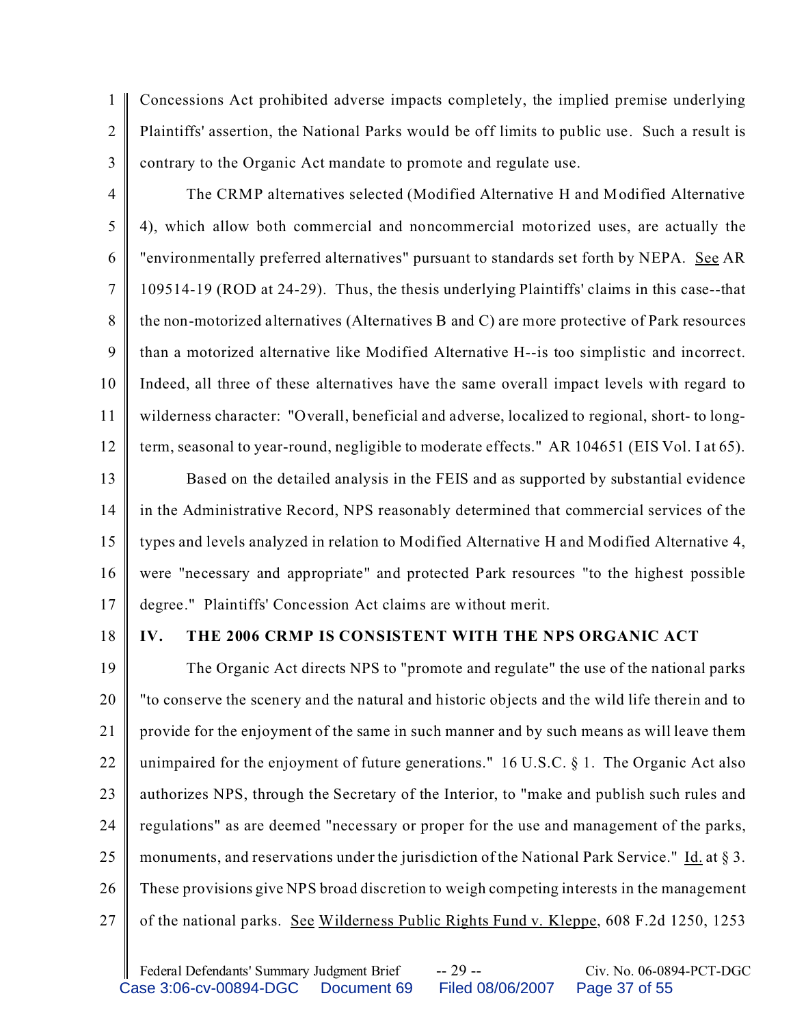1  $\mathfrak{D}$ 3 Concessions Act prohibited adverse impacts completely, the implied premise underlying Plaintiffs' assertion, the National Parks would be off limits to public use. Such a result is contrary to the Organic Act mandate to promote and regulate use.

The CRMP alternatives selected (Modified Alternative H and Modified Alternative

4

5 6 7 8 9 10 11 12 4), which allow both commercial and noncommercial motorized uses, are actually the "environmentally preferred alternatives" pursuant to standards set forth by NEPA. See AR 109514-19 (ROD at 24-29). Thus, the thesis underlying Plaintiffs' claims in this case--that the non-motorized alternatives (Alternatives B and C) are more protective of Park resources than a motorized alternative like Modified Alternative H--is too simplistic and incorrect. Indeed, all three of these alternatives have the same overall impact levels with regard to wilderness character: "Overall, beneficial and adverse, localized to regional, short- to longterm, seasonal to year-round, negligible to moderate effects." AR 104651 (EIS Vol. I at 65).

13 14 15 16 17 Based on the detailed analysis in the FEIS and as supported by substantial evidence in the Administrative Record, NPS reasonably determined that commercial services of the types and levels analyzed in relation to Modified Alternative H and Modified Alternative 4, were "necessary and appropriate" and protected Park resources "to the highest possible degree." Plaintiffs' Concession Act claims are without merit.

18

## **IV. THE 2006 CRMP IS CONSISTENT WITH THE NPS ORGANIC ACT**

19 20 21 22 23 24 25 26 27 The Organic Act directs NPS to "promote and regulate" the use of the national parks "to conserve the scenery and the natural and historic objects and the wild life therein and to provide for the enjoyment of the same in such manner and by such means as will leave them unimpaired for the enjoyment of future generations." 16 U.S.C. § 1. The Organic Act also authorizes NPS, through the Secretary of the Interior, to "make and publish such rules and regulations" as are deemed "necessary or proper for the use and management of the parks, monuments, and reservations under the jurisdiction of the National Park Service." Id. at  $\S 3$ . These provisions give NPS broad discretion to weigh competing interests in the management of the national parks. See Wilderness Public Rights Fund v. Kleppe, 608 F.2d 1250, 1253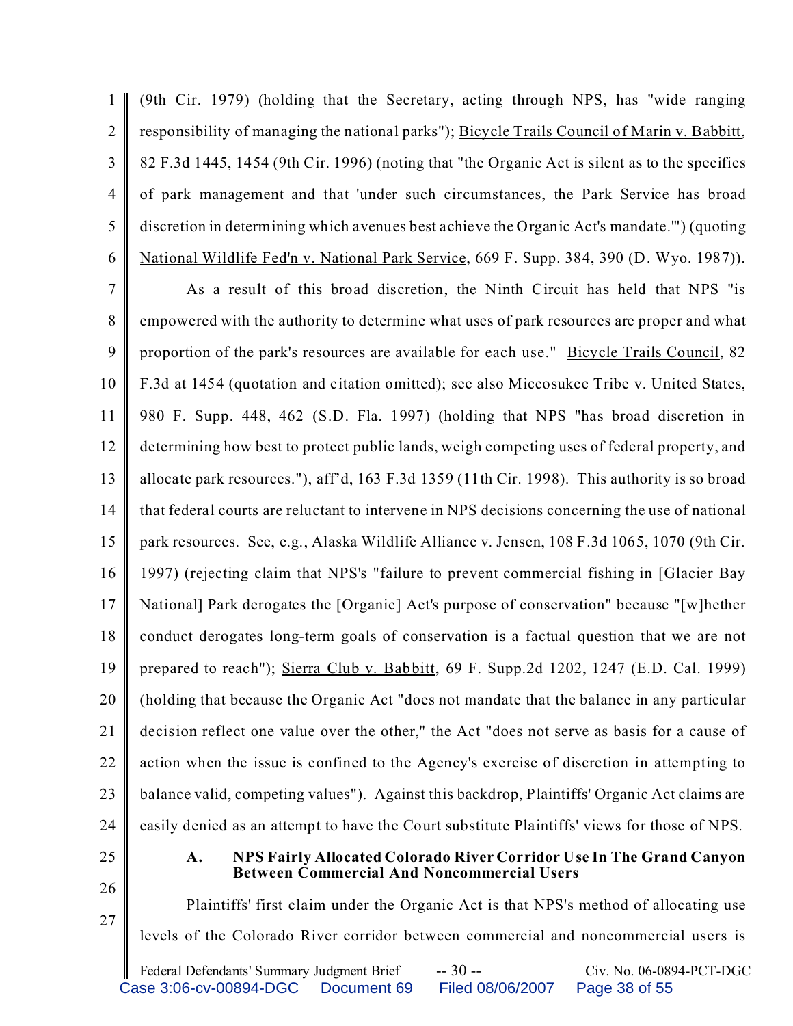1  $\mathfrak{D}$ 3 4 5 6 (9th Cir. 1979) (holding that the Secretary, acting through NPS, has "wide ranging responsibility of managing the national parks"); Bicycle Trails Council of Marin v. Babbitt, 82 F.3d 1445, 1454 (9th Cir. 1996) (noting that "the Organic Act is silent as to the specifics of park management and that 'under such circumstances, the Park Service has broad discretion in determining which avenues best achieve the Organic Act's mandate.'") (quoting National Wildlife Fed'n v. National Park Service, 669 F. Supp. 384, 390 (D. Wyo. 1987)).

7 8 9 10 11 12 13 14 15 16 17 18 19 20 21 22 23 24 As a result of this broad discretion, the Ninth Circuit has held that NPS "is empowered with the authority to determine what uses of park resources are proper and what proportion of the park's resources are available for each use." Bicycle Trails Council, 82 F.3d at 1454 (quotation and citation omitted); see also Miccosukee Tribe v. United States, 980 F. Supp. 448, 462 (S.D. Fla. 1997) (holding that NPS "has broad discretion in determining how best to protect public lands, weigh competing uses of federal property, and allocate park resources."), aff'd, 163 F.3d 1359 (11th Cir. 1998). This authority is so broad that federal courts are reluctant to intervene in NPS decisions concerning the use of national park resources. See, e.g., Alaska Wildlife Alliance v. Jensen, 108 F.3d 1065, 1070 (9th Cir. 1997) (rejecting claim that NPS's "failure to prevent commercial fishing in [Glacier Bay National] Park derogates the [Organic] Act's purpose of conservation" because "[w]hether conduct derogates long-term goals of conservation is a factual question that we are not prepared to reach"); Sierra Club v. Babbitt, 69 F. Supp.2d 1202, 1247 (E.D. Cal. 1999) (holding that because the Organic Act "does not mandate that the balance in any particular decision reflect one value over the other," the Act "does not serve as basis for a cause of action when the issue is confined to the Agency's exercise of discretion in attempting to balance valid, competing values"). Against this backdrop, Plaintiffs' Organic Act claims are easily denied as an attempt to have the Court substitute Plaintiffs' views for those of NPS.

- 25
- 26

#### **A. NPS Fairly Allocated Colorado River Corridor Use In The Grand Canyon Between Commercial And Noncommercial Users**

27

Plaintiffs' first claim under the Organic Act is that NPS's method of allocating use levels of the Colorado River corridor between commercial and noncommercial users is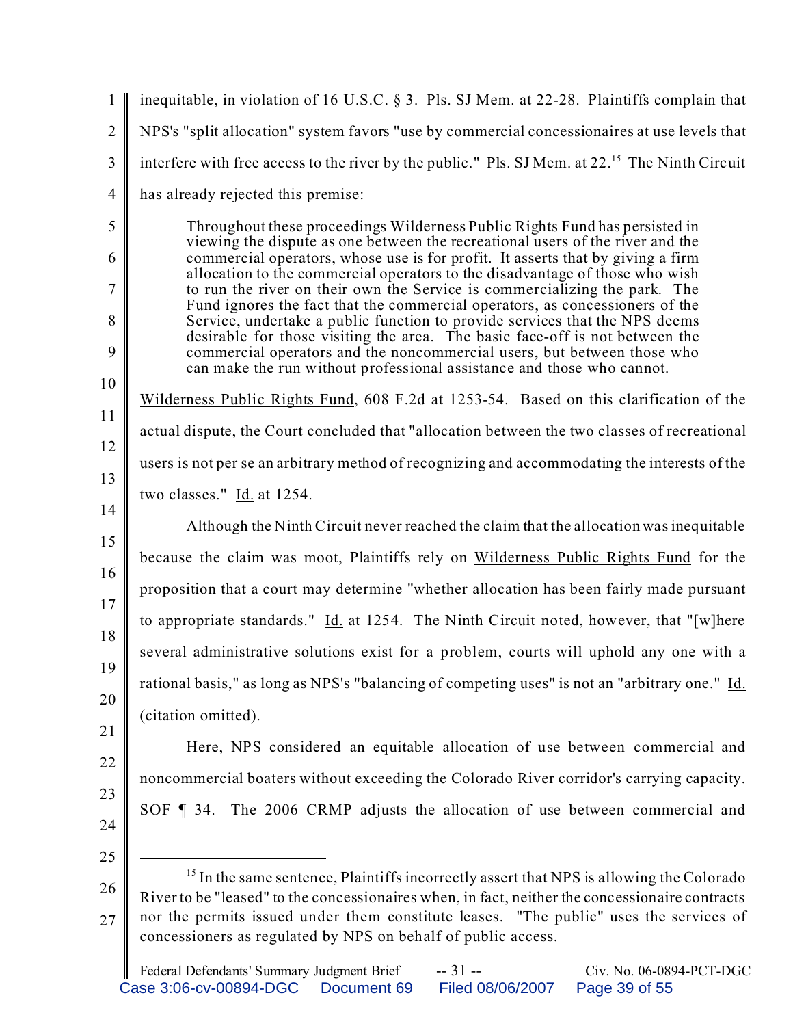| $\mathbf{1}$   | inequitable, in violation of 16 U.S.C. § 3. Pls. SJ Mem. at 22-28. Plaintiffs complain that                                                                                                            |
|----------------|--------------------------------------------------------------------------------------------------------------------------------------------------------------------------------------------------------|
| $\overline{2}$ | NPS's "split allocation" system favors "use by commercial concessionaires at use levels that                                                                                                           |
| $\mathfrak{Z}$ | interfere with free access to the river by the public." Pls. SJ Mem. at 22. <sup>15</sup> The Ninth Circuit                                                                                            |
| $\overline{4}$ | has already rejected this premise:                                                                                                                                                                     |
| 5              | Throughout these proceedings Wilderness Public Rights Fund has persisted in<br>viewing the dispute as one between the recreational users of the river and the                                          |
| 6              | commercial operators, whose use is for profit. It asserts that by giving a firm<br>allocation to the commercial operators to the disadvantage of those who wish                                        |
| $\overline{7}$ | to run the river on their own the Service is commercializing the park. The<br>Fund ignores the fact that the commercial operators, as concessioners of the                                             |
| 8              | Service, undertake a public function to provide services that the NPS deems<br>desirable for those visiting the area. The basic face-off is not between the                                            |
| 9              | commercial operators and the noncommercial users, but between those who<br>can make the run without professional assistance and those who cannot.                                                      |
| 10             | Wilderness Public Rights Fund, 608 F.2d at 1253-54. Based on this clarification of the                                                                                                                 |
| 11             | actual dispute, the Court concluded that "allocation between the two classes of recreational                                                                                                           |
| 12             | users is not per se an arbitrary method of recognizing and accommodating the interests of the                                                                                                          |
| 13             | two classes." $\underline{Id}$ at 1254.                                                                                                                                                                |
| 14<br>15       | Although the Ninth Circuit never reached the claim that the allocation was inequitable                                                                                                                 |
| 16             | because the claim was moot, Plaintiffs rely on Wilderness Public Rights Fund for the                                                                                                                   |
| 17             | proposition that a court may determine "whether allocation has been fairly made pursuant                                                                                                               |
| 18             | to appropriate standards." Id. at 1254. The Ninth Circuit noted, however, that "[w]here                                                                                                                |
| 19             | several administrative solutions exist for a problem, courts will uphold any one with a                                                                                                                |
| 20             | rational basis," as long as NPS's "balancing of competing uses" is not an "arbitrary one." Id.                                                                                                         |
| 21             | (citation omitted).                                                                                                                                                                                    |
| 22             | Here, NPS considered an equitable allocation of use between commercial and                                                                                                                             |
| 23             | noncommercial boaters without exceeding the Colorado River corridor's carrying capacity.                                                                                                               |
| 24             | SOF 1 34. The 2006 CRMP adjusts the allocation of use between commercial and                                                                                                                           |
| 25             |                                                                                                                                                                                                        |
| 26             | <sup>15</sup> In the same sentence, Plaintiffs incorrectly assert that NPS is allowing the Colorado<br>River to be "leased" to the concessionaires when, in fact, neither the concessionaire contracts |
| 27             | nor the permits issued under them constitute leases. "The public" uses the services of<br>concessioners as regulated by NPS on behalf of public access.                                                |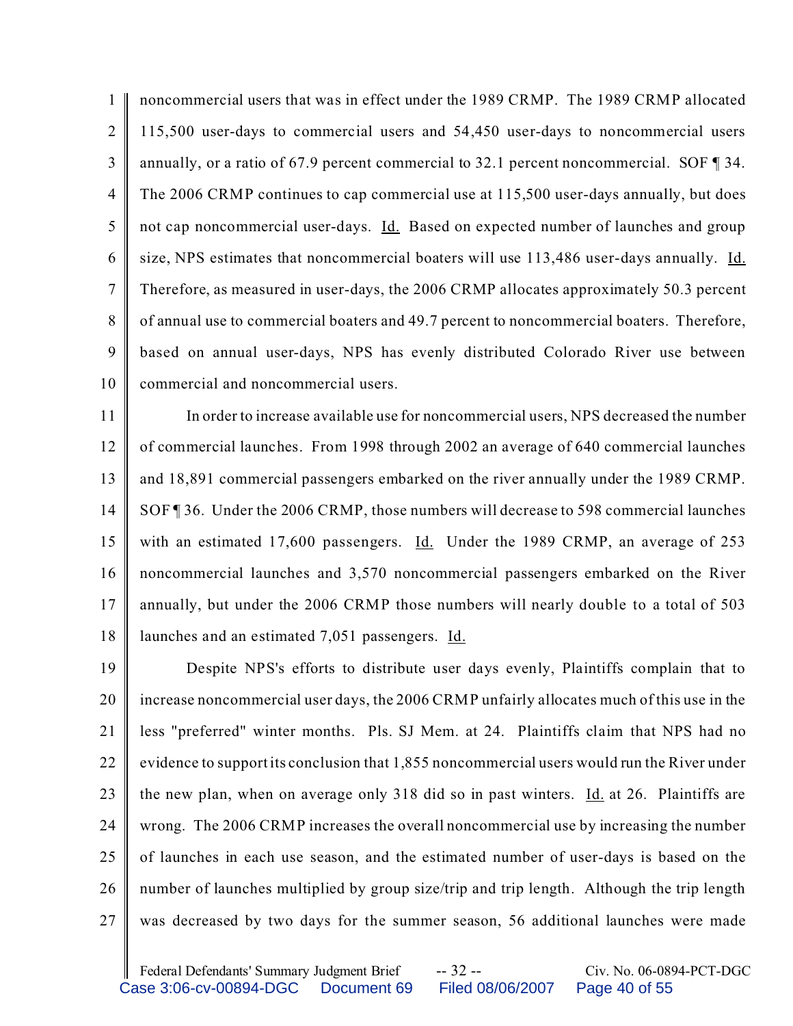1  $\mathfrak{D}$ 3 4 5 6 7 8 9 10 noncommercial users that was in effect under the 1989 CRMP. The 1989 CRMP allocated 115,500 user-days to commercial users and 54,450 user-days to noncommercial users annually, or a ratio of 67.9 percent commercial to 32.1 percent noncommercial. SOF ¶ 34. The 2006 CRMP continues to cap commercial use at 115,500 user-days annually, but does not cap noncommercial user-days. Id. Based on expected number of launches and group size, NPS estimates that noncommercial boaters will use 113,486 user-days annually. Id. Therefore, as measured in user-days, the 2006 CRMP allocates approximately 50.3 percent of annual use to commercial boaters and 49.7 percent to noncommercial boaters. Therefore, based on annual user-days, NPS has evenly distributed Colorado River use between commercial and noncommercial users.

11 12 13 14 15 16 17 18 In order to increase available use for noncommercial users, NPS decreased the number of commercial launches. From 1998 through 2002 an average of 640 commercial launches and 18,891 commercial passengers embarked on the river annually under the 1989 CRMP. SOF ¶ 36. Under the 2006 CRMP, those numbers will decrease to 598 commercial launches with an estimated 17,600 passengers. Id. Under the 1989 CRMP, an average of 253 noncommercial launches and 3,570 noncommercial passengers embarked on the River annually, but under the 2006 CRMP those numbers will nearly double to a total of 503 launches and an estimated 7,051 passengers. Id.

19 20 21 22 23 24 25 26 27 Despite NPS's efforts to distribute user days evenly, Plaintiffs complain that to increase noncommercial user days, the 2006 CRMP unfairly allocates much of this use in the less "preferred" winter months. Pls. SJ Mem. at 24. Plaintiffs claim that NPS had no evidence to support its conclusion that 1,855 noncommercial users would run the River under the new plan, when on average only 318 did so in past winters. Id. at 26. Plaintiffs are wrong. The 2006 CRMP increases the overall noncommercial use by increasing the number of launches in each use season, and the estimated number of user-days is based on the number of launches multiplied by group size/trip and trip length. Although the trip length was decreased by two days for the summer season, 56 additional launches were made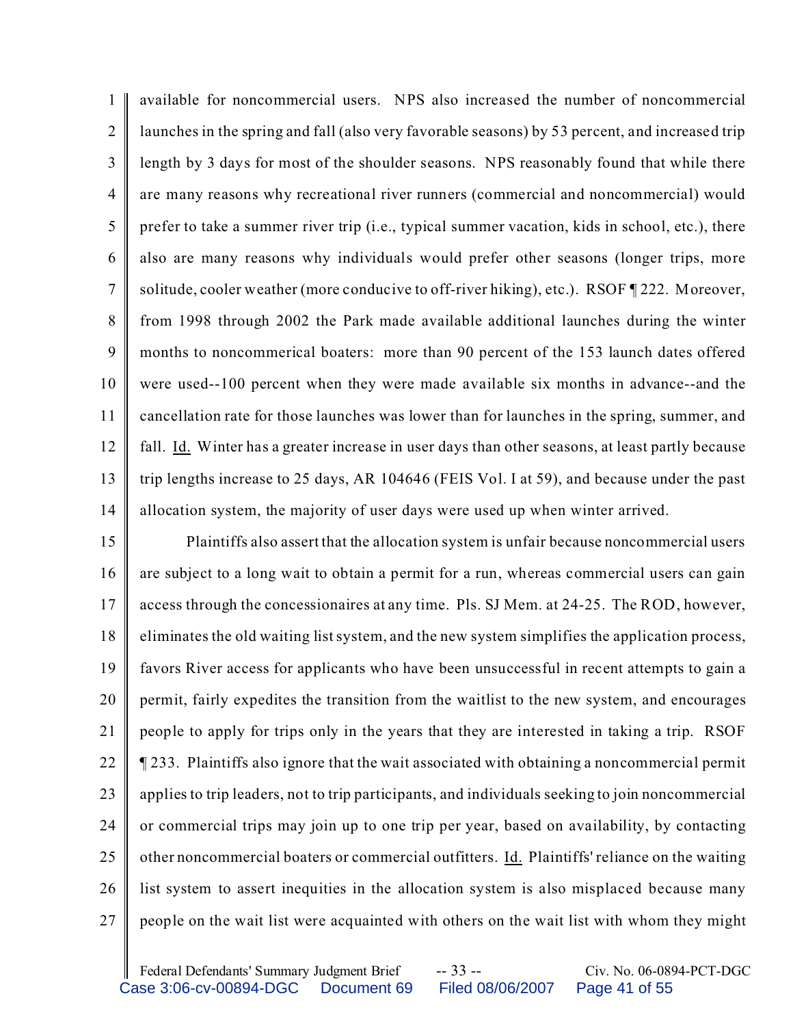1  $\mathfrak{D}$ 3 4 5 6 7 8 9 10 11 12 13 14 available for noncommercial users. NPS also increased the number of noncommercial launches in the spring and fall (also very favorable seasons) by 53 percent, and increased trip length by 3 days for most of the shoulder seasons. NPS reasonably found that while there are many reasons why recreational river runners (commercial and noncommercial) would prefer to take a summer river trip (i.e., typical summer vacation, kids in school, etc.), there also are many reasons why individuals would prefer other seasons (longer trips, more solitude, cooler weather (more conducive to off-river hiking), etc.). RSOF ¶ 222. Moreover, from 1998 through 2002 the Park made available additional launches during the winter months to noncommerical boaters: more than 90 percent of the 153 launch dates offered were used--100 percent when they were made available six months in advance--and the cancellation rate for those launches was lower than for launches in the spring, summer, and fall. Id. Winter has a greater increase in user days than other seasons, at least partly because trip lengths increase to 25 days, AR 104646 (FEIS Vol. I at 59), and because under the past allocation system, the majority of user days were used up when winter arrived.

15 16 17 18 19 20 21 22 23 24 25 26 27 Plaintiffs also assert that the allocation system is unfair because noncommercial users are subject to a long wait to obtain a permit for a run, whereas commercial users can gain access through the concessionaires at any time. Pls. SJ Mem. at 24-25. The ROD, however, eliminates the old waiting list system, and the new system simplifies the application process, favors River access for applicants who have been unsuccessful in recent attempts to gain a permit, fairly expedites the transition from the waitlist to the new system, and encourages people to apply for trips only in the years that they are interested in taking a trip. RSOF ¶ 233. Plaintiffs also ignore that the wait associated with obtaining a noncommercial permit applies to trip leaders, not to trip participants, and individuals seeking to join noncommercial or commercial trips may join up to one trip per year, based on availability, by contacting other noncommercial boaters or commercial outfitters. Id. Plaintiffs' reliance on the waiting list system to assert inequities in the allocation system is also misplaced because many people on the wait list were acquainted with others on the wait list with whom they might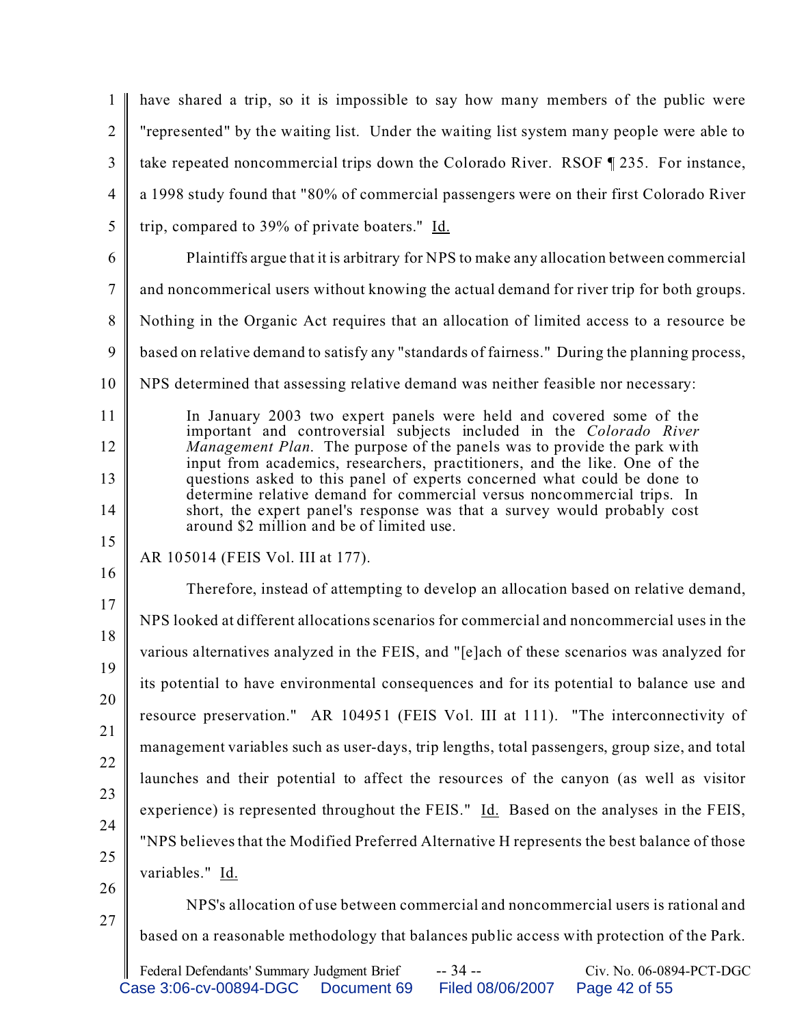|                | have shared a trip, so it is impossible to say how many members of the public were                                                                                                               |
|----------------|--------------------------------------------------------------------------------------------------------------------------------------------------------------------------------------------------|
| $\overline{2}$ | "represented" by the waiting list. Under the waiting list system many people were able to                                                                                                        |
| 3              | take repeated noncommercial trips down the Colorado River. RSOF 1235. For instance,                                                                                                              |
| $\overline{4}$ | a 1998 study found that "80% of commercial passengers were on their first Colorado River                                                                                                         |
| 5              | trip, compared to 39% of private boaters." Id.                                                                                                                                                   |
| 6              | Plaintiffs argue that it is arbitrary for NPS to make any allocation between commercial                                                                                                          |
| $\tau$         | and noncommerical users without knowing the actual demand for river trip for both groups.                                                                                                        |
| 8              | Nothing in the Organic Act requires that an allocation of limited access to a resource be                                                                                                        |
| 9              | based on relative demand to satisfy any "standards of fairness." During the planning process,                                                                                                    |
| 10             | NPS determined that assessing relative demand was neither feasible nor necessary:                                                                                                                |
| 11             | In January 2003 two expert panels were held and covered some of the                                                                                                                              |
| 12             | important and controversial subjects included in the Colorado River<br>Management Plan. The purpose of the panels was to provide the park with                                                   |
| 13             | input from academics, researchers, practitioners, and the like. One of the<br>questions asked to this panel of experts concerned what could be done to                                           |
| 14             | determine relative demand for commercial versus noncommercial trips. In<br>short, the expert panel's response was that a survey would probably cost<br>around \$2 million and be of limited use. |
| 15             | AR 105014 (FEIS Vol. III at 177).                                                                                                                                                                |
| 16             |                                                                                                                                                                                                  |
| 17             | Therefore, instead of attempting to develop an allocation based on relative demand,                                                                                                              |
| 18             | NPS looked at different allocations scenarios for commercial and noncommercial uses in the                                                                                                       |
| 19             | various alternatives analyzed in the FEIS, and "[e]ach of these scenarios was analyzed for                                                                                                       |
| 20             | its potential to have environmental consequences and for its potential to balance use and                                                                                                        |
|                | resource preservation." AR 104951 (FEIS Vol. III at 111). "The interconnectivity of                                                                                                              |
| 21             | management variables such as user-days, trip lengths, total passengers, group size, and total                                                                                                    |
| 22             | launches and their potential to affect the resources of the canyon (as well as visitor                                                                                                           |
| 23             | experience) is represented throughout the FEIS." Id. Based on the analyses in the FEIS,                                                                                                          |
| 24             | "NPS believes that the Modified Preferred Alternative H represents the best balance of those                                                                                                     |
| 25             | variables." Id.                                                                                                                                                                                  |
| 26             | NPS's allocation of use between commercial and noncommercial users is rational and                                                                                                               |
| 27             | based on a reasonable methodology that balances public access with protection of the Park.                                                                                                       |
|                | $-34-$<br>Federal Defendants' Summary Judgment Brief<br>Civ. No. 06-0894-PCT-DGC                                                                                                                 |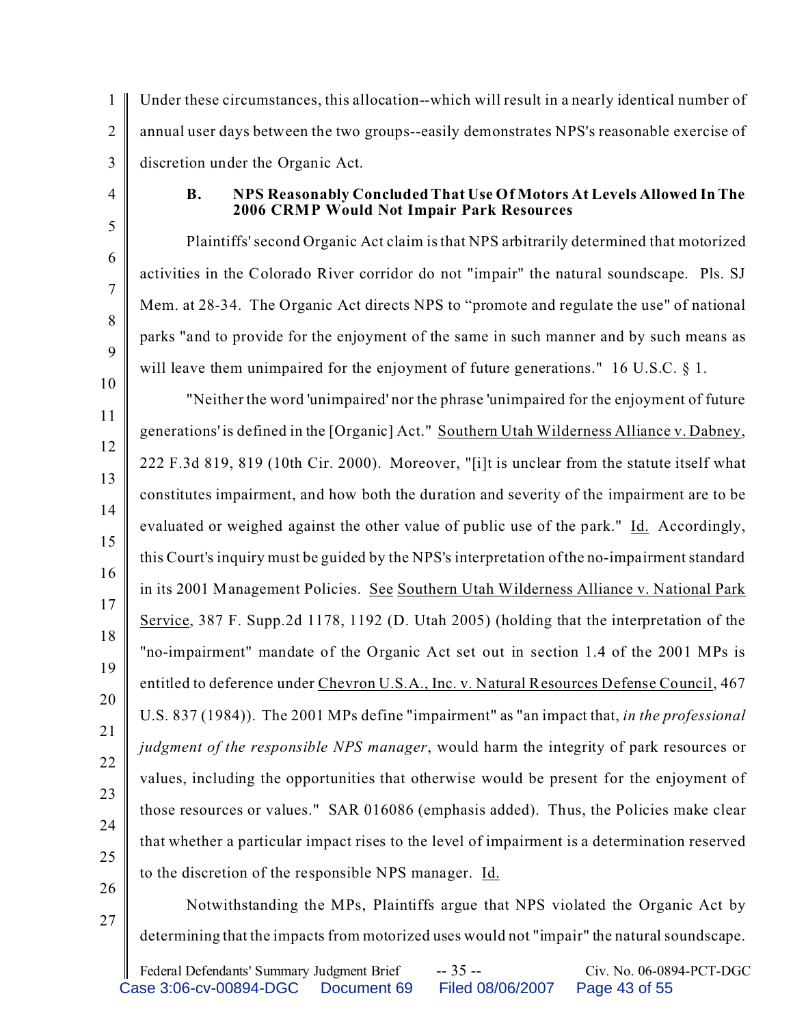1  $\mathfrak{D}$ 3 Under these circumstances, this allocation--which will result in a nearly identical number of annual user days between the two groups--easily demonstrates NPS's reasonable exercise of discretion under the Organic Act.

4

5

6

7

8

9

10

## **B. NPS Reasonably Concluded That Use Of Motors At Levels Allowed In The 2006 CRMP Would Not Impair Park Resources**

Plaintiffs' second Organic Act claim is that NPS arbitrarily determined that motorized activities in the Colorado River corridor do not "impair" the natural soundscape. Pls. SJ Mem. at 28-34. The Organic Act directs NPS to "promote and regulate the use" of national parks "and to provide for the enjoyment of the same in such manner and by such means as will leave them unimpaired for the enjoyment of future generations." 16 U.S.C. § 1.

11 12 13 14 15 16 17 18 19 20 21 22 23 24 25 "Neither the word 'unimpaired' nor the phrase 'unimpaired for the enjoyment of future generations' is defined in the [Organic] Act." Southern Utah Wilderness Alliance v. Dabney, 222 F.3d 819, 819 (10th Cir. 2000). Moreover, "[i]t is unclear from the statute itself what constitutes impairment, and how both the duration and severity of the impairment are to be evaluated or weighed against the other value of public use of the park." Id. Accordingly, this Court's inquiry must be guided by the NPS's interpretation of the no-impairment standard in its 2001 Management Policies. See Southern Utah Wilderness Alliance v. National Park Service, 387 F. Supp.2d 1178, 1192 (D. Utah 2005) (holding that the interpretation of the "no-impairment" mandate of the Organic Act set out in section 1.4 of the 2001 MPs is entitled to deference under Chevron U.S.A., Inc. v. Natural Resources Defense Council, 467 U.S. 837 (1984)). The 2001 MPs define "impairment" as "an impact that, *in the professional judgment of the responsible NPS manager*, would harm the integrity of park resources or values, including the opportunities that otherwise would be present for the enjoyment of those resources or values." SAR 016086 (emphasis added). Thus, the Policies make clear that whether a particular impact rises to the level of impairment is a determination reserved to the discretion of the responsible NPS manager. Id.

26 27

Notwithstanding the MPs, Plaintiffs argue that NPS violated the Organic Act by determining that the impacts from motorized uses would not "impair" the natural soundscape.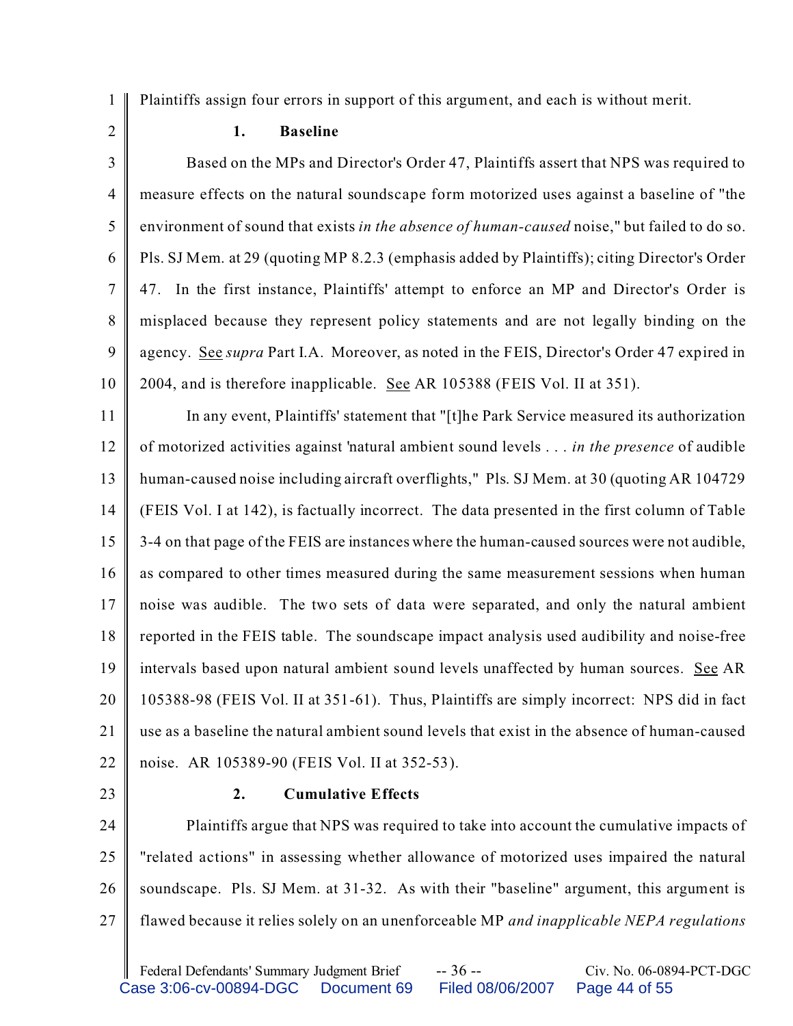1 Plaintiffs assign four errors in support of this argument, and each is without merit.

2

## **1. Baseline**

3 4 5 6 7 8 9 10 Based on the MPs and Director's Order 47, Plaintiffs assert that NPS was required to measure effects on the natural soundscape form motorized uses against a baseline of "the environment of sound that exists *in the absence of human-caused* noise," but failed to do so. Pls. SJ Mem. at 29 (quoting MP 8.2.3 (emphasis added by Plaintiffs); citing Director's Order 47. In the first instance, Plaintiffs' attempt to enforce an MP and Director's Order is misplaced because they represent policy statements and are not legally binding on the agency. See *supra* Part I.A. Moreover, as noted in the FEIS, Director's Order 47 expired in 2004, and is therefore inapplicable. See AR 105388 (FEIS Vol. II at 351).

11 12 13 14 15 16 17 18 19 20 21 22 In any event, Plaintiffs' statement that "[t]he Park Service measured its authorization of motorized activities against 'natural ambient sound levels . . . *in the presence* of audible human-caused noise including aircraft overflights," Pls. SJ Mem. at 30 (quoting AR 104729 (FEIS Vol. I at 142), is factually incorrect. The data presented in the first column of Table 3-4 on that page of the FEIS are instances where the human-caused sources were not audible, as compared to other times measured during the same measurement sessions when human noise was audible. The two sets of data were separated, and only the natural ambient reported in the FEIS table. The soundscape impact analysis used audibility and noise-free intervals based upon natural ambient sound levels unaffected by human sources. See AR 105388-98 (FEIS Vol. II at 351-61). Thus, Plaintiffs are simply incorrect: NPS did in fact use as a baseline the natural ambient sound levels that exist in the absence of human-caused noise. AR 105389-90 (FEIS Vol. II at 352-53).

23

## **2. Cumulative Effects**

24 25 26 27 Plaintiffs argue that NPS was required to take into account the cumulative impacts of "related actions" in assessing whether allowance of motorized uses impaired the natural soundscape. Pls. SJ Mem. at 31-32. As with their "baseline" argument, this argument is flawed because it relies solely on an unenforceable MP *and inapplicable NEPA regulations*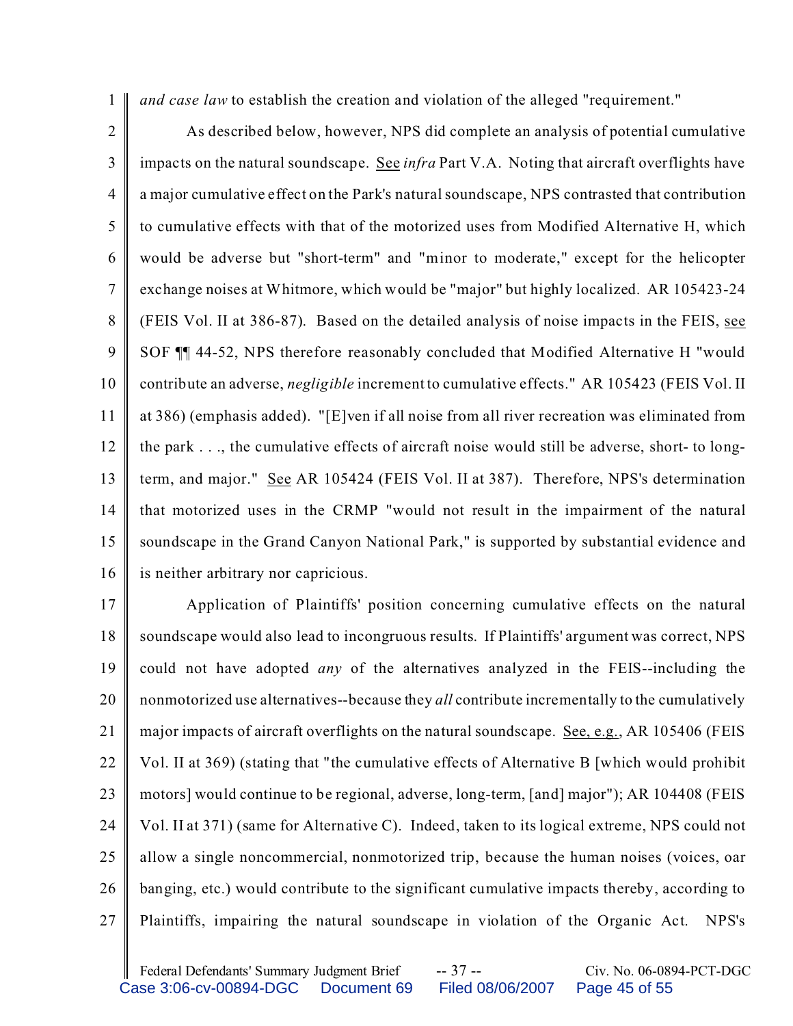1 *and case law* to establish the creation and violation of the alleged "requirement."

2 3 4 5 6 7 8 9 10 11 12 13 14 15 16 As described below, however, NPS did complete an analysis of potential cumulative impacts on the natural soundscape. See *infra* Part V.A. Noting that aircraft overflights have a major cumulative effect on the Park's natural soundscape, NPS contrasted that contribution to cumulative effects with that of the motorized uses from Modified Alternative H, which would be adverse but "short-term" and "minor to moderate," except for the helicopter exchange noises at Whitmore, which would be "major" but highly localized. AR 105423-24 (FEIS Vol. II at 386-87). Based on the detailed analysis of noise impacts in the FEIS, see SOF ¶¶ 44-52, NPS therefore reasonably concluded that Modified Alternative H "would contribute an adverse, *negligible* increment to cumulative effects." AR 105423 (FEIS Vol. II at 386) (emphasis added). "[E]ven if all noise from all river recreation was eliminated from the park . . ., the cumulative effects of aircraft noise would still be adverse, short- to longterm, and major." See AR 105424 (FEIS Vol. II at 387). Therefore, NPS's determination that motorized uses in the CRMP "would not result in the impairment of the natural soundscape in the Grand Canyon National Park," is supported by substantial evidence and is neither arbitrary nor capricious.

17 18 19 20 21 22 23 24 25 26 27 Application of Plaintiffs' position concerning cumulative effects on the natural soundscape would also lead to incongruous results. If Plaintiffs' argument was correct, NPS could not have adopted *any* of the alternatives analyzed in the FEIS--including the nonmotorized use alternatives--because they *all* contribute incrementally to the cumulatively major impacts of aircraft overflights on the natural soundscape. <u>See, e.g.</u>, AR 105406 (FEIS Vol. II at 369) (stating that "the cumulative effects of Alternative B [which would prohibit motors] would continue to be regional, adverse, long-term, [and] major"); AR 104408 (FEIS Vol. II at 371) (same for Alternative C). Indeed, taken to its logical extreme, NPS could not allow a single noncommercial, nonmotorized trip, because the human noises (voices, oar banging, etc.) would contribute to the significant cumulative impacts thereby, according to Plaintiffs, impairing the natural soundscape in violation of the Organic Act. NPS's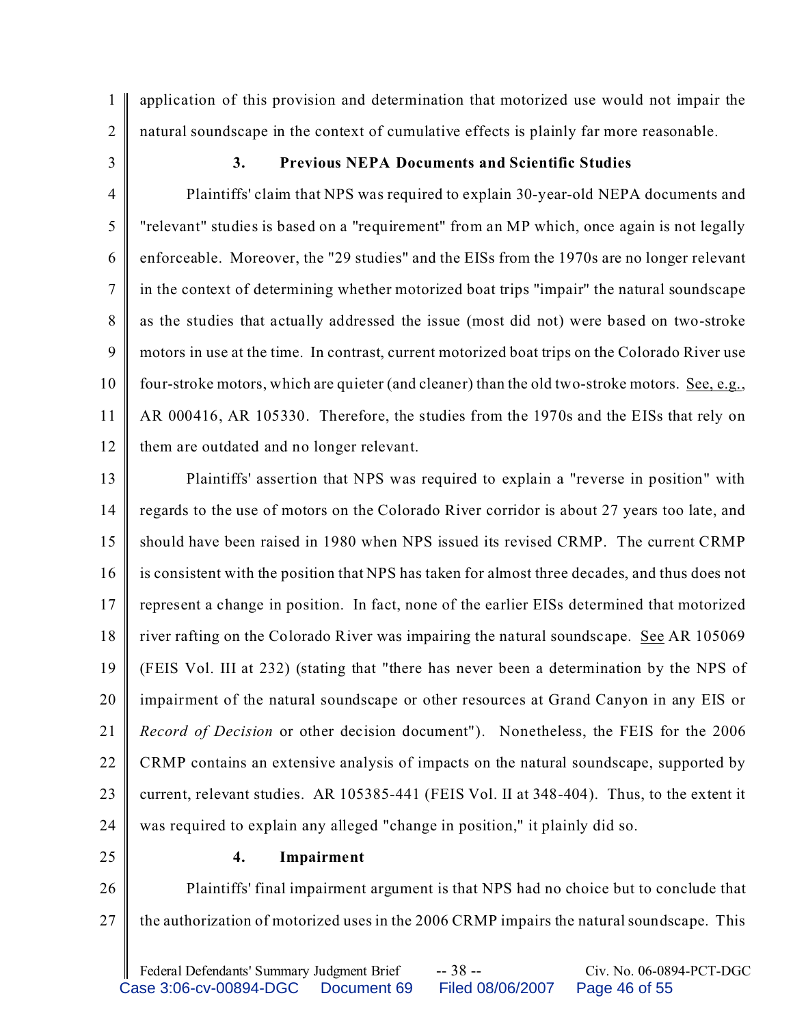1 application of this provision and determination that motorized use would not impair the natural soundscape in the context of cumulative effects is plainly far more reasonable.

3

2

## **3. Previous NEPA Documents and Scientific Studies**

4 5 6 7 8 9 10 11 12 Plaintiffs' claim that NPS was required to explain 30-year-old NEPA documents and "relevant" studies is based on a "requirement" from an MP which, once again is not legally enforceable. Moreover, the "29 studies" and the EISs from the 1970s are no longer relevant in the context of determining whether motorized boat trips "impair" the natural soundscape as the studies that actually addressed the issue (most did not) were based on two-stroke motors in use at the time. In contrast, current motorized boat trips on the Colorado River use four-stroke motors, which are quieter (and cleaner) than the old two-stroke motors. See, e.g., AR 000416, AR 105330. Therefore, the studies from the 1970s and the EISs that rely on them are outdated and no longer relevant.

13 14 15 16 17 18 19 20 21 22 23 24 Plaintiffs' assertion that NPS was required to explain a "reverse in position" with regards to the use of motors on the Colorado River corridor is about 27 years too late, and should have been raised in 1980 when NPS issued its revised CRMP. The current CRMP is consistent with the position that NPS has taken for almost three decades, and thus does not represent a change in position. In fact, none of the earlier EISs determined that motorized river rafting on the Colorado River was impairing the natural soundscape. See AR 105069 (FEIS Vol. III at 232) (stating that "there has never been a determination by the NPS of impairment of the natural soundscape or other resources at Grand Canyon in any EIS or *Record of Decision* or other decision document"). Nonetheless, the FEIS for the 2006 CRMP contains an extensive analysis of impacts on the natural soundscape, supported by current, relevant studies. AR 105385-441 (FEIS Vol. II at 348-404). Thus, to the extent it was required to explain any alleged "change in position," it plainly did so.

25

#### **4. Impairment**

26 27 Plaintiffs' final impairment argument is that NPS had no choice but to conclude that the authorization of motorized uses in the 2006 CRMP impairs the natural soundscape. This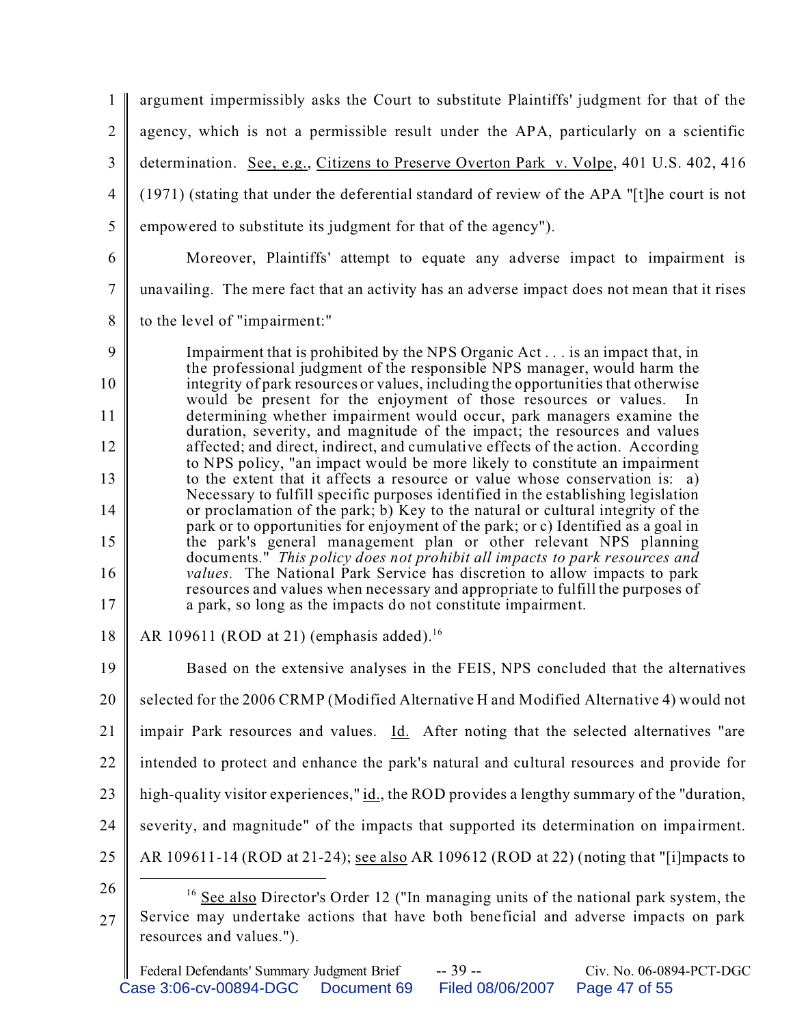1  $\mathfrak{D}$ 3 4 5 6 7 8 9 10 11 12 13 14 15 16 17 18 19 20 21 22 23 24 25 26 27 <sup>16</sup> See also Director's Order 12 ("In managing units of the national park system, the Service may undertake actions that have both beneficial and adverse impacts on park resources and values."). argument impermissibly asks the Court to substitute Plaintiffs' judgment for that of the agency, which is not a permissible result under the APA, particularly on a scientific determination. See, e.g., Citizens to Preserve Overton Park v. Volpe, 401 U.S. 402, 416 (1971) (stating that under the deferential standard of review of the APA "[t]he court is not empowered to substitute its judgment for that of the agency"). Moreover, Plaintiffs' attempt to equate any adverse impact to impairment is unavailing. The mere fact that an activity has an adverse impact does not mean that it rises to the level of "impairment:" Impairment that is prohibited by the NPS Organic Act . . . is an impact that, in the professional judgment of the responsible NPS manager, would harm the integrity of park resources or values, including the opportunities that otherwise would be present for the enjoyment of those resources or values. determining whether impairment would occur, park managers examine the duration, severity, and magnitude of the impact; the resources and values affected; and direct, indirect, and cumulative effects of the action. According to NPS policy, "an impact would be more likely to constitute an impairment to the extent that it affects a resource or value whose conservation is: a) Necessary to fulfill specific purposes identified in the establishing legislation or proclamation of the park; b) Key to the natural or cultural integrity of the park or to opportunities for enjoyment of the park; or c) Identified as a goal in the park's general management plan or other relevant NPS planning documents." *This policy does not prohibit all impacts to park resources and values.* The National Park Service has discretion to allow impacts to park resources and values when necessary and appropriate to fulfill the purposes of a park, so long as the impacts do not constitute impairment. AR 109611 (ROD at 21) (emphasis added).<sup>16</sup> Based on the extensive analyses in the FEIS, NPS concluded that the alternatives selected for the 2006 CRMP (Modified Alternative H and Modified Alternative 4) would not impair Park resources and values. Id. After noting that the selected alternatives "are intended to protect and enhance the park's natural and cultural resources and provide for high-quality visitor experiences," id., the ROD provides a lengthy summary of the "duration, severity, and magnitude" of the impacts that supported its determination on impairment. AR 109611-14 (ROD at 21-24); see also AR 109612 (ROD at 22) (noting that "[i]mpacts to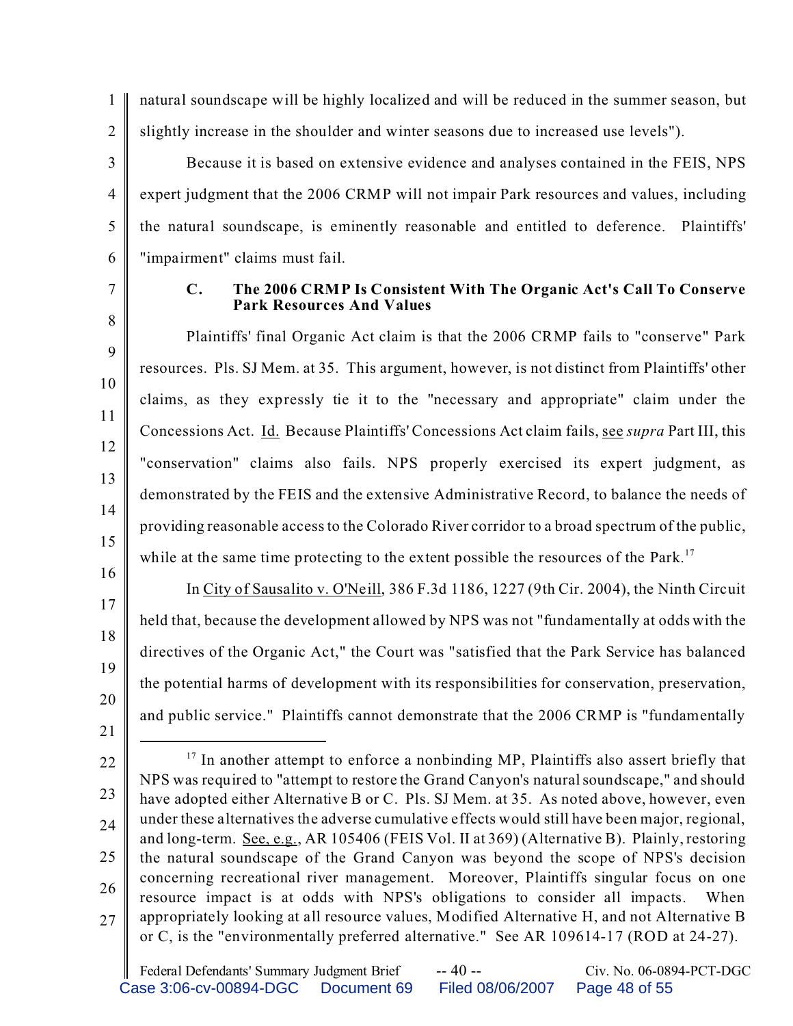1 2 natural soundscape will be highly localized and will be reduced in the summer season, but slightly increase in the shoulder and winter seasons due to increased use levels").

3 4 5 6 Because it is based on extensive evidence and analyses contained in the FEIS, NPS expert judgment that the 2006 CRMP will not impair Park resources and values, including the natural soundscape, is eminently reasonable and entitled to deference. Plaintiffs' "impairment" claims must fail.

7

## **C. The 2006 CRMP Is Consistent With The Organic Act's Call To Conserve Park Resources And Values**

In City of Sausalito v. O'Neill, 386 F.3d 1186, 1227 (9th Cir. 2004), the Ninth Circuit

held that, because the development allowed by NPS was not "fundamentally at odds with the

directives of the Organic Act," the Court was "satisfied that the Park Service has balanced

the potential harms of development with its responsibilities for conservation, preservation,

and public service." Plaintiffs cannot demonstrate that the 2006 CRMP is "fundamentally

8 9 10 11 12 13 14 15 Plaintiffs' final Organic Act claim is that the 2006 CRMP fails to "conserve" Park resources. Pls. SJ Mem. at 35. This argument, however, is not distinct from Plaintiffs' other claims, as they expressly tie it to the "necessary and appropriate" claim under the Concessions Act. Id. Because Plaintiffs' Concessions Act claim fails, see *supra* Part III, this "conservation" claims also fails. NPS properly exercised its expert judgment, as demonstrated by the FEIS and the extensive Administrative Record, to balance the needs of providing reasonable access to the Colorado River corridor to a broad spectrum of the public, while at the same time protecting to the extent possible the resources of the Park.<sup>17</sup>

16

17

18

19

20

21

<sup>22</sup> 23 24 25 26 27 <sup>17</sup> In another attempt to enforce a nonbinding MP, Plaintiffs also assert briefly that NPS was required to "attempt to restore the Grand Canyon's natural soundscape," and should have adopted either Alternative B or C. Pls. SJ Mem. at 35. As noted above, however, even under these alternatives the adverse cumulative effects would still have been major, regional, and long-term. See, e.g., AR 105406 (FEIS Vol. II at 369) (Alternative B). Plainly, restoring the natural soundscape of the Grand Canyon was beyond the scope of NPS's decision concerning recreational river management. Moreover, Plaintiffs singular focus on one resource impact is at odds with NPS's obligations to consider all impacts. When appropriately looking at all resource values, Modified Alternative H, and not Alternative B or C, is the "environmentally preferred alternative." See AR 109614-17 (ROD at 24-27).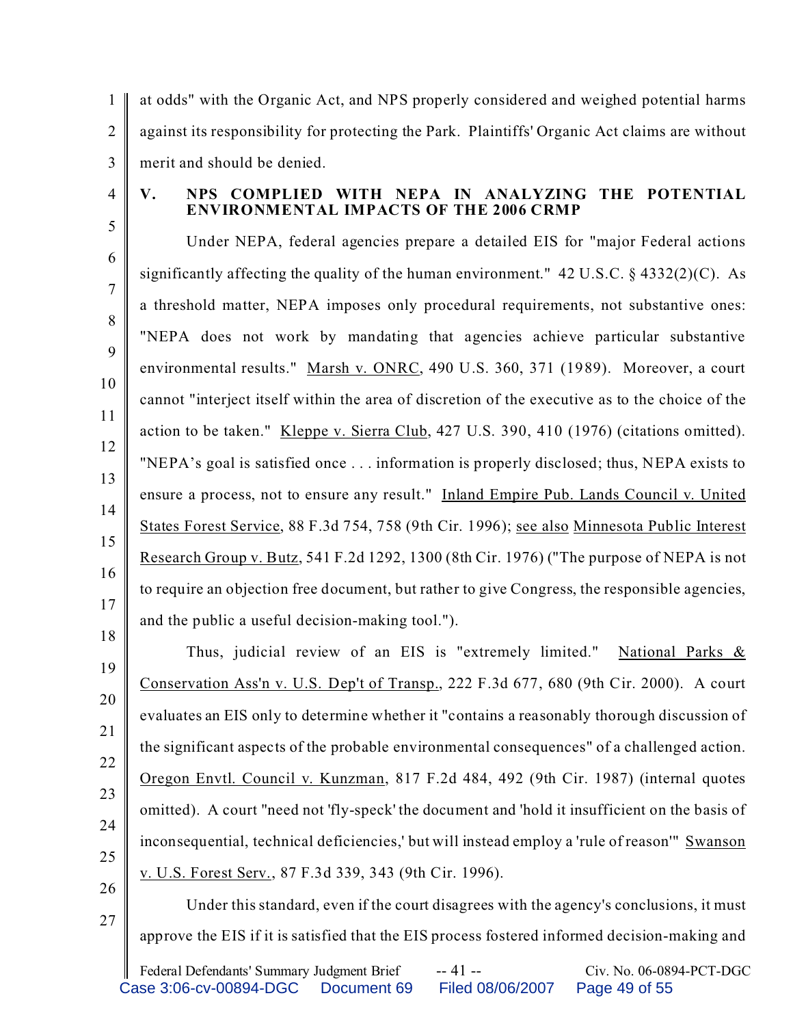1  $\mathfrak{D}$ 3 at odds" with the Organic Act, and NPS properly considered and weighed potential harms against its responsibility for protecting the Park. Plaintiffs' Organic Act claims are without merit and should be denied.

4

5

## **V. NPS COMPLIED WITH NEPA IN ANALYZING THE POTENTIAL ENVIRONMENTAL IMPACTS OF THE 2006 CRMP**

6 7 8 9 10 11 12 13 14 15 16 17 18 Under NEPA, federal agencies prepare a detailed EIS for "major Federal actions significantly affecting the quality of the human environment."  $42 \text{ U.S.C.}$  §  $4332(2)(\text{C})$ . As a threshold matter, NEPA imposes only procedural requirements, not substantive ones: "NEPA does not work by mandating that agencies achieve particular substantive environmental results." Marsh v. ONRC, 490 U.S. 360, 371 (1989). Moreover, a court cannot "interject itself within the area of discretion of the executive as to the choice of the action to be taken." Kleppe v. Sierra Club, 427 U.S. 390, 410 (1976) (citations omitted). "NEPA's goal is satisfied once . . . information is properly disclosed; thus, NEPA exists to ensure a process, not to ensure any result." Inland Empire Pub. Lands Council v. United States Forest Service, 88 F.3d 754, 758 (9th Cir. 1996); see also Minnesota Public Interest Research Group v. Butz, 541 F.2d 1292, 1300 (8th Cir. 1976) ("The purpose of NEPA is not to require an objection free document, but rather to give Congress, the responsible agencies, and the public a useful decision-making tool.").

19 20 21 22 23 24 25 Thus, judicial review of an EIS is "extremely limited." National Parks & Conservation Ass'n v. U.S. Dep't of Transp., 222 F.3d 677, 680 (9th Cir. 2000). A court evaluates an EIS only to determine whether it "contains a reasonably thorough discussion of the significant aspects of the probable environmental consequences" of a challenged action. Oregon Envtl. Council v. Kunzman, 817 F.2d 484, 492 (9th Cir. 1987) (internal quotes omitted). A court "need not 'fly-speck' the document and 'hold it insufficient on the basis of inconsequential, technical deficiencies,' but will instead employ a 'rule of reason'" Swanson v. U.S. Forest Serv., 87 F.3d 339, 343 (9th Cir. 1996).

26 27

Under this standard, even if the court disagrees with the agency's conclusions, it must approve the EIS if it is satisfied that the EIS process fostered informed decision-making and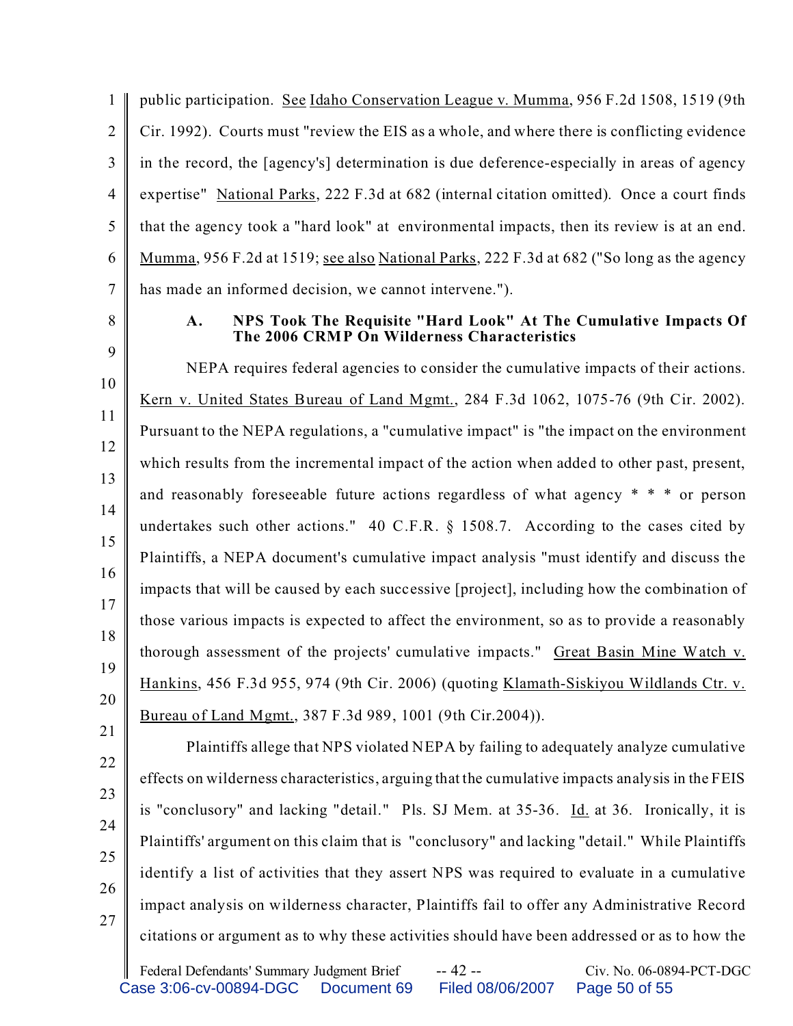1  $\mathfrak{D}$ 3 4 5 6 7 public participation. See Idaho Conservation League v. Mumma, 956 F.2d 1508, 1519 (9th Cir. 1992). Courts must "review the EIS as a whole, and where there is conflicting evidence in the record, the [agency's] determination is due deference-especially in areas of agency expertise" National Parks, 222 F.3d at 682 (internal citation omitted). Once a court finds that the agency took a "hard look" at environmental impacts, then its review is at an end. Mumma, 956 F.2d at 1519; see also National Parks, 222 F.3d at 682 ("So long as the agency has made an informed decision, we cannot intervene.").

8

9

## **A. NPS Took The Requisite "Hard Look" At The Cumulative Impacts Of The 2006 CRMP On Wilderness Characteristics**

10 11 12 13 14 15 16 17 18 19 20 NEPA requires federal agencies to consider the cumulative impacts of their actions. Kern v. United States Bureau of Land Mgmt., 284 F.3d 1062, 1075-76 (9th Cir. 2002). Pursuant to the NEPA regulations, a "cumulative impact" is "the impact on the environment which results from the incremental impact of the action when added to other past, present, and reasonably foreseeable future actions regardless of what agency \* \* \* or person undertakes such other actions." 40 C.F.R. § 1508.7. According to the cases cited by Plaintiffs, a NEPA document's cumulative impact analysis "must identify and discuss the impacts that will be caused by each successive [project], including how the combination of those various impacts is expected to affect the environment, so as to provide a reasonably thorough assessment of the projects' cumulative impacts." Great Basin Mine Watch v. Hankins, 456 F.3d 955, 974 (9th Cir. 2006) (quoting Klamath-Siskiyou Wildlands Ctr. v. Bureau of Land Mgmt., 387 F.3d 989, 1001 (9th Cir.2004)).

21

26

27

effects on wilderness characteristics, arguing that the cumulative impacts analysis in the FEIS is "conclusory" and lacking "detail." Pls. SJ Mem. at 35-36. Id. at 36. Ironically, it is Plaintiffs' argument on this claim that is "conclusory" and lacking "detail." While Plaintiffs identify a list of activities that they assert NPS was required to evaluate in a cumulative impact analysis on wilderness character, Plaintiffs fail to offer any Administrative Record citations or argument as to why these activities should have been addressed or as to how the

Plaintiffs allege that NPS violated NEPA by failing to adequately analyze cumulative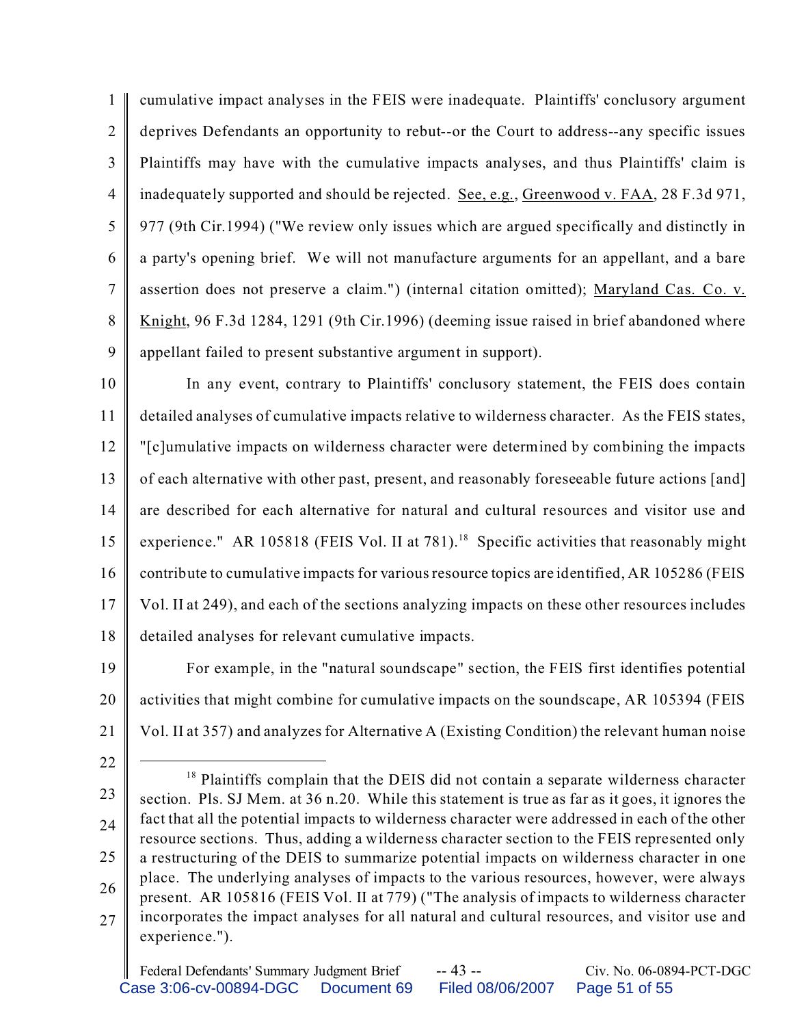1  $\overline{2}$ 3 4 5 6 7 8 9 cumulative impact analyses in the FEIS were inadequate. Plaintiffs' conclusory argument deprives Defendants an opportunity to rebut--or the Court to address--any specific issues Plaintiffs may have with the cumulative impacts analyses, and thus Plaintiffs' claim is inadequately supported and should be rejected. See, e.g., Greenwood v. FAA, 28 F.3d 971, 977 (9th Cir.1994) ("We review only issues which are argued specifically and distinctly in a party's opening brief. We will not manufacture arguments for an appellant, and a bare assertion does not preserve a claim.") (internal citation omitted); Maryland Cas. Co. v. Knight, 96 F.3d 1284, 1291 (9th Cir.1996) (deeming issue raised in brief abandoned where appellant failed to present substantive argument in support).

10 11 12 13 14 15 16 17 18 In any event, contrary to Plaintiffs' conclusory statement, the FEIS does contain detailed analyses of cumulative impacts relative to wilderness character. As the FEIS states, "[c]umulative impacts on wilderness character were determined by combining the impacts of each alternative with other past, present, and reasonably foreseeable future actions [and] are described for each alternative for natural and cultural resources and visitor use and experience." AR 105818 (FEIS Vol. II at 781).<sup>18</sup> Specific activities that reasonably might contribute to cumulative impacts for various resource topics are identified, AR 105286 (FEIS Vol. II at 249), and each of the sections analyzing impacts on these other resources includes detailed analyses for relevant cumulative impacts.

19 20 21 For example, in the "natural soundscape" section, the FEIS first identifies potential activities that might combine for cumulative impacts on the soundscape, AR 105394 (FEIS Vol. II at 357) and analyzes for Alternative A (Existing Condition) the relevant human noise

22

23 24 25 26 27 <sup>18</sup> Plaintiffs complain that the DEIS did not contain a separate wilderness character section. Pls. SJ Mem. at 36 n.20. While this statement is true as far as it goes, it ignores the fact that all the potential impacts to wilderness character were addressed in each of the other resource sections. Thus, adding a wilderness character section to the FEIS represented only a restructuring of the DEIS to summarize potential impacts on wilderness character in one place. The underlying analyses of impacts to the various resources, however, were always present. AR 105816 (FEIS Vol. II at 779) ("The analysis of impacts to wilderness character incorporates the impact analyses for all natural and cultural resources, and visitor use and experience.").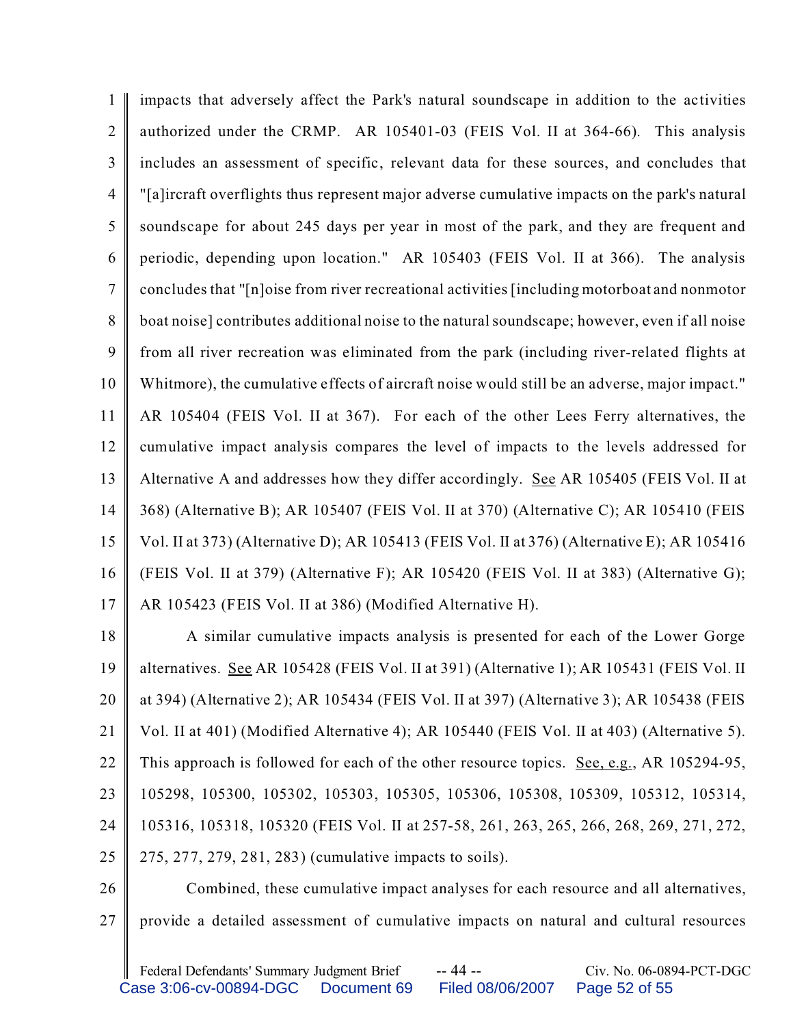1  $\mathfrak{D}$ 3 4 5 6 7 8 9 10 11 12 13 14 15 16 17 impacts that adversely affect the Park's natural soundscape in addition to the activities authorized under the CRMP. AR 105401-03 (FEIS Vol. II at 364-66). This analysis includes an assessment of specific, relevant data for these sources, and concludes that "[a]ircraft overflights thus represent major adverse cumulative impacts on the park's natural soundscape for about 245 days per year in most of the park, and they are frequent and periodic, depending upon location." AR 105403 (FEIS Vol. II at 366). The analysis concludes that "[n]oise from river recreational activities [including motorboat and nonmotor boat noise] contributes additional noise to the natural soundscape; however, even if all noise from all river recreation was eliminated from the park (including river-related flights at Whitmore), the cumulative effects of aircraft noise would still be an adverse, major impact." AR 105404 (FEIS Vol. II at 367). For each of the other Lees Ferry alternatives, the cumulative impact analysis compares the level of impacts to the levels addressed for Alternative A and addresses how they differ accordingly. See AR 105405 (FEIS Vol. II at 368) (Alternative B); AR 105407 (FEIS Vol. II at 370) (Alternative C); AR 105410 (FEIS Vol. II at 373) (Alternative D); AR 105413 (FEIS Vol. II at 376) (Alternative E); AR 105416 (FEIS Vol. II at 379) (Alternative F); AR 105420 (FEIS Vol. II at 383) (Alternative G); AR 105423 (FEIS Vol. II at 386) (Modified Alternative H).

18 19 20 21 22 23 24 25 A similar cumulative impacts analysis is presented for each of the Lower Gorge alternatives. See AR 105428 (FEIS Vol. II at 391) (Alternative 1); AR 105431 (FEIS Vol. II at 394) (Alternative 2); AR 105434 (FEIS Vol. II at 397) (Alternative 3); AR 105438 (FEIS Vol. II at 401) (Modified Alternative 4); AR 105440 (FEIS Vol. II at 403) (Alternative 5). This approach is followed for each of the other resource topics. See, e.g., AR 105294-95, 105298, 105300, 105302, 105303, 105305, 105306, 105308, 105309, 105312, 105314, 105316, 105318, 105320 (FEIS Vol. II at 257-58, 261, 263, 265, 266, 268, 269, 271, 272, 275, 277, 279, 281, 283) (cumulative impacts to soils).

26 27 Combined, these cumulative impact analyses for each resource and all alternatives, provide a detailed assessment of cumulative impacts on natural and cultural resources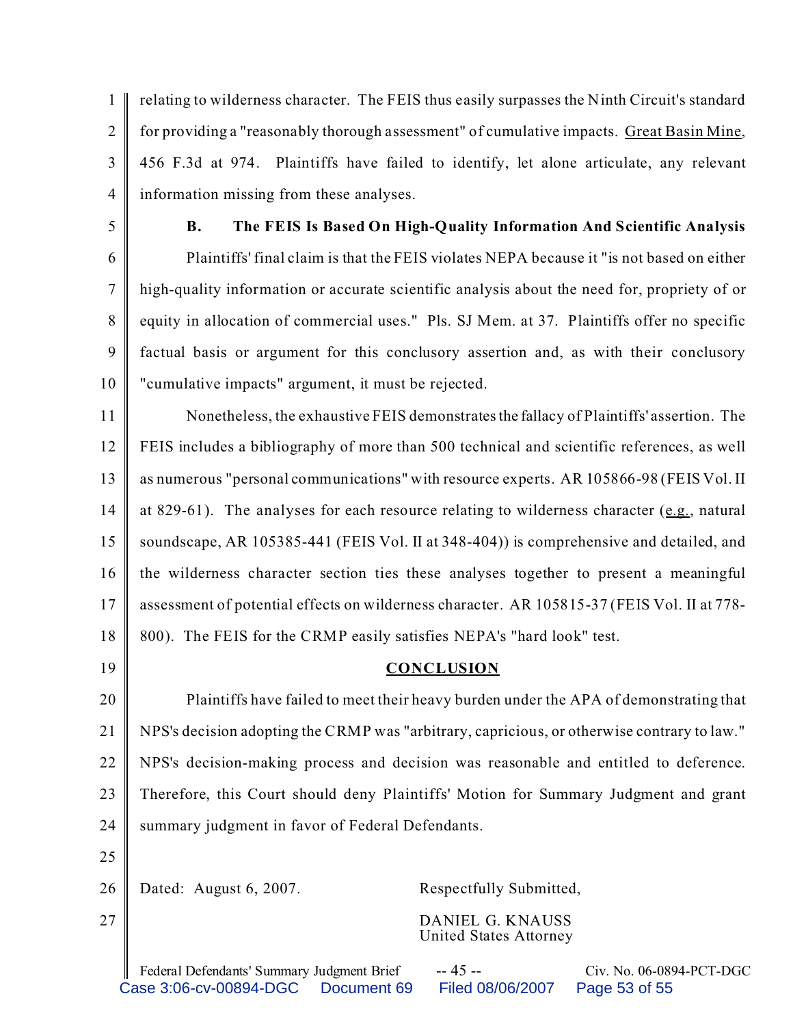1  $\mathfrak{D}$ 3 4 relating to wilderness character. The FEIS thus easily surpasses the Ninth Circuit's standard for providing a "reasonably thorough assessment" of cumulative impacts. Great Basin Mine, 456 F.3d at 974. Plaintiffs have failed to identify, let alone articulate, any relevant information missing from these analyses.

5

## **B. The FEIS Is Based On High-Quality Information And Scientific Analysis**

6 7 8 9 10 Plaintiffs' final claim is that the FEIS violates NEPA because it "is not based on either high-quality information or accurate scientific analysis about the need for, propriety of or equity in allocation of commercial uses." Pls. SJ Mem. at 37. Plaintiffs offer no specific factual basis or argument for this conclusory assertion and, as with their conclusory "cumulative impacts" argument, it must be rejected.

11 12 13 14 15 16 17 18 Nonetheless, the exhaustive FEIS demonstratesthe fallacy of Plaintiffs' assertion. The FEIS includes a bibliography of more than 500 technical and scientific references, as well as numerous "personal communications" with resource experts. AR 105866-98 (FEIS Vol. II at 829-61). The analyses for each resource relating to wilderness character (e.g., natural soundscape, AR 105385-441 (FEIS Vol. II at 348-404)) is comprehensive and detailed, and the wilderness character section ties these analyses together to present a meaningful assessment of potential effects on wilderness character. AR 105815-37 (FEIS Vol. II at 778- 800). The FEIS for the CRMP easily satisfies NEPA's "hard look" test.

19

## **CONCLUSION**

20 21 22 23 24 Plaintiffs have failed to meet their heavy burden under the APA of demonstrating that NPS's decision adopting the CRMP was "arbitrary, capricious, or otherwise contrary to law." NPS's decision-making process and decision was reasonable and entitled to deference. Therefore, this Court should deny Plaintiffs' Motion for Summary Judgment and grant summary judgment in favor of Federal Defendants.

25

27

26

Dated: August 6, 2007. Respectfully Submitted,

DANIEL G. KNAUSS United States Attorney

Federal Defendants' Summary Judgment Brief -- 45 -- Civ. No. 06-0894-PCT-DGC Case 3:06-cv-00894-DGC Document 69 Filed 08/06/2007 Page 53 of 55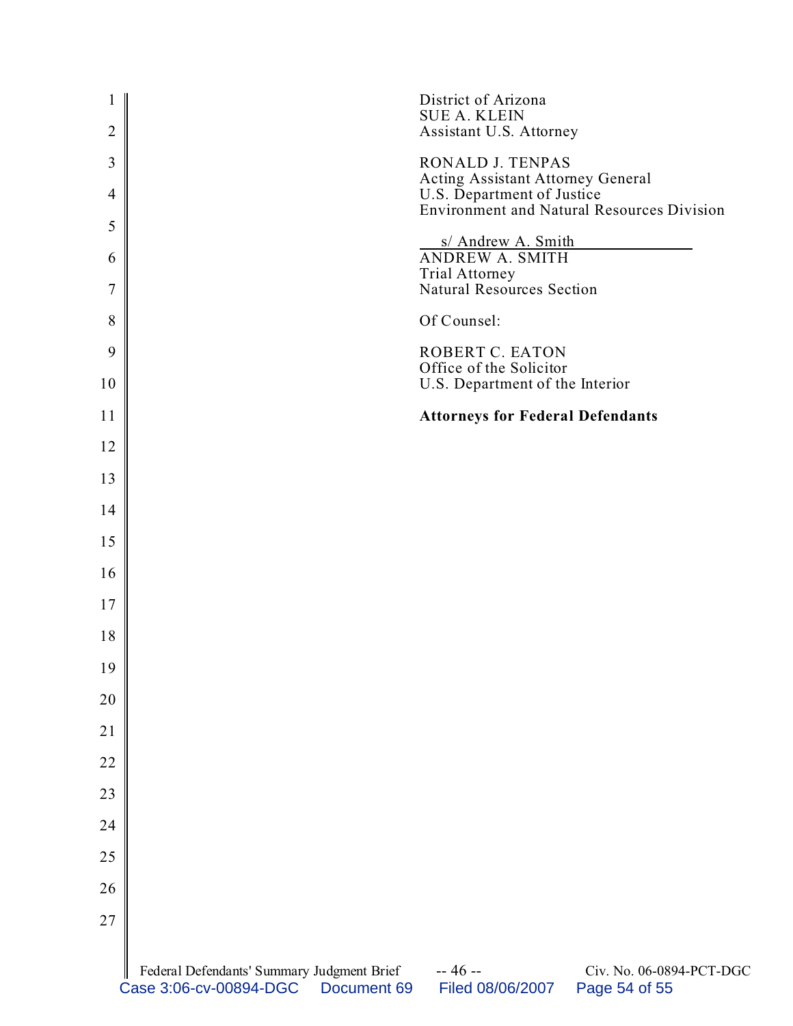| $\mathbf{1}$<br>$\overline{2}$ |                                                                      |             | District of Arizona<br><b>SUE A. KLEIN</b><br>Assistant U.S. Attorney |                                                   |
|--------------------------------|----------------------------------------------------------------------|-------------|-----------------------------------------------------------------------|---------------------------------------------------|
| 3                              |                                                                      |             | RONALD J. TENPAS                                                      |                                                   |
| $\overline{4}$                 |                                                                      |             | Acting Assistant Attorney General<br>U.S. Department of Justice       |                                                   |
| 5                              |                                                                      |             |                                                                       | <b>Environment and Natural Resources Division</b> |
| 6                              |                                                                      |             | s/ Andrew A. Smith<br>ANDREW A. SMITH                                 |                                                   |
| 7                              |                                                                      |             | Trial Attorney<br>Natural Resources Section                           |                                                   |
| 8                              |                                                                      |             | Of Counsel:                                                           |                                                   |
| 9                              |                                                                      |             | <b>ROBERT C. EATON</b><br>Office of the Solicitor                     |                                                   |
| 10                             |                                                                      |             | U.S. Department of the Interior                                       |                                                   |
| 11                             |                                                                      |             | <b>Attorneys for Federal Defendants</b>                               |                                                   |
| 12                             |                                                                      |             |                                                                       |                                                   |
| 13                             |                                                                      |             |                                                                       |                                                   |
| 14                             |                                                                      |             |                                                                       |                                                   |
| 15                             |                                                                      |             |                                                                       |                                                   |
| 16                             |                                                                      |             |                                                                       |                                                   |
| 17                             |                                                                      |             |                                                                       |                                                   |
| 18                             |                                                                      |             |                                                                       |                                                   |
| 19                             |                                                                      |             |                                                                       |                                                   |
| 20                             |                                                                      |             |                                                                       |                                                   |
| 21                             |                                                                      |             |                                                                       |                                                   |
| 22                             |                                                                      |             |                                                                       |                                                   |
| 23                             |                                                                      |             |                                                                       |                                                   |
| 24                             |                                                                      |             |                                                                       |                                                   |
| 25                             |                                                                      |             |                                                                       |                                                   |
| 26                             |                                                                      |             |                                                                       |                                                   |
| 27                             |                                                                      |             |                                                                       |                                                   |
|                                | Federal Defendants' Summary Judgment Brief<br>Case 3:06-cv-00894-DGC | Document 69 | $-46-$<br>Filed 08/06/2007                                            | Civ. No. 06-0894-PCT-DGC<br>Page 54 of 55         |